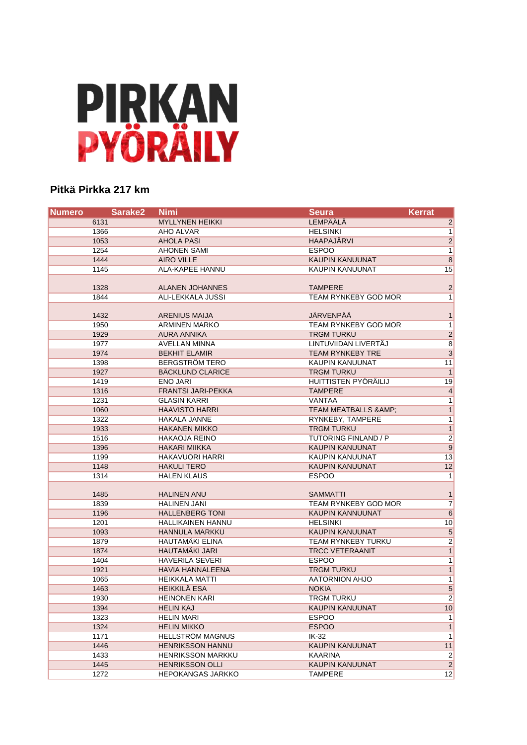# **PIRKAN<br>PYÖRÄILY**

### **Pitkä Pirkka 217 km**

| <b>Numero</b> | Sarake <sub>2</sub> | <b>Nimi</b>               | <b>Seura</b>                | <b>Kerrat</b>           |
|---------------|---------------------|---------------------------|-----------------------------|-------------------------|
| 6131          |                     | <b>MYLLYNEN HEIKKI</b>    | <b>LEMPÄÄLÄ</b>             | $\overline{2}$          |
| 1366          |                     | AHO ALVAR                 | <b>HELSINKI</b>             | $\overline{1}$          |
| 1053          |                     | <b>AHOLA PASI</b>         | <b>HAAPAJÄRVI</b>           | $\overline{2}$          |
| 1254          |                     | <b>AHONEN SAMI</b>        | <b>ESPOO</b>                | $\overline{1}$          |
| 1444          |                     | <b>AIRO VILLE</b>         | <b>KAUPIN KANUUNAT</b>      | $\overline{8}$          |
| 1145          |                     | <b>ALA-KAPEE HANNU</b>    | KAUPIN KANUUNAT             | 15                      |
|               |                     |                           |                             |                         |
| 1328          |                     | <b>ALANEN JOHANNES</b>    | <b>TAMPERE</b>              | $\overline{2}$          |
| 1844          |                     | ALI-LEKKALA JUSSI         | TEAM RYNKEBY GOD MOR        | 1                       |
|               |                     |                           |                             |                         |
| 1432          |                     | <b>ARENIUS MAIJA</b>      | JÄRVENPÄÄ                   | $\mathbf{1}$            |
| 1950          |                     | <b>ARMINEN MARKO</b>      | TEAM RYNKEBY GOD MOR        | 1                       |
| 1929          |                     | <b>AURA ANNIKA</b>        | <b>TRGM TURKU</b>           | $\overline{2}$          |
| 1977          |                     | AVELLAN MINNA             | LINTUVIIDAN LIVERTÄJ        | $\overline{8}$          |
| 1974          |                     | <b>BEKHIT ELAMIR</b>      | <b>TEAM RYNKEBY TRE</b>     | $\overline{3}$          |
| 1398          |                     | <b>BERGSTRÖM TERO</b>     | KAUPIN KANUUNAT             | 11                      |
| 1927          |                     | <b>BÄCKLUND CLARICE</b>   | <b>TRGM TURKU</b>           | 1                       |
| 1419          |                     | <b>ENO JARI</b>           | HUITTISTEN PYÖRÄILIJ        | 19                      |
| 1316          |                     | <b>FRANTSI JARI-PEKKA</b> | <b>TAMPERE</b>              | $\overline{4}$          |
| 1231          |                     | <b>GLASIN KARRI</b>       | VANTAA                      | 1                       |
| 1060          |                     | <b>HAAVISTO HARRI</b>     | TEAM MEATBALLS & AMP;       | 1                       |
| 1322          |                     | <b>HAKALA JANNE</b>       | RYNKEBY, TAMPERE            | 1                       |
| 1933          |                     | <b>HAKANEN MIKKO</b>      | <b>TRGM TURKU</b>           | $\overline{1}$          |
| 1516          |                     | <b>HAKAOJA REINO</b>      | <b>TUTORING FINLAND / P</b> | $\overline{2}$          |
| 1396          |                     | <b>HAKARI MIIKKA</b>      | KAUPIN KANUUNAT             | 9                       |
| 1199          |                     | HAKAVUORI HARRI           | <b>KAUPIN KANUUNAT</b>      | 13                      |
| 1148          |                     | <b>HAKULI TERO</b>        | <b>KAUPIN KANUUNAT</b>      | 12                      |
| 1314          |                     | <b>HALEN KLAUS</b>        | <b>ESPOO</b>                | 1                       |
| 1485          |                     | <b>HALINEN ANU</b>        | <b>SAMMATTI</b>             | $\mathbf{1}$            |
| 1839          |                     | <b>HALINEN JANI</b>       | TEAM RYNKEBY GOD MOR        | $\overline{7}$          |
| 1196          |                     | <b>HALLENBERG TONI</b>    | KAUPIN KANNUUNAT            | 6                       |
| 1201          |                     | <b>HALLIKAINEN HANNU</b>  | <b>HELSINKI</b>             | 10                      |
| 1093          |                     | <b>HANNULA MARKKU</b>     | KAUPIN KANUUNAT             | $\overline{\mathbf{5}}$ |
| 1879          |                     | HAUTAMÄKI ELINA           | <b>TEAM RYNKEBY TURKU</b>   | $\overline{2}$          |
| 1874          |                     | <b>HAUTAMAKI JARI</b>     | <b>TRCC VETERAANIT</b>      | $\overline{1}$          |
| 1404          |                     | <b>HAVERILA SEVERI</b>    | <b>ESPOO</b>                | 1                       |
| 1921          |                     | <b>HAVIA HANNALEENA</b>   | <b>TRGM TURKU</b>           | $\overline{1}$          |
| 1065          |                     | <b>HEIKKALA MATTI</b>     | AATORNION AHJO              | 1                       |
| 1463          |                     | <b>HEIKKILÄ ESA</b>       | <b>NOKIA</b>                | $\mathbf 5$             |
| 1930          |                     | <b>HEINONEN KARI</b>      | <b>TRGM TURKU</b>           | $\overline{2}$          |
| 1394          |                     | <b>HELIN KAJ</b>          | KAUPIN KANUUNAT             | 10                      |
| 1323          |                     | <b>HELIN MARI</b>         | <b>ESPOO</b>                | 1                       |
| 1324          |                     | <b>HELIN MIKKO</b>        | <b>ESPOO</b>                | 1                       |
| 1171          |                     | <b>HELLSTRÖM MAGNUS</b>   | $IK-32$                     | 1                       |
| 1446          |                     | <b>HENRIKSSON HANNU</b>   | <b>KAUPIN KANUUNAT</b>      | 11                      |
| 1433          |                     | <b>HENRIKSSON MARKKU</b>  | KAARINA                     | $2\vert$                |
| 1445          |                     | <b>HENRIKSSON OLLI</b>    | KAUPIN KANUUNAT             | $\left  \right $        |
| 1272          |                     | <b>HEPOKANGAS JARKKO</b>  | <b>TAMPERE</b>              | 12                      |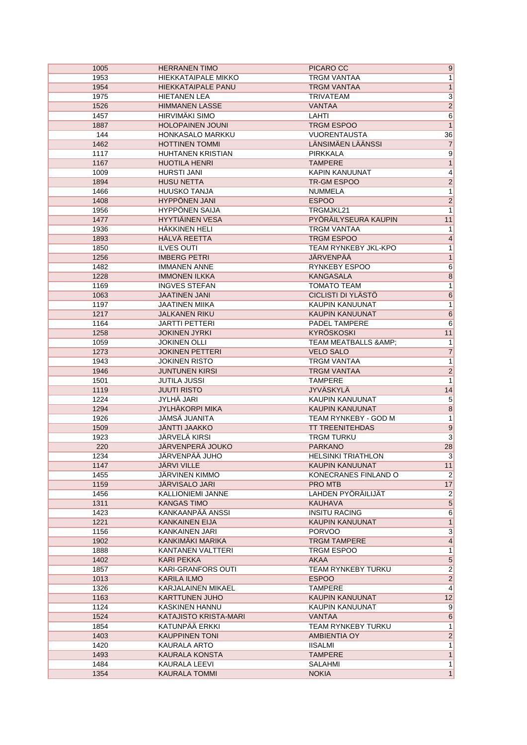| 1005 | <b>HERRANEN TIMO</b>     | PICARO CC                               | 9                       |
|------|--------------------------|-----------------------------------------|-------------------------|
| 1953 | HIEKKATAIPALE MIKKO      | TRGM VANTAA                             | 1                       |
| 1954 | HIEKKATAIPALE PANU       | <b>TRGM VANTAA</b>                      | $\mathbf{1}$            |
| 1975 | <b>HIETANEN LEA</b>      | <b>TRIVATEAM</b>                        | $\overline{3}$          |
| 1526 | <b>HIMMANEN LASSE</b>    | <b>VANTAA</b>                           | $\overline{2}$          |
| 1457 | HIRVIMÄKI SIMO           | LAHTI                                   | $\overline{6}$          |
| 1887 | <b>HOLOPAINEN JOUNI</b>  | <b>TRGM ESPOO</b>                       | $\overline{1}$          |
| 144  | HONKASALO MARKKU         | <b>VUORENTAUSTA</b>                     | 36                      |
| 1462 | <b>HOTTINEN TOMMI</b>    | LÄNSIMÄEN LÄÄNSSI                       | $\overline{7}$          |
| 1117 | <b>HUHTANEN KRISTIAN</b> | <b>PIRKKALA</b>                         | $\overline{9}$          |
| 1167 | <b>HUOTILA HENRI</b>     | <b>TAMPERE</b>                          | $\overline{1}$          |
| 1009 | <b>HURSTI JANI</b>       | <b>KAPIN KANUUNAT</b>                   | $\overline{4}$          |
| 1894 | <b>HUSU NETTA</b>        | TR-GM ESPOO                             | $\overline{2}$          |
| 1466 | <b>HUUSKO TANJA</b>      | <b>NUMMELA</b>                          | $\overline{1}$          |
| 1408 | <b>HYPPÖNEN JANI</b>     | <b>ESPOO</b>                            | $\overline{2}$          |
| 1956 | <b>HYPPÖNEN SAIJA</b>    | TRGMJKL21                               | $\mathbf{1}$            |
| 1477 | <b>HYYTIÄINEN VESA</b>   | PYÖRÄILYSEURA KAUPIN                    | 11                      |
| 1936 | HÄKKINEN HELI            | TRGM VANTAA                             | $\mathbf{1}$            |
| 1893 | HÄLVÄ REETTA             | <b>TRGM ESPOO</b>                       | $\overline{4}$          |
| 1850 | <b>ILVES OUTI</b>        | <b>TEAM RYNKEBY JKL-KPO</b>             | 1                       |
| 1256 | <b>IMBERG PETRI</b>      | JÄRVENPÄÄ                               | $\overline{\mathbf{1}}$ |
| 1482 | <b>IMMANEN ANNE</b>      | <b>RYNKEBY ESPOO</b>                    | $\overline{6}$          |
| 1228 | <b>IMMONEN ILKKA</b>     | <b>KANGASALA</b>                        | $\overline{8}$          |
| 1169 | <b>INGVES STEFAN</b>     | TOMATO TEAM                             | $\overline{1}$          |
| 1063 | <b>JAATINEN JANI</b>     | <b>CICLISTI DI YLÄSTÖ</b>               | $\overline{6}$          |
| 1197 | <b>JAATINEN MIIKA</b>    | KAUPIN KANUUNAT                         | $\mathbf{1}$            |
| 1217 | <b>JALKANEN RIKU</b>     | <b>KAUPIN KANUUNAT</b>                  | $\overline{6}$          |
| 1164 | <b>JARTTI PETTERI</b>    | PADEL TAMPERE                           | $\overline{6}$          |
| 1258 | <b>JOKINEN JYRKI</b>     | <b>KYRÖSKOSKI</b>                       | 11                      |
| 1059 | <b>JOKINEN OLLI</b>      | TEAM MEATBALLS & AMP;                   | $\mathbf{1}$            |
| 1273 | <b>JOKINEN PETTERI</b>   | <b>VELO SALO</b>                        | $\overline{7}$          |
| 1943 | <b>JOKINEN RISTO</b>     | TRGM VANTAA                             | $\overline{1}$          |
| 1946 | <b>JUNTUNEN KIRSI</b>    | <b>TRGM VANTAA</b>                      | $\overline{2}$          |
| 1501 | <b>JUTILA JUSSI</b>      | <b>TAMPERE</b>                          | 1                       |
| 1119 | <b>JUUTI RISTO</b>       | <b>JYVÄSKYLÄ</b>                        | 14                      |
| 1224 | JYLHÄ JARI               | KAUPIN KANUUNAT                         | $\overline{5}$          |
| 1294 | <b>JYLHÄKORPI MIKA</b>   | <b>KAUPIN KANUUNAT</b>                  | $\overline{8}$          |
| 1926 | <b>JÄMSÄ JUANITA</b>     | TEAM RYNKEBY - GOD M                    | $\mathbf{1}$            |
| 1509 | <b>JÄNTTI JAAKKO</b>     | <b>TT TREENITEHDAS</b>                  | $\overline{9}$          |
| 1923 | JÄRVELÄ KIRSI            | TRGM TURKU                              | $\overline{\mathbf{3}}$ |
| 220  | JÄRVENPERÄ JOUKO         | <b>PARKANO</b>                          | 28                      |
| 1234 | JÄRVENPÄÄ JUHO           |                                         |                         |
|      | JÄRVI VILLE              | <b>HELSINKI TRIATHLON</b>               | 3                       |
| 1147 |                          | KAUPIN KANUUNAT<br>KONECRANES FINLAND O | 11                      |
| 1455 | <b>JÄRVINEN KIMMO</b>    |                                         | $\overline{2}$          |
| 1159 | <b>JARVISALO JARI</b>    | PRO MTB                                 | 17                      |
| 1456 | KALLIONIEMI JANNE        | LAHDEN PYÖRÄILIJÄT                      | $\overline{2}$          |
| 1311 | <b>KANGAS TIMO</b>       | <b>KAUHAVA</b>                          | $\overline{5}$          |
| 1423 | KANKAANPÄÄ ANSSI         | <b>INSITU RACING</b>                    | $6\overline{6}$         |
| 1221 | <b>KANKAINEN EIJA</b>    | KAUPIN KANUUNAT                         | $\overline{1}$          |
| 1156 | KANKAINEN JARI           | <b>PORVOO</b>                           | $\overline{\mathbf{3}}$ |
| 1902 | KANKIMÄKI MARIKA         | <b>TRGM TAMPERE</b>                     | $\overline{\mathbf{4}}$ |
| 1888 | KANTANEN VALTTERI        | TRGM ESPOO                              | $\mathbf{1}$            |
| 1402 | <b>KARI PEKKA</b>        | AKAA                                    | $\overline{5}$          |
| 1857 | KARI-GRANFORS OUTI       | <b>TEAM RYNKEBY TURKU</b>               | $\overline{2}$          |
| 1013 | KARILA ILMO              | <b>ESPOO</b>                            | $\overline{2}$          |
| 1326 | KARJALAINEN MIKAEL       | <b>TAMPERE</b>                          | $\overline{\mathbf{4}}$ |
| 1163 | <b>KARTTUNEN JUHO</b>    | KAUPIN KANUUNAT                         | 12                      |
| 1124 | KASKINEN HANNU           | KAUPIN KANUUNAT                         | 9                       |
| 1524 | KATAJISTO KRISTA-MARI    | VANTAA                                  | $6\overline{}$          |
| 1854 | KATUNPÄÄ ERKKI           | TEAM RYNKEBY TURKU                      | $\mathbf{1}$            |
| 1403 | <b>KAUPPINEN TONI</b>    | AMBIENTIA OY                            | $\overline{2}$          |
| 1420 | KAURALA ARTO             | <b>IISALMI</b>                          | 1                       |
| 1493 | KAURALA KONSTA           | <b>TAMPERE</b>                          | $\mathbf{1}$            |
| 1484 | KAURALA LEEVI            | SALAHMI                                 | $\mathbf{1}$            |
| 1354 | <b>KAURALA TOMMI</b>     | <b>NOKIA</b>                            | 1                       |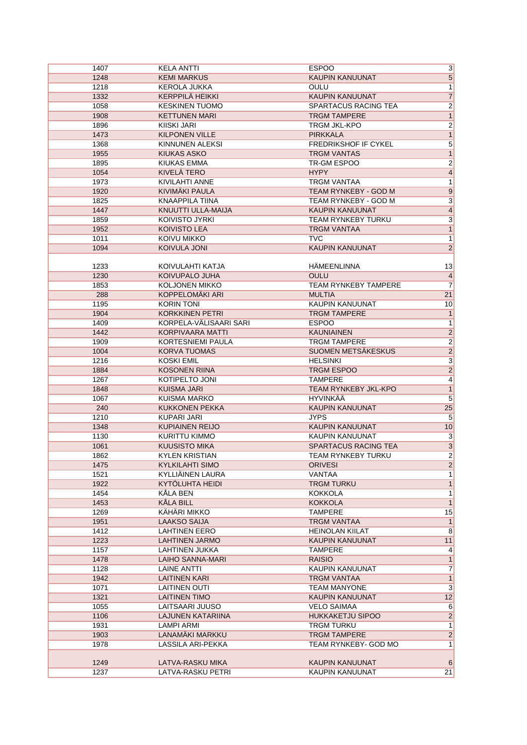| 1407 | KELA ANTTI              | <b>ESPOO</b>                | $\overline{3}$            |
|------|-------------------------|-----------------------------|---------------------------|
| 1248 | <b>KEMI MARKUS</b>      | <b>KAUPIN KANUUNAT</b>      | 5                         |
| 1218 | KEROLA JUKKA            | <b>OULU</b>                 | 1                         |
| 1332 | KERPPILÄ HEIKKI         | KAUPIN KANUUNAT             | $\overline{7}$            |
| 1058 | <b>KESKINEN TUOMO</b>   | SPARTACUS RACING TEA        | $\overline{2}$            |
| 1908 | <b>KETTUNEN MARI</b>    | <b>TRGM TAMPERE</b>         | $\overline{1}$            |
| 1896 | <b>KIISKI JARI</b>      | TRGM JKL-KPO                |                           |
| 1473 | <b>KILPONEN VILLE</b>   | <b>PIRKKALA</b>             | $\frac{2}{1}$             |
|      |                         |                             |                           |
| 1368 | KINNUNEN ALEKSI         | FREDRIKSHOF IF CYKEL        | $\overline{5}$            |
| 1955 | <b>KIUKAS ASKO</b>      | <b>TRGM VANTAS</b>          | $\overline{1}$            |
| 1895 | <b>KIUKAS EMMA</b>      | TR-GM ESPOO                 | $\overline{2}$            |
| 1054 | KIVELÄ TERO             | <b>HYPY</b>                 | $\overline{4}$            |
| 1973 | <b>KIVILAHTI ANNE</b>   | <b>TRGM VANTAA</b>          | $\overline{1}$            |
| 1920 | KIVIMÄKI PAULA          | TEAM RYNKEBY - GOD M        | $\overline{9}$            |
| 1825 | <b>KNAAPPILA TIINA</b>  | TEAM RYNKEBY - GOD M        | $\overline{\overline{3}}$ |
| 1447 | KNUUTTI ULLA-MAIJA      | KAUPIN KANUUNAT             | $\overline{4}$            |
| 1859 | KOIVISTO JYRKI          | TEAM RYNKEBY TURKU          | $\overline{\overline{3}}$ |
| 1952 | <b>KOIVISTO LEA</b>     | <b>TRGM VANTAA</b>          | $\overline{1}$            |
| 1011 | KOIVU MIKKO             | <b>TVC</b>                  | $\mathbf{1}$              |
| 1094 | KOIVULA JONI            | KAUPIN KANUUNAT             | $\overline{2}$            |
|      |                         |                             |                           |
| 1233 | KOIVULAHTI KATJA        | HÄMEENLINNA                 | 13                        |
| 1230 | KOIVUPALO JUHA          | <b>OULU</b>                 | $\overline{4}$            |
| 1853 | <b>KOLJONEN MIKKO</b>   | <b>TEAM RYNKEBY TAMPERE</b> | $\overline{7}$            |
| 288  | KOPPELOMÄKI ARI         | <b>MULTIA</b>               | 21                        |
| 1195 | <b>KORIN TONI</b>       | KAUPIN KANUUNAT             | 10                        |
| 1904 | <b>KORKKINEN PETRI</b>  | <b>TRGM TAMPERE</b>         | $\overline{1}$            |
| 1409 | KORPELA-VÄLISAARI SARI  | <b>ESPOO</b>                | $\mathbf{1}$              |
| 1442 | <b>KORPIVAARA MATTI</b> | <b>KAUNIAINEN</b>           | $\overline{2}$            |
| 1909 | KORTESNIEMI PAULA       | <b>TRGM TAMPERE</b>         | $\overline{2}$            |
| 1004 | <b>KORVA TUOMAS</b>     | SUOMEN METSÄKESKUS          | $\overline{2}$            |
| 1216 | <b>KOSKI EMIL</b>       | <b>HELSINKI</b>             | $\overline{\mathbf{3}}$   |
| 1884 | <b>KOSONEN RIINA</b>    | TRGM ESPOO                  | $\overline{2}$            |
| 1267 | KOTIPELTO JONI          | <b>TAMPERE</b>              | $\overline{4}$            |
| 1848 | <b>KUISMA JARI</b>      | TEAM RYNKEBY JKL-KPO        | $\overline{1}$            |
|      |                         | <b>HYVINKÄÄ</b>             | $\overline{5}$            |
| 1067 | <b>KUISMA MARKO</b>     |                             |                           |
| 240  | <b>KUKKONEN PEKKA</b>   | KAUPIN KANUUNAT             | 25                        |
| 1210 | KUPARI JARI             | <b>JYPS</b>                 | 5                         |
| 1348 | <b>KUPIAINEN REIJO</b>  | KAUPIN KANUUNAT             | 10                        |
| 1130 | KURITTU KIMMO           | KAUPIN KANUUNAT             | $\overline{3}$            |
| 1061 | <b>KUUSISTO MIKA</b>    | SPARTACUS RACING TEA        | $\overline{\mathbf{3}}$   |
| 1862 | <b>KYLEN KRISTIAN</b>   | TEAM RYNKEBY TURKU          | $\overline{2}$            |
| 1475 | <b>KYLKILAHTI SIMO</b>  | <b>ORIVESI</b>              | $\overline{c}$            |
| 1521 | KYLLIÄINEN LAURA        | VANTAA                      | 1                         |
| 1922 | KYTOLUHTA HEIDI         | <b>TRGM TURKU</b>           | $\overline{1}$            |
| 1454 | <b>KÄLA BEN</b>         | <b>KOKKOLA</b>              | $\overline{1}$            |
| 1453 | <b>KALA BILL</b>        | <b>KOKKOLA</b>              | $\overline{1}$            |
| 1269 | <b>KÄHÄRI MIKKO</b>     | TAMPERE                     | 15                        |
| 1951 | LAAKSO SAIJA            | <b>TRGM VANTAA</b>          | $\mathbf{1}$              |
| 1412 | <b>LAHTINEN EERO</b>    | <b>HEINOLAN KIILAT</b>      | 8                         |
| 1223 | <b>LAHTINEN JARMO</b>   | KAUPIN KANUUNAT             | 11                        |
| 1157 | LAHTINEN JUKKA          | <b>TAMPERE</b>              | 4                         |
| 1478 | LAIHO SANNA-MARI        | <b>RAISIO</b>               | $\mathbf{1}$              |
| 1128 | LAINE ANTTI             | KAUPIN KANUUNAT             | $\overline{7}$            |
| 1942 | <b>LAITINEN KARI</b>    | <b>TRGM VANTAA</b>          | $\overline{1}$            |
| 1071 | <b>LAITINEN OUTI</b>    | <b>TEAM MANYONE</b>         | $\overline{3}$            |
| 1321 | <b>LAITINEN TIMO</b>    | KAUPIN KANUUNAT             | 12                        |
| 1055 | LAITSAARI JUUSO         | <b>VELO SAIMAA</b>          | $6\overline{6}$           |
| 1106 | LAJUNEN KATARIINA       | <b>HUKKAKETJU SIPOO</b>     | $\overline{2}$            |
| 1931 | <b>LAMPI ARMI</b>       | TRGM TURKU                  | $\overline{1}$            |
| 1903 | LANAMÄKI MARKKU         | <b>TRGM TAMPERE</b>         | $\overline{2}$            |
| 1978 | LASSILA ARI-PEKKA       | TEAM RYNKEBY- GOD MO        | 1                         |
|      |                         |                             |                           |
| 1249 | LATVA-RASKU MIKA        | KAUPIN KANUUNAT             | 6                         |
| 1237 | LATVA-RASKU PETRI       | KAUPIN KANUUNAT             | 21                        |
|      |                         |                             |                           |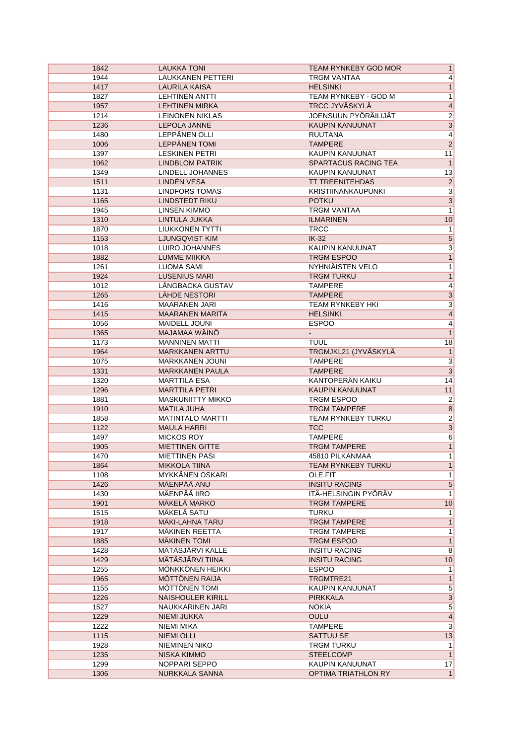| 1842         | <b>LAUKKA TONI</b>              | TEAM RYNKEBY GOD MOR        | 1               |
|--------------|---------------------------------|-----------------------------|-----------------|
| 1944         | <b>LAUKKANEN PETTERI</b>        | <b>TRGM VANTAA</b>          | $\overline{4}$  |
| 1417         | <b>LAURILA KAISA</b>            | <b>HELSINKI</b>             | 1               |
| 1827         | <b>LEHTINEN ANTTI</b>           | TEAM RYNKEBY - GOD M        | 1               |
| 1957         | <b>LEHTINEN MIRKA</b>           | <b>TRCC JYVÄSKYLÄ</b>       | $\overline{4}$  |
| 1214         | <b>LEINONEN NIKLAS</b>          | JOENSUUN PYÖRÄILIJÄT        | $\overline{2}$  |
| 1236         | LEPOLA JANNE                    | KAUPIN KANUUNAT             | $\overline{3}$  |
| 1480         | LEPPÄNEN OLLI                   | <b>RUUTANA</b>              | $\overline{4}$  |
| 1006         | LEPPÄNEN TOMI                   | <b>TAMPERE</b>              | $\overline{2}$  |
| 1397         | <b>LESKINEN PETRI</b>           | KAUPIN KANUUNAT             | 11              |
| 1062         | <b>LINDBLOM PATRIK</b>          | <b>SPARTACUS RACING TEA</b> | 1               |
| 1349         | LINDELL JOHANNES                | KAUPIN KANUUNAT             | 13              |
| 1511         | <b>LINDÉN VESA</b>              | <b>TT TREENITEHDAS</b>      | $\overline{2}$  |
| 1131         | <b>LINDFORS TOMAS</b>           | <b>KRISTIINANKAUPUNKI</b>   | $\overline{3}$  |
| 1165         | <b>LINDSTEDT RIKU</b>           | <b>POTKU</b>                | $\overline{3}$  |
| 1945         | LINSEN KIMMO                    | <b>TRGM VANTAA</b>          | 1               |
| 1310         | LINTULA JUKKA                   | <b>ILMARINEN</b>            | 10              |
| 1870         | LIUKKONEN TYTTI                 | <b>TRCC</b>                 | 1               |
| 1153         | <b>LJUNGQVIST KIM</b>           | $IK-32$                     | $\overline{5}$  |
| 1018         | LUIRO JOHANNES                  | <b>KAUPIN KANUUNAT</b>      | $\overline{3}$  |
| 1882         | <b>LUMME MIIKKA</b>             | <b>TRGM ESPOO</b>           | $\overline{1}$  |
| 1261         | <b>LUOMA SAMI</b>               | NYHNIÄISTEN VELO            | 1               |
| 1924         | <b>LUSENIUS MARI</b>            | <b>TRGM TURKU</b>           | 1               |
| 1012         | <b>LÅNGBACKA GUSTAV</b>         | <b>TAMPERE</b>              | $\vert 4 \vert$ |
| 1265         | LÄHDE NESTORI                   | <b>TAMPERE</b>              | $\overline{3}$  |
| 1416         | <b>MAARANEN JARI</b>            | <b>TEAM RYNKEBY HKI</b>     | $\overline{3}$  |
| 1415         | <b>MAARANEN MARITA</b>          | <b>HELSINKI</b>             | $\overline{4}$  |
| 1056         | <b>MAIDELL JOUNI</b>            | <b>ESPOO</b>                | $\vert 4 \vert$ |
| 1365         | MAJAMAA WÄINÖ                   |                             | 1               |
| 1173         | <b>MANNINEN MATTI</b>           | <b>TUUL</b>                 | 18              |
| 1964         | <b>MARKKANEN ARTTU</b>          | TRGMJKL21 (JYVÄSKYLÄ        | 1               |
| 1075         | MARKKANEN JOUNI                 | <b>TAMPERE</b>              | $\overline{3}$  |
| 1331         | <b>MARKKANEN PAULA</b>          | <b>TAMPERE</b>              | $\overline{3}$  |
| 1320         | <b>MARTTILA ESA</b>             | KANTOPERÄN KAIKU            | 14              |
| 1296         | <b>MARTTILA PETRI</b>           | KAUPIN KANUUNAT             | 11              |
| 1881         | <b>MASKUNIITTY MIKKO</b>        | TRGM ESPOO                  | $\vert$ 2       |
| 1910         | <b>MATILA JUHA</b>              | <b>TRGM TAMPERE</b>         | $\overline{8}$  |
| 1858         | <b>MATINTALO MARTTI</b>         | TEAM RYNKEBY TURKU          | $\overline{2}$  |
| 1122         | <b>MAULA HARRI</b>              | <b>TCC</b>                  | $\overline{3}$  |
| 1497         | <b>MICKOS ROY</b>               | <b>TAMPERE</b>              | 6               |
| 1905         | <b>MIETTINEN GITTE</b>          | <b>TRGM TAMPERE</b>         | 1               |
| 1470         | <b>MIETTINEN PASI</b>           | 45810 PILKANMAA             | 1               |
| 1864         | <b>MIKKOLA TIINA</b>            | TEAM RYNKEBY TURKU          | 1               |
| 1108         | <b>MYKKÄNEN OSKARI</b>          | OLE.FIT                     | $\overline{1}$  |
| 1426         | MÄENPÄÄ ANU                     | <b>INSITU RACING</b>        | $5\overline{)}$ |
| 1430         | MÄENPÄÄ IIRO                    | ITÄ-HELSINGIN PYÖRÄV        | $\overline{1}$  |
| 1901         | <b>MÄKELÄ MARKO</b>             | <b>TRGM TAMPERE</b>         | 10              |
| 1515         | MÄKELÄ SATU                     | TURKU                       | 1               |
| 1918         | MAKI-LAHNA TARU                 | <b>TRGM TAMPERE</b>         | 1               |
| 1917         | MÄKINEN REETTA                  | <b>TRGM TAMPERE</b>         | 1               |
| 1885         | <b>MAKINEN TOMI</b>             | TRGM ESPOO                  | $\overline{1}$  |
| 1428         | MÄTÄSJÄRVI KALLE                | <b>INSITU RACING</b>        | 8               |
| 1429         | MÄTÄSJÄRVI TIINA                | <b>INSITU RACING</b>        | 10              |
|              | MÖNKKÖNEN HEIKKI                | <b>ESPOO</b>                |                 |
| 1255<br>1965 | <b>MÖTTÖNEN RAIJA</b>           | TRGMTRE21                   | 1<br>1          |
| 1155         | MÖTTÖNEN TOMI                   | KAUPIN KANUUNAT             | $\overline{5}$  |
| 1226         | <b>NAISHOULER KIRILL</b>        | <b>PIRKKALA</b>             | $\overline{3}$  |
|              |                                 |                             | $\overline{5}$  |
| 1527         | NAUKKARINEN JARI                | <b>NOKIA</b>                | $\overline{4}$  |
| 1229         | NIEMI JUKKA                     | <b>OULU</b>                 |                 |
| 1222         | NIEMI MIKA<br><b>NIEMI OLLI</b> | <b>TAMPERE</b><br>SATTUU SE | $\overline{3}$  |
| 1115         |                                 |                             | 13              |
| 1928         | <b>NIEMINEN NIKO</b>            | TRGM TURKU                  | 1               |
| 1235         | NISKA KIMMO                     | <b>STEELCOMP</b>            | 1               |
| 1299         | NOPPARI SEPPO                   | KAUPIN KANUUNAT             | 17              |
| 1306         | NURKKALA SANNA                  | <b>OPTIMA TRIATHLON RY</b>  | 1               |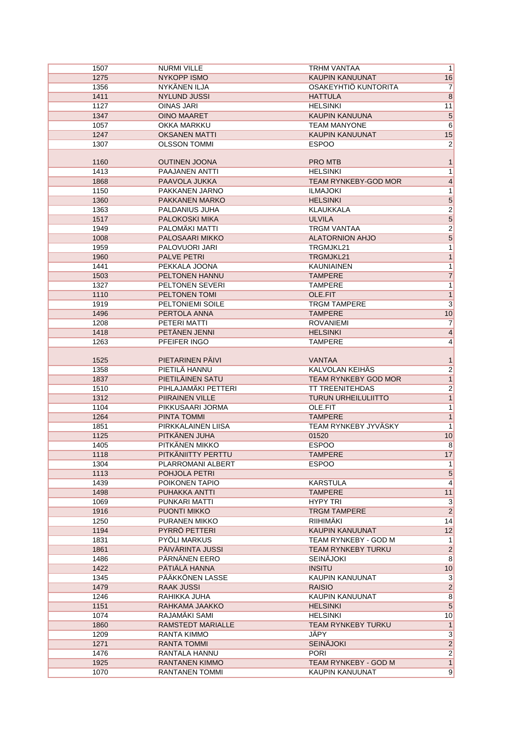| 1507         | <b>NURMI VILLE</b>               | TRHM VANTAA                             | 1                                |
|--------------|----------------------------------|-----------------------------------------|----------------------------------|
| 1275         | NYKOPP ISMO                      | <b>KAUPIN KANUUNAT</b>                  | 16                               |
| 1356         | NYKÄNEN ILJA                     | OSAKEYHTIÖ KUNTORITA                    | 7                                |
| 1411         | <b>NYLUND JUSSI</b>              | <b>HATTULA</b>                          | 8                                |
| 1127         | OINAS JARI                       | <b>HELSINKI</b>                         | 11                               |
| 1347         | <b>OINO MAARET</b>               | KAUPIN KANUUNA                          | $\mathbf 5$                      |
| 1057         | <b>OKKA MARKKU</b>               | <b>TEAM MANYONE</b>                     | 6                                |
| 1247         | <b>OKSANEN MATTI</b>             | <b>KAUPIN KANUUNAT</b>                  | 15                               |
| 1307         | <b>OLSSON TOMMI</b>              | <b>ESPOO</b>                            | $\overline{2}$                   |
|              |                                  |                                         |                                  |
| 1160         | <b>OUTINEN JOONA</b>             | <b>PRO MTB</b>                          |                                  |
| 1413         | <b>PAAJANEN ANTTI</b>            | <b>HELSINKI</b>                         |                                  |
| 1868         | PAAVOLA JUKKA                    | <b>TEAM RYNKEBY-GOD MOR</b>             | 4                                |
| 1150         | PAKKANEN JARNO                   | <b>ILMAJOKI</b>                         | 1                                |
|              |                                  |                                         |                                  |
| 1360         | PAKKANEN MARKO                   | <b>HELSINKI</b>                         | 5                                |
| 1363         | PALDANIUS JUHA                   | <b>KLAUKKALA</b>                        | $\overline{2}$                   |
| 1517         | PALOKOSKI MIKA                   | <b>ULVILA</b>                           | 5                                |
| 1949         | PALOMÄKI MATTI                   | <b>TRGM VANTAA</b>                      | $\overline{2}$                   |
| 1008         | PALOSAARI MIKKO                  | <b>ALATORNION AHJO</b>                  | 5                                |
| 1959         | PALOVUORI JARI                   | TRGMJKL21                               |                                  |
| 1960         | <b>PALVE PETRI</b>               | TRGMJKL21                               | $\mathbf{1}$                     |
| 1441         | PEKKALA JOONA                    | <b>KAUNIAINEN</b>                       | 1                                |
| 1503         | <b>PELTONEN HANNU</b>            | <b>TAMPERE</b>                          | 7                                |
| 1327         | PELTONEN SEVERI                  | <b>TAMPERE</b>                          | 1                                |
| 1110         | PELTONEN TOMI                    | OLE.FIT                                 |                                  |
| 1919         | PELTONIEMI SOILE                 | <b>TRGM TAMPERE</b>                     | 3                                |
| 1496         | PERTOLA ANNA                     | <b>TAMPERE</b>                          | 10                               |
| 1208         | PETERI MATTI                     | <b>ROVANIEMI</b>                        | 7                                |
| 1418         | PETÄNEN JENNI                    | <b>HELSINKI</b>                         |                                  |
| 1263         | PFEIFER INGO                     | <b>TAMPERE</b>                          |                                  |
|              |                                  |                                         |                                  |
| 1525         | PIETARINEN PÄIVI                 | VANTAA                                  |                                  |
| 1358         | PIETILÄ HANNU                    | KALVOLAN KEIHÄS                         | $\overline{2}$                   |
| 1837         | PIETILÄINEN SATU                 | <b>TEAM RYNKEBY GOD MOR</b>             | $\mathbf{1}$                     |
| 1510         | PIHLAJAMÄKI PETTERI              | <b>TT TREENITEHDAS</b>                  | $\overline{2}$                   |
| 1312         | PIIRAINEN VILLE                  | <b>TURUN URHEILULIITTO</b>              | $\mathbf{1}$                     |
| 1104         | PIKKUSAARI JORMA                 | OLE.FIT                                 | 1                                |
| 1264         | PINTA TOMMI                      | <b>TAMPERE</b>                          |                                  |
| 1851         | PIRKKALAINEN LIISA               | TEAM RYNKEBY JYVÄSKY                    | 1                                |
| 1125         | PITKÄNEN JUHA                    | 01520                                   | 10                               |
| 1405         | PITKÄNEN MIKKO                   | <b>ESPOO</b>                            | 8                                |
| 1118         | PITKÄNIITTY PERTTU               | <b>TAMPERE</b>                          | 17                               |
|              |                                  |                                         |                                  |
| 1304         | PLARROMANI ALBERT                | <b>ESPOO</b>                            | $\mathbf{1}$                     |
| 1113         | POHJOLA PETRI                    |                                         | $5\overline{)}$                  |
| 1439         | POIKONEN TAPIO                   | <b>KARSTULA</b>                         | $\overline{4}$                   |
| 1498         | PUHAKKA ANTTI                    | <b>TAMPERE</b>                          | 11                               |
| 1069         | PUNKARI MATTI                    | HYPY TRI                                | 3                                |
| 1916         | PUONTI MIKKO                     | <b>TRGM TAMPERE</b>                     | $\overline{2}$                   |
| 1250         | PURANEN MIKKO                    | RIIHIMAKI                               | 14                               |
| 1194         | PYRRÖ PETTERI                    | KAUPIN KANUUNAT                         | 12                               |
| 1831         | PYÖLI MARKUS                     | TEAM RYNKEBY - GOD M                    | $\mathbf{1}$                     |
| 1861         | PÄIVÄRINTA JUSSI                 | TEAM RYNKEBY TURKU                      | $\overline{2}$                   |
| 1486         | PÄRNÄNEN EERO                    | <b>SEINÄJOKI</b>                        | 8                                |
| 1422         | PÄTIÄLÄ HANNA                    | <b>INSITU</b>                           | 10                               |
| 1345         | PÄÄKKÖNEN LASSE                  | KAUPIN KANUUNAT                         | $\mathbf{3}$                     |
| 1479         | <b>RAAK JUSSI</b>                | <b>RAISIO</b>                           | $\overline{2}$                   |
| 1246         | RAHIKKA JUHA                     | KAUPIN KANUUNAT                         | $\overline{8}$                   |
| 1151         | RAHKAMA JAAKKO                   | <b>HELSINKI</b>                         | $\overline{5}$                   |
| 1074         | RAJAMÄKI SAMI                    | <b>HELSINKI</b>                         | 10                               |
| 1860         | <b>RAMSTEDT MARIALLE</b>         | <b>TEAM RYNKEBY TURKU</b>               | $\mathbf{1}$                     |
| 1209         | RANTA KIMMO                      | JÄPY                                    | $\overline{3}$                   |
| 1271         | RANTA TOMMI                      | <b>SEINÄJOKI</b>                        | $\overline{2}$                   |
|              |                                  |                                         |                                  |
|              |                                  |                                         |                                  |
| 1476         | RANTALA HANNU                    | <b>PORI</b>                             | $\mathbf{2}$                     |
| 1925<br>1070 | RANTANEN KIMMO<br>RANTANEN TOMMI | TEAM RYNKEBY - GOD M<br>KAUPIN KANUUNAT | $\overline{1}$<br>$\overline{9}$ |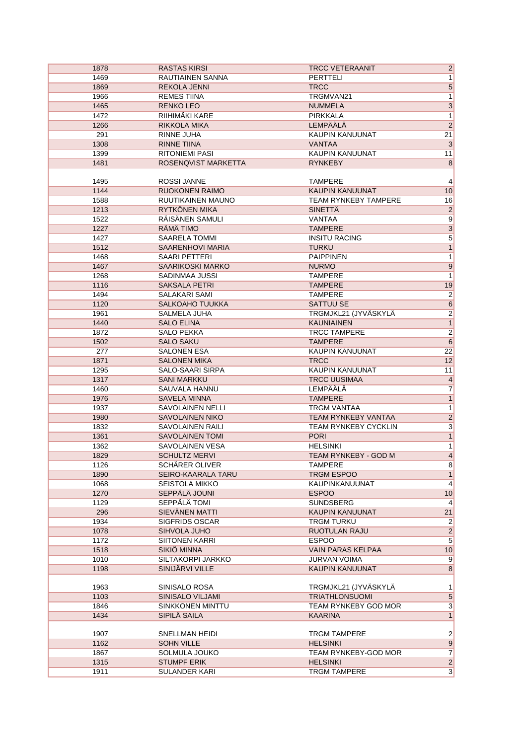| 1878         | <b>RASTAS KIRSI</b>                   | <b>TRCC VETERAANIT</b>        | $\overline{2}$                   |
|--------------|---------------------------------------|-------------------------------|----------------------------------|
| 1469         | RAUTIAINEN SANNA                      | <b>PERTTELI</b>               | 1                                |
| 1869         | <b>REKOLA JENNI</b>                   | <b>TRCC</b>                   | $\overline{5}$                   |
| 1966         | <b>REMES TIINA</b>                    | TRGMVAN21                     | $\overline{1}$                   |
| 1465         | <b>RENKO LEO</b>                      | <b>NUMMELA</b>                | $\overline{3}$                   |
| 1472         | RIIHIMÄKI KARE                        | PIRKKALA                      | $\overline{1}$                   |
| 1266         | RIKKOLA MIKA                          | <b>LEMPÄÄLÄ</b>               | $\overline{2}$                   |
| 291          | RINNE JUHA                            | <b>KAUPIN KANUUNAT</b>        | 21                               |
| 1308         | <b>RINNE TIINA</b>                    | <b>VANTAA</b>                 | 3                                |
| 1399         | <b>RITONIEMI PASI</b>                 | <b>KAUPIN KANUUNAT</b>        | 11                               |
| 1481         | ROSENQVIST MARKETTA                   | <b>RYNKEBY</b>                | $\bf 8$                          |
|              |                                       |                               |                                  |
| 1495         | ROSSI JANNE                           | <b>TAMPERE</b>                | $\overline{4}$                   |
| 1144         | <b>RUOKONEN RAIMO</b>                 | KAUPIN KANUUNAT               | 10                               |
| 1588         | RUUTIKAINEN MAUNO                     | <b>TEAM RYNKEBY TAMPERE</b>   | 16                               |
| 1213         | <b>RYTKÖNEN MIKA</b>                  | <b>SINETTÄ</b>                | $\overline{2}$                   |
| 1522         | RÄISÄNEN SAMULI                       | VANTAA                        | $\overline{9}$                   |
| 1227         | RÂMÂ TIMO                             | <b>TAMPERE</b>                | $\overline{3}$                   |
| 1427         | <b>SAARELA TOMMI</b>                  | <b>INSITU RACING</b>          | $\overline{5}$                   |
| 1512         | <b>SAARENHOVI MARIA</b>               | <b>TURKU</b>                  | $\overline{1}$                   |
| 1468         | SAARI PETTERI                         | <b>PAIPPINEN</b>              | 1                                |
| 1467         | <b>SAARIKOSKI MARKO</b>               | <b>NURMO</b>                  | $9\,$                            |
| 1268         | SADINMAA JUSSI                        | <b>TAMPERE</b>                | $\overline{1}$                   |
| 1116         | <b>SAKSALA PETRI</b>                  | <b>TAMPERE</b>                | 19                               |
| 1494         | <b>SALAKARI SAMI</b>                  | <b>TAMPERE</b>                | $\overline{2}$                   |
| 1120         | <b>SALKOAHO TUUKKA</b>                | <b>SATTUU SE</b>              | 6                                |
| 1961         | SALMELA JUHA                          | TRGMJKL21 (JYVÄSKYLÄ          | $\overline{2}$                   |
| 1440         | <b>SALO ELINA</b>                     | <b>KAUNIAINEN</b>             | $\overline{1}$                   |
| 1872         | SALO PEKKA                            | <b>TRCC TAMPERE</b>           | $\overline{2}$                   |
| 1502         | <b>SALO SAKU</b>                      | <b>TAMPERE</b>                | 6                                |
| 277          | <b>SALONEN ESA</b>                    | KAUPIN KANUUNAT               | 22                               |
| 1871         | <b>SALONEN MIKA</b>                   | <b>TRCC</b>                   | 12                               |
| 1295         | SALO-SAARI SIRPA                      | KAUPIN KANUUNAT               | 11                               |
| 1317         | <b>SANI MARKKU</b>                    | <b>TRCC UUSIMAA</b>           | $\vert 4 \vert$                  |
| 1460         | SAUVALA HANNU                         | LEMPÄÄLÄ                      | $\overline{7}$                   |
| 1976         | <b>SAVELA MINNA</b>                   | <b>TAMPERE</b>                | $\overline{1}$                   |
| 1937         | SAVOLAINEN NELLI                      | <b>TRGM VANTAA</b>            | 1                                |
| 1980         | <b>SAVOLAINEN NIKO</b>                | TEAM RYNKEBY VANTAA           | $\overline{2}$                   |
| 1832         | <b>SAVOLAINEN RAILI</b>               | <b>TEAM RYNKEBY CYCKLIN</b>   | $\overline{3}$                   |
| 1361         | <b>SAVOLAINEN TOMI</b>                | <b>PORI</b>                   | $\overline{1}$                   |
| 1362         | SAVOLAINEN VESA                       | <b>HELSINKI</b>               | 1                                |
| 1829         | <b>SCHULTZ MERVI</b>                  | <b>TEAM RYNKEBY - GOD M</b>   | 4                                |
| 1126         | SCHÄRER OLIVER                        | <b>TAMPERE</b>                | 8                                |
| 1890         | <b>SEIRO-KAARALA TARU</b>             | <b>TRGM ESPOO</b>             | 1                                |
| 1068         | <b>SEISTOLA MIKKO</b>                 | KAUPINKANUUNAT                | $\overline{4}$                   |
| 1270         | SEPPÄLÄ JOUNI                         | <b>ESPOO</b>                  | 10                               |
| 1129         | SEPPÄLÄ TOMI                          | <b>SUNDSBERG</b>              | $\vert$                          |
| 296          | SIEVÄNEN MATTI                        | KAUPIN KANUUNAT               | 21                               |
| 1934         | <b>SIGFRIDS OSCAR</b>                 | <b>TRGM TURKU</b>             | $2\vert$                         |
| 1078<br>1172 | SIHVOLA JUHO<br><b>SIITONEN KARRI</b> | RUOTULAN RAJU<br><b>ESPOO</b> | $\overline{2}$<br>$\overline{5}$ |
| 1518         | SIKIÖ MINNA                           | <b>VAIN PARAS KELPAA</b>      |                                  |
| 1010         | SILTAKORPI JARKKO                     | <b>JURVAN VOIMA</b>           | 10<br>9                          |
| 1198         | SINIJÄRVI VILLE                       | KAUPIN KANUUNAT               | 8                                |
|              |                                       |                               |                                  |
| 1963         | SINISALO ROSA                         | TRGMJKL21 (JYVÄSKYLÄ          | 1                                |
| 1103         | SINISALO VILJAMI                      | <b>TRIATHLONSUOMI</b>         | $5\overline{)}$                  |
| 1846         | SINKKONEN MINTTU                      | TEAM RYNKEBY GOD MOR          | $\overline{3}$                   |
| 1434         | SIPILÄ SAILA                          | <b>KAARINA</b>                | 1                                |
|              |                                       |                               |                                  |
| 1907         | SNELLMAN HEIDI                        | <b>TRGM TAMPERE</b>           | $\mathbf{2}$                     |
| 1162         | <b>SOHN VILLE</b>                     | <b>HELSINKI</b>               | 9                                |
| 1867         | SOLMULA JOUKO                         | TEAM RYNKEBY-GOD MOR          | $\overline{7}$                   |
| 1315         | <b>STUMPF ERIK</b>                    | <b>HELSINKI</b>               | $\overline{2}$                   |
| 1911         | SULANDER KARI                         | <b>TRGM TAMPERE</b>           | 3                                |
|              |                                       |                               |                                  |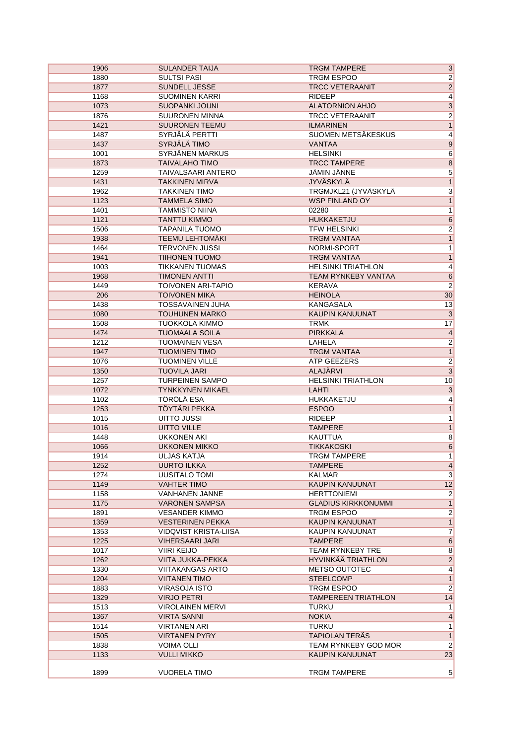| 1906 | <b>SULANDER TAIJA</b>     | $\overline{3}$<br><b>TRGM TAMPERE</b>          |
|------|---------------------------|------------------------------------------------|
| 1880 | <b>SULTSI PASI</b>        | $\overline{2}$<br>TRGM ESPOO                   |
| 1877 | SUNDELL JESSE             | $\overline{2}$<br><b>TRCC VETERAANIT</b>       |
| 1168 | <b>SUOMINEN KARRI</b>     | $\overline{4}$<br><b>RIDEEP</b>                |
| 1073 | <b>SUOPANKI JOUNI</b>     | $\overline{3}$<br><b>ALATORNION AHJO</b>       |
| 1876 | <b>SUURONEN MINNA</b>     | $\overline{2}$<br><b>TRCC VETERAANIT</b>       |
| 1421 | <b>SUURONEN TEEMU</b>     | <b>ILMARINEN</b><br>$\vert$                    |
| 1487 | SYRJÄLÄ PERTTI            | $\overline{4}$<br>SUOMEN METSÄKESKUS           |
| 1437 | SYRJÄLÄ TIMO              | 9<br><b>VANTAA</b>                             |
| 1001 | SYRJÄNEN MARKUS           | 6<br><b>HELSINKI</b>                           |
| 1873 | <b>TAIVALAHO TIMO</b>     | <b>TRCC TAMPERE</b><br>$\overline{\mathbf{8}}$ |
| 1259 | TAIVALSAARI ANTERO        | $\overline{5}$<br><b>JÄMIN JÄNNE</b>           |
| 1431 | <b>TAKKINEN MIRVA</b>     | $\overline{1}$<br><b>JYVÄSKYLÄ</b>             |
| 1962 | <b>TAKKINEN TIMO</b>      | $\overline{3}$<br>TRGMJKL21 (JYVÄSKYLÄ         |
| 1123 | <b>TAMMELA SIMO</b>       | $\overline{1}$<br><b>WSP FINLAND OY</b>        |
| 1401 | <b>TAMMISTO NIINA</b>     | 02280<br>1                                     |
|      |                           |                                                |
| 1121 | <b>TANTTU KIMMO</b>       | HUKKAKETJU<br>$6\overline{6}$                  |
| 1506 | <b>TAPANILA TUOMO</b>     | $\overline{2}$<br><b>TFW HELSINKI</b>          |
| 1938 | <b>TEEMU LEHTOMÄKI</b>    | $\overline{1}$<br><b>TRGM VANTAA</b>           |
| 1464 | <b>TERVONEN JUSSI</b>     | NORMI-SPORT<br>1                               |
| 1941 | <b>TIIHONEN TUOMO</b>     | <b>TRGM VANTAA</b><br>$\vert$                  |
| 1003 | <b>TIKKANEN TUOMAS</b>    | $\overline{4}$<br><b>HELSINKI TRIATHLON</b>    |
| 1968 | <b>TIMONEN ANTTI</b>      | $6\overline{6}$<br><b>TEAM RYNKEBY VANTAA</b>  |
| 1449 | <b>TOIVONEN ARI-TAPIO</b> | $\overline{2}$<br>KERAVA                       |
| 206  | <b>TOIVONEN MIKA</b>      | <b>HEINOLA</b><br>30                           |
| 1438 | <b>TOSSAVAINEN JUHA</b>   | KANGASALA<br>13                                |
| 1080 | <b>TOUHUNEN MARKO</b>     | $\overline{3}$<br><b>KAUPIN KANUUNAT</b>       |
| 1508 | <b>TUOKKOLA KIMMO</b>     | <b>TRMK</b><br>17                              |
| 1474 | <b>TUOMAALA SOILA</b>     | <b>PIRKKALA</b><br>$\overline{4}$              |
| 1212 | <b>TUOMAINEN VESA</b>     | $\overline{2}$<br>LAHELA                       |
| 1947 | <b>TUOMINEN TIMO</b>      | $\overline{1}$<br><b>TRGM VANTAA</b>           |
| 1076 | <b>TUOMINEN VILLE</b>     | $\overline{2}$<br>ATP GEEZERS                  |
| 1350 | <b>TUOVILA JARI</b>       | $\overline{3}$<br><b>ALAJÄRVI</b>              |
| 1257 | <b>TURPEINEN SAMPO</b>    | <b>HELSINKI TRIATHLON</b><br>10                |
| 1072 | <b>TYNKKYNEN MIKAEL</b>   | $\overline{3}$<br><b>LAHTI</b>                 |
| 1102 | TÖRÖLÄ ESA                | $\overline{4}$<br>HUKKAKETJU                   |
| 1253 | <b>TÖYTÄRI PEKKA</b>      | <b>ESPOO</b><br>1                              |
| 1015 | UITTO JUSSI               | $\overline{1}$<br><b>RIDEEP</b>                |
| 1016 | <b>UITTO VILLE</b>        | $\overline{1}$<br><b>TAMPERE</b>               |
|      |                           |                                                |
| 1448 | <b>UKKONEN AKI</b>        | $\overline{8}$<br><b>KAUTTUA</b>               |
| 1066 | <b>UKKONEN MIKKO</b>      | $6\overline{6}$<br><b>TIKKAKOSKI</b>           |
| 1914 | <b>ULJAS KATJA</b>        | $\overline{1}$<br><b>TRGM TAMPERE</b>          |
| 1252 | <b>UURTO ILKKA</b>        | <b>TAMPERE</b><br>$\vert 4 \vert$              |
| 1274 | UUSITALO TOMI             | $\overline{3}$<br>KALMAR                       |
| 1149 | <b>VAHTER TIMO</b>        | 12<br><b>KAUPIN KANUUNAT</b>                   |
| 1158 | <b>VANHANEN JANNE</b>     | $\vert$ 2<br><b>HERTTONIEMI</b>                |
| 1175 | <b>VARONEN SAMPSA</b>     | 1<br><b>GLADIUS KIRKKONUMMI</b>                |
| 1891 | <b>VESANDER KIMMO</b>     | $2\vert$<br>TRGM ESPOO                         |
| 1359 | <b>VESTERINEN PEKKA</b>   | 1<br><b>KAUPIN KANUUNAT</b>                    |
| 1353 | VIDQVIST KRISTA-LIISA     | $\overline{7}$<br>KAUPIN KANUUNAT              |
| 1225 | <b>VIHERSAARI JARI</b>    | <b>TAMPERE</b><br>6                            |
| 1017 | <b>VIIRI KEIJO</b>        | <b>TEAM RYNKEBY TRE</b><br>8                   |
| 1262 | VIITA JUKKA-PEKKA         | $\overline{2}$<br>HYVINKÄÄ TRIATHLON           |
| 1330 | <b>VIITAKANGAS ARTO</b>   | 4<br><b>METSO OUTOTEC</b>                      |
| 1204 | <b>VIITANEN TIMO</b>      | 1<br><b>STEELCOMP</b>                          |
| 1883 | <b>VIRASOJA ISTO</b>      | $\overline{2}$<br>TRGM ESPOO                   |
| 1329 | <b>VIRJO PETRI</b>        | <b>TAMPEREEN TRIATHLON</b><br>14               |
| 1513 | <b>VIROLAINEN MERVI</b>   | <b>TURKU</b><br>1                              |
| 1367 | <b>VIRTA SANNI</b>        | 4<br><b>NOKIA</b>                              |
| 1514 | <b>VIRTANEN ARI</b>       | <b>TURKU</b><br>1                              |
|      | <b>VIRTANEN PYRY</b>      | <b>TAPIOLAN TERÄS</b><br>1                     |
|      |                           |                                                |
| 1505 |                           |                                                |
| 1838 | <b>VOIMA OLLI</b>         | $\overline{2}$<br>TEAM RYNKEBY GOD MOR         |
| 1133 | <b>VULLI MIKKO</b>        | <b>KAUPIN KANUUNAT</b><br>23                   |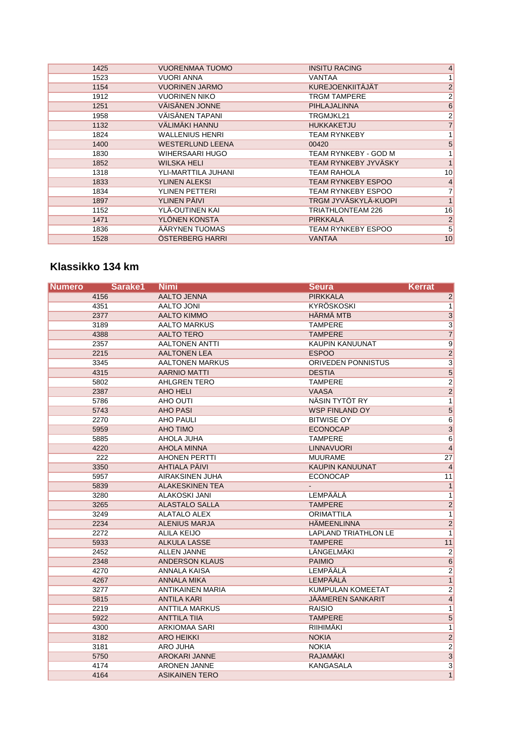| 1425 | <b>VUORENMAA TUOMO</b>  | <b>INSITU RACING</b>        | 4                |
|------|-------------------------|-----------------------------|------------------|
| 1523 | VUORI ANNA              | VANTAA                      |                  |
| 1154 | <b>VUORINEN JARMO</b>   | KUREJOENKIITÄJÄT            | $\overline{2}$   |
| 1912 | <b>VUORINEN NIKO</b>    | <b>TRGM TAMPERE</b>         | $\mathbf{2}$     |
| 1251 | <b>VÄISÄNEN JONNE</b>   | <b>PIHLAJALINNA</b>         | $6 \overline{6}$ |
| 1958 | VÄISÄNEN TAPANI         | TRGMJKL21                   | $\overline{2}$   |
| 1132 | VÄLIMÄKI HANNU          | <b>HUKKAKETJU</b>           | $\overline{7}$   |
| 1824 | <b>WALLENIUS HENRI</b>  | <b>TEAM RYNKEBY</b>         | 1 <sup>1</sup>   |
| 1400 | <b>WESTERLUND LEENA</b> | 00420                       | $\overline{5}$   |
| 1830 | WIHERSAARI HUGO         | TEAM RYNKEBY - GOD M        | $\mathbf{1}$     |
| 1852 | <b>WILSKA HELI</b>      | TEAM RYNKEBY JYVÄSKY        | 1                |
| 1318 | YLI-MARTTILA JUHANI     | TEAM RAHOLA                 | 10               |
| 1833 | YLINEN ALEKSI           | <b>TEAM RYNKEBY ESPOO</b>   | 4                |
| 1834 | YLINEN PETTERI          | TEAM RYNKEBY ESPOO          | $\overline{7}$   |
| 1897 | <b>YLINEN PÄIVI</b>     | <b>TRGM JYVÄSKYLÄ-KUOPI</b> | 1                |
| 1152 | YLÄ-OUTINEN KAI         | TRIATHLONTEAM 226           | 16               |
| 1471 | YLÖNEN KONSTA           | <b>PIRKKALA</b>             | $\overline{2}$   |
| 1836 | ÄÄRYNEN TUOMAS          | TEAM RYNKEBY ESPOO          | 5                |
| 1528 | ÖSTERBERG HARRI         | <b>VANTAA</b>               | 10               |

## **Klassikko 134 km**

| <b>Numero</b> | Sarake1 | <b>Nimi</b>             | <b>Seura</b>                | <b>Kerrat</b>   |
|---------------|---------|-------------------------|-----------------------------|-----------------|
|               | 4156    | <b>AALTO JENNA</b>      | <b>PIRKKALA</b>             | $\overline{2}$  |
|               | 4351    | AALTO JONI              | KYRÖSKOSKI                  | $\overline{1}$  |
|               | 2377    | <b>AALTO KIMMO</b>      | <b>HÄRMÄ MTB</b>            | $\overline{3}$  |
|               | 3189    | <b>AALTO MARKUS</b>     | <b>TAMPERE</b>              | $\overline{3}$  |
|               | 4388    | <b>AALTO TERO</b>       | <b>TAMPERE</b>              | $\overline{7}$  |
|               | 2357    | <b>AALTONEN ANTTI</b>   | <b>KAUPIN KANUUNAT</b>      | $\overline{9}$  |
|               | 2215    | <b>AALTONEN LEA</b>     | <b>ESPOO</b>                | $\overline{2}$  |
|               | 3345    | <b>AALTONEN MARKUS</b>  | ORIVEDEN PONNISTUS          | $\overline{3}$  |
|               | 4315    | <b>AARNIO MATTI</b>     | <b>DESTIA</b>               | $\overline{5}$  |
|               | 5802    | <b>AHLGREN TERO</b>     | <b>TAMPERE</b>              | $\overline{2}$  |
|               | 2387    | AHO HELI                | <b>VAASA</b>                | $\overline{2}$  |
|               | 5786    | AHO OUTI                | NÄSIN TYTÖT RY              | $\mathbf{1}$    |
|               | 5743    | <b>AHO PASI</b>         | <b>WSP FINLAND OY</b>       | $\mathbf 5$     |
|               | 2270    | <b>AHO PAULI</b>        | <b>BITWISE OY</b>           | $\overline{6}$  |
|               | 5959    | <b>AHO TIMO</b>         | <b>ECONOCAP</b>             | $\overline{3}$  |
|               | 5885    | AHOLA JUHA              | <b>TAMPERE</b>              | 6               |
|               | 4220    | <b>AHOLA MINNA</b>      | <b>LINNAVUORI</b>           | $\overline{4}$  |
|               | 222     | <b>AHONEN PERTTI</b>    | <b>MUURAME</b>              | 27              |
|               | 3350    | <b>AHTIALA PÄIVI</b>    | <b>KAUPIN KANUUNAT</b>      | $\overline{4}$  |
|               | 5957    | <b>AIRAKSINEN JUHA</b>  | <b>ECONOCAP</b>             | 11              |
|               | 5839    | <b>ALAKESKINEN TEA</b>  |                             | $\overline{1}$  |
|               | 3280    | <b>ALAKOSKI JANI</b>    | LEMPÄÄLÄ                    | $\overline{1}$  |
|               | 3265    | <b>ALASTALO SALLA</b>   | <b>TAMPERE</b>              | $\overline{2}$  |
|               | 3249    | <b>ALATALO ALEX</b>     | <b>ORIMATTILA</b>           | $\overline{1}$  |
|               | 2234    | <b>ALENIUS MARJA</b>    | <b>HÄMEENLINNA</b>          | $\overline{2}$  |
|               | 2272    | <b>ALILA KEIJO</b>      | <b>LAPLAND TRIATHLON LE</b> | $\mathbf{1}$    |
|               | 5933    | <b>ALKULA LASSE</b>     | <b>TAMPERE</b>              | 11              |
|               | 2452    | <b>ALLEN JANNE</b>      | LÄNGELMÄKI                  | $\overline{2}$  |
|               | 2348    | <b>ANDERSON KLAUS</b>   | <b>PAIMIO</b>               | $6\overline{6}$ |
|               | 4270    | <b>ANNALA KAISA</b>     | LEMPÄÄLÄ                    | $\overline{2}$  |
|               | 4267    | <b>ANNALA MIKA</b>      | LEMPÄÄLÄ                    | $\overline{1}$  |
|               | 3277    | <b>ANTIKAINEN MARIA</b> | KUMPULAN KOMEETAT           | $\overline{2}$  |
|               | 5815    | <b>ANTILA KARI</b>      | <b>JÄÄMEREN SANKARIT</b>    | $\overline{4}$  |
|               | 2219    | <b>ANTTILA MARKUS</b>   | <b>RAISIO</b>               | $\mathbf{1}$    |
|               | 5922    | <b>ANTTILA TIIA</b>     | <b>TAMPERE</b>              | $\mathbf 5$     |
|               | 4300    | <b>ARKIOMAA SARI</b>    | RIIHIMÄKI                   | $\overline{1}$  |
|               | 3182    | <b>ARO HEIKKI</b>       | <b>NOKIA</b>                | $\overline{2}$  |
|               | 3181    | ARO JUHA                | <b>NOKIA</b>                | $\overline{2}$  |
|               | 5750    | <b>AROKARI JANNE</b>    | RAJAMÄKI                    | $\overline{3}$  |
|               | 4174    | <b>ARONEN JANNE</b>     | <b>KANGASALA</b>            | $\overline{3}$  |
|               | 4164    | <b>ASIKAINEN TERO</b>   |                             | $\overline{1}$  |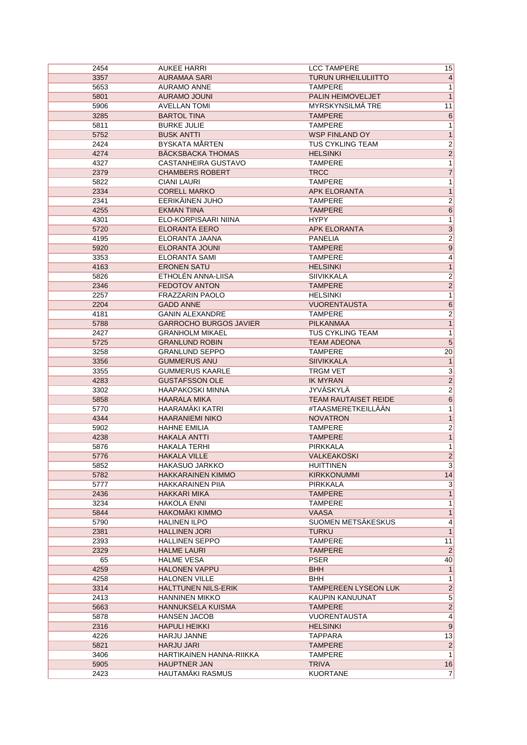| 2454 | <b>AUKEE HARRI</b>            | <b>LCC TAMPERE</b>          | 15              |
|------|-------------------------------|-----------------------------|-----------------|
| 3357 | <b>AURAMAA SARI</b>           | <b>TURUN URHEILULIITTO</b>  | 4               |
| 5653 | <b>AURAMO ANNE</b>            | <b>TAMPERE</b>              | 1               |
| 5801 | <b>AURAMO JOUNI</b>           | PALIN HEIMOVELJET           | $\overline{1}$  |
| 5906 | <b>AVELLAN TOMI</b>           | MYRSKYNSILMÄ TRE            | 11              |
| 3285 | <b>BARTOL TINA</b>            | <b>TAMPERE</b>              | $6\overline{6}$ |
| 5811 | <b>BURKE JULIE</b>            | <b>TAMPERE</b>              | 1               |
| 5752 | <b>BUSK ANTTI</b>             | <b>WSP FINLAND OY</b>       | 1               |
| 2424 | <b>BYSKATA MÅRTEN</b>         | TUS CYKLING TEAM            | $\overline{2}$  |
| 4274 | <b>BÄCKSBACKA THOMAS</b>      | <b>HELSINKI</b>             | $\overline{2}$  |
| 4327 | CASTANHEIRA GUSTAVO           | <b>TAMPERE</b>              | 1               |
| 2379 | <b>CHAMBERS ROBERT</b>        | <b>TRCC</b>                 | $\overline{7}$  |
| 5822 | <b>CIANI LAURI</b>            | <b>TAMPERE</b>              | $\overline{1}$  |
| 2334 | <b>CORELL MARKO</b>           | <b>APK ELORANTA</b>         | 1               |
| 2341 | EERIKÄINEN JUHO               | <b>TAMPERE</b>              | $\overline{2}$  |
| 4255 | <b>EKMAN TIINA</b>            | <b>TAMPERE</b>              | $6\overline{6}$ |
| 4301 | ELO-KORPISAARI NIINA          | <b>HYPY</b>                 | $\overline{1}$  |
| 5720 | <b>ELORANTA EERO</b>          | <b>APK ELORANTA</b>         | $\overline{3}$  |
| 4195 | <b>ELORANTA JAANA</b>         | <b>PANELIA</b>              | $\overline{2}$  |
| 5920 | <b>ELORANTA JOUNI</b>         | <b>TAMPERE</b>              | $\overline{9}$  |
| 3353 | ELORANTA SAMI                 | <b>TAMPERE</b>              | $\overline{4}$  |
| 4163 | <b>ERONEN SATU</b>            | <b>HELSINKI</b>             | $\overline{1}$  |
| 5826 | ETHOLÉN ANNA-LIISA            | <b>SIIVIKKALA</b>           | $\overline{2}$  |
| 2346 | FEDOTOV ANTON                 | <b>TAMPERE</b>              | $\overline{2}$  |
| 2257 | <b>FRAZZARIN PAOLO</b>        | <b>HELSINKI</b>             | 1               |
| 2204 | <b>GADD ANNE</b>              | <b>VUORENTAUSTA</b>         | $6\overline{6}$ |
| 4181 | <b>GANIN ALEXANDRE</b>        | <b>TAMPERE</b>              | $\overline{2}$  |
| 5788 | <b>GARROCHO BURGOS JAVIER</b> | <b>PILKANMAA</b>            | $\overline{1}$  |
| 2427 | <b>GRANHOLM MIKAEL</b>        | TUS CYKLING TEAM            | 1               |
| 5725 | <b>GRANLUND ROBIN</b>         | <b>TEAM ADEONA</b>          | $\overline{5}$  |
| 3258 | <b>GRANLUND SEPPO</b>         | <b>TAMPERE</b>              | 20              |
| 3356 | <b>GUMMERUS ANU</b>           | <b>SIIVIKKALA</b>           | $\mathbf{1}$    |
| 3355 | <b>GUMMERUS KAARLE</b>        | <b>TRGM VET</b>             | $\overline{3}$  |
| 4283 | <b>GUSTAFSSON OLE</b>         | <b>IK MYRAN</b>             | $\overline{2}$  |
| 3302 | <b>HAAPAKOSKI MINNA</b>       | JYVÄSKYLÄ                   | $\overline{2}$  |
| 5858 | <b>HAARALA MIKA</b>           | TEAM RAUTAISET REIDE        | $\overline{6}$  |
| 5770 | HAARAMÄKI KATRI               | #TAASMERETKEILLÄÄN          | 1               |
| 4344 | <b>HAARANIEMI NIKO</b>        | <b>NOVATRON</b>             | $\overline{1}$  |
| 5902 | <b>HAHNE EMILIA</b>           | <b>TAMPERE</b>              | $\overline{2}$  |
| 4238 | <b>HAKALA ANTTI</b>           | <b>TAMPERE</b>              | $\overline{1}$  |
| 5876 | <b>HAKALA TERHI</b>           | PIRKKALA                    | 1               |
| 5776 | <b>HAKALA VILLE</b>           | <b>VALKEAKOSKI</b>          | $\overline{2}$  |
| 5852 | <b>HAKASUO JARKKO</b>         | <b>HUITTINEN</b>            | 3               |
| 5782 | <b>HAKKARAINEN KIMMO</b>      | <b>KIRKKONUMMI</b>          | 14              |
| 5777 | <b>HAKKARAINEN PIIA</b>       | PIRKKALA                    | 3               |
| 2436 | <b>HAKKARI MIKA</b>           | TAMPERE                     | 1               |
| 3234 | <b>HAKOLA ENNI</b>            | <b>TAMPERE</b>              | 1               |
| 5844 | <b>HAKOMAKI KIMMO</b>         | <b>VAASA</b>                | 1               |
| 5790 | <b>HALINEN ILPO</b>           | SUOMEN METSÄKESKUS          | 4               |
| 2381 | <b>HALLINEN JORI</b>          | <b>TURKU</b>                | 1               |
| 2393 | <b>HALLINEN SEPPO</b>         | <b>TAMPERE</b>              | 11              |
| 2329 | <b>HALME LAURI</b>            | <b>TAMPERE</b>              | $\overline{2}$  |
| 65   | <b>HALME VESA</b>             | <b>PSER</b>                 | 40              |
| 4259 | <b>HALONEN VAPPU</b>          | <b>BHH</b>                  | 1               |
| 4258 | <b>HALONEN VILLE</b>          | BHH                         | 1               |
| 3314 | <b>HALTTUNEN NILS-ERIK</b>    | <b>TAMPEREEN LYSEON LUK</b> | $\overline{2}$  |
| 2413 | <b>HANNINEN MIKKO</b>         | KAUPIN KANUUNAT             | $\overline{5}$  |
| 5663 | HANNUKSELA KUISMA             | <b>TAMPERE</b>              | $\overline{2}$  |
| 5878 | <b>HANSEN JACOB</b>           | <b>VUORENTAUSTA</b>         | 4               |
| 2316 | <b>HAPULI HEIKKI</b>          | <b>HELSINKI</b>             | 9               |
| 4226 | <b>HARJU JANNE</b>            | <b>TAPPARA</b>              | 13              |
| 5821 | <b>HARJU JARI</b>             | <b>TAMPERE</b>              | $\vert$ 2       |
| 3406 | HARTIKAINEN HANNA-RIIKKA      | TAMPERE                     | 1               |
| 5905 | <b>HAUPTNER JAN</b>           | <b>TRIVA</b>                | 16              |
| 2423 | HAUTAMÄKI RASMUS              | <b>KUORTANE</b>             | $\overline{7}$  |
|      |                               |                             |                 |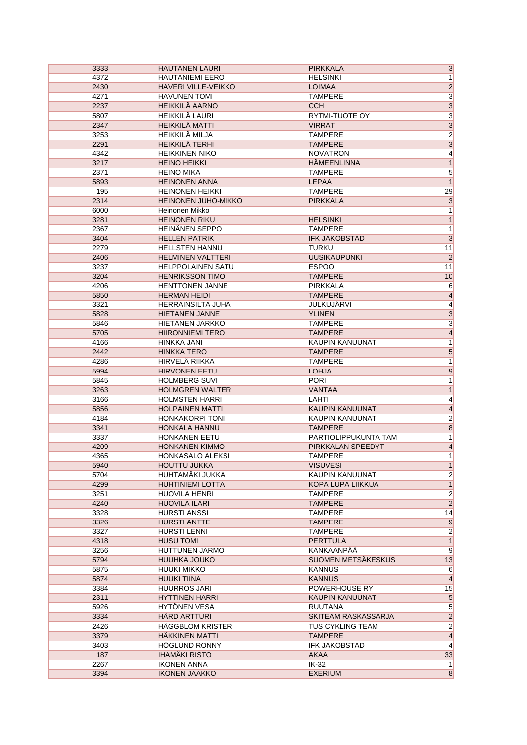| 3333 | <b>HAUTANEN LAURI</b>      | <b>PIRKKALA</b>         | 3                       |
|------|----------------------------|-------------------------|-------------------------|
| 4372 | <b>HAUTANIEMI EERO</b>     | <b>HELSINKI</b>         | 1                       |
| 2430 | <b>HAVERI VILLE-VEIKKO</b> | <b>LOIMAA</b>           | $\overline{2}$          |
| 4271 | <b>HAVUNEN TOMI</b>        | <b>TAMPERE</b>          | $\overline{3}$          |
| 2237 | <b>HEIKKILÄ AARNO</b>      | <b>CCH</b>              | $\overline{3}$          |
| 5807 | HEIKKILÄ LAURI             | <b>RYTMI-TUOTE OY</b>   | $\overline{3}$          |
| 2347 | <b>HEIKKILÄ MATTI</b>      | <b>VIRRAT</b>           | $\overline{3}$          |
| 3253 | HEIKKILÄ MILJA             | <b>TAMPERE</b>          | $\overline{2}$          |
| 2291 | <b>HEIKKILÄ TERHI</b>      | <b>TAMPERE</b>          | $\overline{3}$          |
| 4342 | <b>HEIKKINEN NIKO</b>      | <b>NOVATRON</b>         | $\overline{4}$          |
| 3217 | <b>HEINO HEIKKI</b>        | <b>HÄMEENLINNA</b>      | $\overline{1}$          |
| 2371 | <b>HEINO MIKA</b>          | <b>TAMPERE</b>          | $\overline{5}$          |
| 5893 | <b>HEINONEN ANNA</b>       | <b>LEPAA</b>            | $\overline{1}$          |
| 195  | <b>HEINONEN HEIKKI</b>     | <b>TAMPERE</b>          | 29                      |
| 2314 | <b>HEINONEN JUHO-MIKKO</b> | <b>PIRKKALA</b>         | $\overline{3}$          |
| 6000 | Heinonen Mikko             |                         | 1                       |
| 3281 | <b>HEINONEN RIKU</b>       | <b>HELSINKI</b>         | $\mathbf{1}$            |
| 2367 | HEINÄNEN SEPPO             | <b>TAMPERE</b>          | $\mathbf{1}$            |
| 3404 | <b>HELLÉN PATRIK</b>       | <b>IFK JAKOBSTAD</b>    | $\overline{3}$          |
| 2279 | <b>HELLSTEN HANNU</b>      | <b>TURKU</b>            |                         |
|      |                            |                         | 11                      |
| 2406 | <b>HELMINEN VALTTERI</b>   | <b>UUSIKAUPUNKI</b>     | $\overline{\mathbf{c}}$ |
| 3237 | <b>HELPPOLAINEN SATU</b>   | <b>ESPOO</b>            | 11                      |
| 3204 | <b>HENRIKSSON TIMO</b>     | <b>TAMPERE</b>          | 10                      |
| 4206 | <b>HENTTONEN JANNE</b>     | PIRKKALA                | $6\overline{6}$         |
| 5850 | <b>HERMAN HEIDI</b>        | <b>TAMPERE</b>          | $\overline{\mathbf{r}}$ |
| 3321 | <b>HERRAINSILTA JUHA</b>   | <b>JULKUJARVI</b>       | 4                       |
| 5828 | <b>HIETANEN JANNE</b>      | <b>YLINEN</b>           | $\overline{3}$          |
| 5846 | <b>HIETANEN JARKKO</b>     | <b>TAMPERE</b>          | $\overline{\mathbf{3}}$ |
| 5705 | <b>HIIRONNIEMI TERO</b>    | <b>TAMPERE</b>          | $\overline{4}$          |
| 4166 | HINKKA JANI                | <b>KAUPIN KANUUNAT</b>  | $\mathbf 1$             |
| 2442 | <b>HINKKA TERO</b>         | <b>TAMPERE</b>          | $\overline{5}$          |
| 4286 | <b>HIRVELÄ RIIKKA</b>      | <b>TAMPERE</b>          | 1                       |
| 5994 | <b>HIRVONEN EETU</b>       | <b>LOHJA</b>            | $\overline{9}$          |
| 5845 | <b>HOLMBERG SUVI</b>       | <b>PORI</b>             | 1                       |
| 3263 | <b>HOLMGREN WALTER</b>     | <b>VANTAA</b>           | $\overline{\mathbf{1}}$ |
| 3166 | <b>HOLMSTEN HARRI</b>      | LAHTI                   | $\overline{4}$          |
| 5856 | <b>HOLPAINEN MATTI</b>     | <b>KAUPIN KANUUNAT</b>  | $\overline{4}$          |
| 4184 | <b>HONKAKORPI TONI</b>     | KAUPIN KANUUNAT         |                         |
| 3341 | <b>HONKALA HANNU</b>       | <b>TAMPERE</b>          | $\frac{2}{8}$           |
| 3337 | HONKANEN EETU              | PARTIOLIPPUKUNTA TAM    | $\mathbf{1}$            |
| 4209 | <b>HONKANEN KIMMO</b>      | PIRKKALAN SPEEDYT       | $\overline{\mathbf{r}}$ |
| 4365 | HONKASALO ALEKSI           | <b>TAMPERE</b>          | 1                       |
| 5940 | <b>HOUTTU JUKKA</b>        | <b>VISUVESI</b>         | $\mathbf{1}$            |
| 5704 | HUHTAMÄKI JUKKA            | KAUPIN KANUUNAT         | $\overline{2}$          |
| 4299 | <b>HUHTINIEMI LOTTA</b>    | KOPA LUPA LIIKKUA       | $\mathbf{1}$            |
| 3251 | <b>HUOVILA HENRI</b>       | <b>TAMPERE</b>          | $\overline{2}$          |
| 4240 | <b>HUOVILA ILARI</b>       | <b>TAMPERE</b>          | $\overline{2}$          |
| 3328 | <b>HURSTI ANSSI</b>        | TAMPERE                 | 14                      |
| 3326 | <b>HURSTI ANTTE</b>        | <b>TAMPERE</b>          | $\overline{9}$          |
| 3327 | <b>HURSTI LENNI</b>        | <b>TAMPERE</b>          | $\overline{2}$          |
| 4318 | <b>HUSU TOMI</b>           | <b>PERTTULA</b>         | $\mathbf{1}$            |
|      | HUTTUNEN JARMO             | KANKAANPÄÄ              | 9                       |
| 3256 |                            | SUOMEN METSÄKESKUS      | 13                      |
| 5794 | <b>HUUHKA JOUKO</b>        |                         |                         |
| 5875 | <b>HUUKI MIKKO</b>         | <b>KANNUS</b>           | $\,6$                   |
| 5874 | <b>HUUKI TIINA</b>         | <b>KANNUS</b>           | $\overline{4}$          |
| 3384 | <b>HUURROS JARI</b>        | POWERHOUSE RY           | 15                      |
| 2311 | <b>HYTTINEN HARRI</b>      | KAUPIN KANUUNAT         | $\overline{5}$          |
| 5926 | <b>HYTÖNEN VESA</b>        | <b>RUUTANA</b>          | $\overline{5}$          |
| 3334 | HÅRD ARTTURI               | SKITEAM RASKASSARJA     | $\overline{2}$          |
| 2426 | <b>HÄGGBLOM KRISTER</b>    | <b>TUS CYKLING TEAM</b> | $\overline{\mathbf{c}}$ |
| 3379 | <b>HAKKINEN MATTI</b>      | <b>TAMPERE</b>          | 4                       |
| 3403 | <b>HOGLUND RONNY</b>       | <b>IFK JAKOBSTAD</b>    | $\overline{4}$          |
| 187  | <b>IHAMÄKI RISTO</b>       | <b>AKAA</b>             | 33                      |
| 2267 | <b>IKONEN ANNA</b>         | IK-32                   | 1                       |
| 3394 | <b>IKONEN JAAKKO</b>       | <b>EXERIUM</b>          | $\overline{8}$          |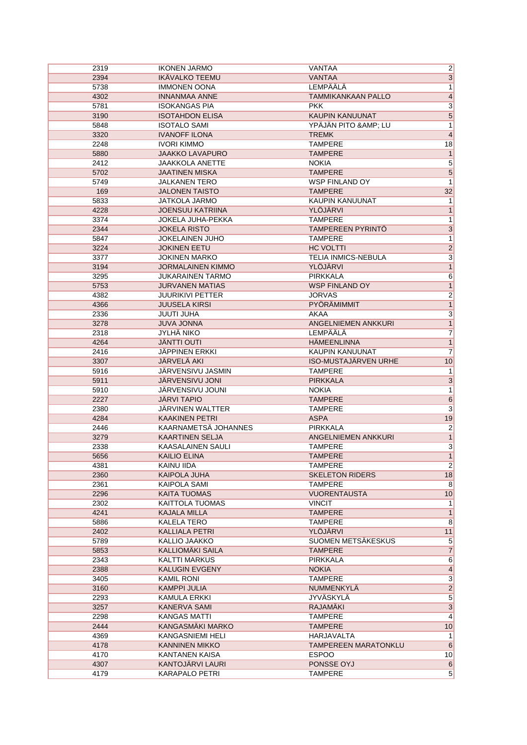| 2319         | <b>IKONEN JARMO</b>         | VANTAA                      | $\overline{2}$      |
|--------------|-----------------------------|-----------------------------|---------------------|
| 2394         | <b>IKÄVALKO TEEMU</b>       | <b>VANTAA</b>               | $\overline{3}$      |
| 5738         | <b>IMMONEN OONA</b>         | <b>LEMPÄÄLÄ</b>             | $\overline{1}$      |
| 4302         | <b>INNANMAA ANNE</b>        | <b>TAMMIKANKAAN PALLO</b>   | $\overline{4}$      |
| 5781         | <b>ISOKANGAS PIA</b>        | <b>PKK</b>                  | $\overline{3}$      |
| 3190         | <b>ISOTAHDON ELISA</b>      | KAUPIN KANUUNAT             | $\overline{5}$      |
| 5848         | <b>ISOTALO SAMI</b>         | YPÄJÄN PITO & AMP; LU       | 1                   |
| 3320         | <b>IVANOFF ILONA</b>        | <b>TREMK</b>                | $\overline{4}$      |
| 2248         | <b>IVORI KIMMO</b>          | <b>TAMPERE</b>              | 18                  |
| 5880         | <b>JAAKKO LAVAPURO</b>      | <b>TAMPERE</b>              | $\overline{1}$      |
| 2412         | <b>JAAKKOLA ANETTE</b>      | <b>NOKIA</b>                | $\overline{5}$      |
| 5702         | <b>JAATINEN MISKA</b>       | <b>TAMPERE</b>              | $\overline{5}$      |
| 5749         | <b>JALKANEN TERO</b>        | <b>WSP FINLAND OY</b>       | $\overline{1}$      |
| 169          | <b>JALONEN TAISTO</b>       | <b>TAMPERE</b>              | 32                  |
| 5833         | JATKOLA JARMO               | KAUPIN KANUUNAT             | 1                   |
| 4228         | <b>JOENSUU KATRIINA</b>     | YLÖJÄRVI                    | 1                   |
| 3374         | JOKELA JUHA-PEKKA           | <b>TAMPERE</b>              | 1                   |
| 2344         | <b>JOKELA RISTO</b>         | TAMPEREEN PYRINTÖ           | $\overline{3}$      |
|              | <b>JOKELAINEN JUHO</b>      | <b>TAMPERE</b>              | $\overline{1}$      |
| 5847<br>3224 | <b>JOKINEN EETU</b>         | <b>HC VOLTTI</b>            |                     |
|              |                             |                             | $\overline{2}$      |
| 3377         | <b>JOKINEN MARKO</b>        | TELIA INMICS-NEBULA         | $\overline{3}$      |
| 3194         | <b>JORMALAINEN KIMMO</b>    | YLÖJÄRVI                    | $\overline{1}$      |
| 3295         | <b>JUKARAINEN TARMO</b>     | PIRKKALA                    | $\overline{6}$      |
| 5753         | <b>JURVANEN MATIAS</b>      | <b>WSP FINLAND OY</b>       | $\overline{1}$      |
| 4382         | <b>JUURIKIVI PETTER</b>     | <b>JORVAS</b>               | $\overline{2}$      |
| 4366         | <b>JUUSELA KIRSI</b>        | PYÖRÄMIMMIT                 | $\overline{1}$      |
| 2336         | <b>JUUTI JUHA</b>           | <b>AKAA</b>                 | $\overline{3}$      |
| 3278         | <b>JUVA JONNA</b>           | ANGELNIEMEN ANKKURI         | $\overline{1}$      |
| 2318         | JYLHÄ NIKO                  | <b>LEMPÄÄLÄ</b>             | $\overline{7}$      |
| 4264         | <b>JÄNTTI OUTI</b>          | <b>HÄMEENLINNA</b>          | 1                   |
| 2416         | JÄPPINEN ERKKI              | KAUPIN KANUUNAT             | $\overline{7}$      |
| 3307         | <b>JÄRVELÄ AKI</b>          | <b>ISO-MUSTAJÄRVEN URHE</b> | 10                  |
| 5916         | JÄRVENSIVU JASMIN           | <b>TAMPERE</b>              | $\overline{1}$      |
| 5911         | JÄRVENSIVU JONI             | <b>PIRKKALA</b>             | $\overline{3}$      |
| 5910         | JÄRVENSIVU JOUNI            | <b>NOKIA</b>                | 1                   |
| 2227         | <b>JÄRVI TAPIO</b>          | <b>TAMPERE</b>              | $6\overline{6}$     |
| 2380         | JÄRVINEN WALTTER            | <b>TAMPERE</b>              | $\overline{3}$      |
| 4284         | <b>KAAKINEN PETRI</b>       | <b>ASPA</b>                 | 19                  |
| 2446         | <b>KAARNAMETSÄ JOHANNES</b> | <b>PIRKKALA</b>             | $\overline{2}$      |
| 3279         | <b>KAARTINEN SELJA</b>      | ANGELNIEMEN ANKKURI         | $\overline{1}$      |
| 2338         | KAASALAINEN SAULI           | <b>TAMPERE</b>              | $\overline{3}$      |
| 5656         | <b>KAILIO ELINA</b>         | <b>TAMPERE</b>              | 1                   |
| 4381         | KAINU IIDA                  | TAMPERE                     | $\vert$ 2           |
| 2360         | KAIPOLA JUHA                | <b>SKELETON RIDERS</b>      | 18                  |
| 2361         | KAIPOLA SAMI                | <b>TAMPERE</b>              | 8                   |
| 2296         | <b>KAITA TUOMAS</b>         | <b>VUORENTAUSTA</b>         | 10                  |
| 2302         | <b>KAITTOLA TUOMAS</b>      | <b>VINCIT</b>               | 1                   |
| 4241         | <b>KAJALA MILLA</b>         | <b>TAMPERE</b>              | 1                   |
| 5886         | KALELA TERO                 | <b>TAMPERE</b>              | 8                   |
| 2402         | <b>KALLIALA PETRI</b>       | YLÖJÄRVI                    | 11                  |
| 5789         | KALLIO JAAKKO               | SUOMEN METSÄKESKUS          | 5 <sup>5</sup>      |
| 5853         | KALLIOMÄKI SAILA            | <b>TAMPERE</b>              | 7                   |
|              |                             | <b>PIRKKALA</b>             |                     |
| 2343         | <b>KALTTI MARKUS</b>        |                             | 6                   |
| 2388         | <b>KALUGIN EVGENY</b>       | <b>NOKIA</b>                | $\vert 4 \vert$     |
| 3405         | KAMIL RONI                  | <b>TAMPERE</b>              | $\overline{3}$      |
| 3160         | KAMPPI JULIA                | <b>NUMMENKYLA</b>           | $\overline{2}$      |
| 2293         | KAMULA ERKKI                | JYVÄSKYLÄ                   | $\overline{5}$      |
| 3257         | KANERVA SAMI                | RAJAMAKI                    | $\overline{3}$      |
| 2298         | KANGAS MATTI                | <b>TAMPERE</b>              | $\vert$             |
| 2444         | KANGASMÄKI MARKO            | <b>TAMPERE</b>              | 10                  |
| 4369         | <b>KANGASNIEMI HELI</b>     | HARJAVALTA                  | 1                   |
| 4178         | <b>KANNINEN MIKKO</b>       | <b>TAMPEREEN MARATONKLU</b> | 6                   |
| 4170         |                             |                             |                     |
|              | KANTANEN KAISA              | <b>ESPOO</b>                | 10                  |
| 4307         | KANTOJÄRVI LAURI            | PONSSE OYJ                  | 6<br>$\overline{5}$ |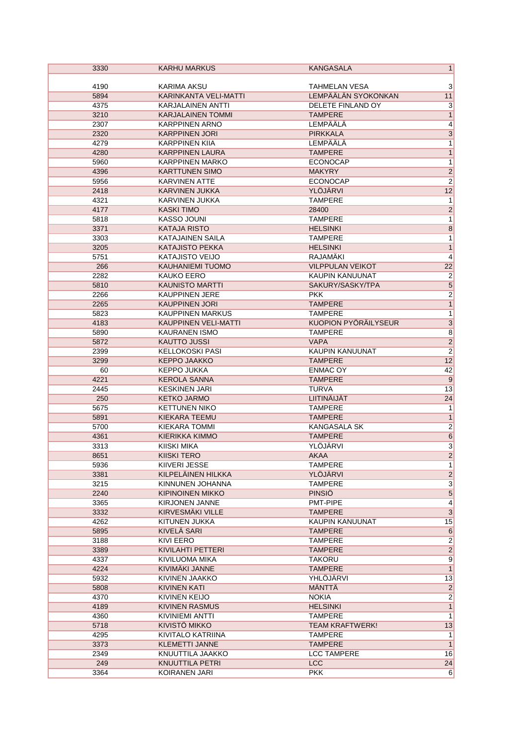| 3330 | <b>KARHU MARKUS</b>      | <b>KANGASALA</b>            | $\mathbf{1}$            |
|------|--------------------------|-----------------------------|-------------------------|
|      |                          |                             |                         |
| 4190 | KARIMA AKSU              | <b>TAHMELAN VESA</b>        | 3                       |
| 5894 | KARINKANTA VELI-MATTI    | LEMPÄÄLÄN SYOKONKAN         | 11                      |
| 4375 | <b>KARJALAINEN ANTTI</b> | DELETE FINLAND OY           | $\overline{3}$          |
| 3210 | <b>KARJALAINEN TOMMI</b> | <b>TAMPERE</b>              | $\overline{1}$          |
| 2307 | <b>KARPPINEN ARNO</b>    | LEMPÄÄLÄ                    | $\overline{4}$          |
| 2320 | <b>KARPPINEN JORI</b>    | <b>PIRKKALA</b>             | $\overline{3}$          |
| 4279 | <b>KARPPINEN KIIA</b>    | <b>LEMPÄÄLÄ</b>             | $\overline{1}$          |
| 4280 | <b>KARPPINEN LAURA</b>   | <b>TAMPERE</b>              | $\overline{1}$          |
| 5960 | <b>KARPPINEN MARKO</b>   | <b>ECONOCAP</b>             | $\overline{1}$          |
| 4396 | <b>KARTTUNEN SIMO</b>    | <b>MAKYRY</b>               | $\overline{2}$          |
| 5956 | <b>KARVINEN ATTE</b>     | <b>ECONOCAP</b>             | $\overline{2}$          |
| 2418 | <b>KARVINEN JUKKA</b>    | <b>YLÖJÄRVI</b>             | 12                      |
| 4321 | KARVINEN JUKKA           | <b>TAMPERE</b>              | $\overline{1}$          |
| 4177 | <b>KASKI TIMO</b>        | 28400                       | $\overline{2}$          |
| 5818 | <b>KASSO JOUNI</b>       | <b>TAMPERE</b>              | $\mathbf{1}$            |
| 3371 | <b>KATAJA RISTO</b>      | <b>HELSINKI</b>             | $\overline{8}$          |
| 3303 | <b>KATAJAINEN SAILA</b>  | <b>TAMPERE</b>              | $\mathbf{1}$            |
| 3205 | <b>KATAJISTO PEKKA</b>   | <b>HELSINKI</b>             | $\mathbf{1}$            |
| 5751 | <b>KATAJISTO VEIJO</b>   | RAJAMAKI                    | $\overline{4}$          |
| 266  | KAUHANIEMI TUOMO         | <b>VILPPULAN VEIKOT</b>     | 22                      |
| 2282 | <b>KAUKO EERO</b>        | KAUPIN KANUUNAT             | $\overline{2}$          |
| 5810 | <b>KAUNISTO MARTTI</b>   | SAKURY/SASKY/TPA            | $\overline{5}$          |
| 2266 | <b>KAUPPINEN JERE</b>    | <b>PKK</b>                  | $\overline{2}$          |
| 2265 | <b>KAUPPINEN JORI</b>    | <b>TAMPERE</b>              | $\overline{1}$          |
| 5823 | <b>KAUPPINEN MARKUS</b>  | <b>TAMPERE</b>              | $\overline{1}$          |
| 4183 | KAUPPINEN VELI-MATTI     | <b>KUOPION PYÖRÄILYSEUR</b> | $\overline{3}$          |
|      |                          |                             | $\overline{8}$          |
| 5890 | <b>KAURANEN ISMO</b>     | <b>TAMPERE</b>              | $\overline{2}$          |
| 5872 | <b>KAUTTO JUSSI</b>      | <b>VAPA</b>                 | $\overline{2}$          |
| 2399 | <b>KELLOKOSKI PASI</b>   | KAUPIN KANUUNAT             | 12                      |
| 3299 | <b>KEPPO JAAKKO</b>      | <b>TAMPERE</b>              |                         |
| 60   | <b>KEPPO JUKKA</b>       | <b>ENMAC OY</b>             | 42                      |
| 4221 | <b>KEROLA SANNA</b>      | <b>TAMPERE</b>              | $\overline{9}$          |
| 2445 | <b>KESKINEN JARI</b>     | <b>TURVA</b>                | 13                      |
| 250  | <b>KETKO JARMO</b>       | LIITINÄIJÄT                 | 24                      |
| 5675 | <b>KETTUNEN NIKO</b>     | <b>TAMPERE</b>              | $\mathbf{1}$            |
| 5891 | KIEKARA TEEMU            | <b>TAMPERE</b>              | $\overline{1}$          |
| 5700 | KIEKARA TOMMI            | <b>KANGASALA SK</b>         | $\overline{2}$          |
| 4361 | <b>KIERIKKA KIMMO</b>    | <b>TAMPERE</b>              | $\overline{6}$          |
| 3313 | <b>KIISKI MIKA</b>       | <b>YLÖJÄRVI</b>             | $\overline{\mathbf{3}}$ |
| 8651 | <b>KIISKI TERO</b>       | <b>AKAA</b>                 | $\overline{2}$          |
| 5936 | KIIVERI JESSE            | <b>TAMPERE</b>              | 1                       |
| 3381 | KILPELÄINEN HILKKA       | YLÖJÄRVI                    | $\overline{2}$          |
| 3215 | KINNUNEN JOHANNA         | <b>TAMPERE</b>              | $\overline{3}$          |
| 2240 | KIPINOINEN MIKKO         | <b>PINSIO</b>               | $\overline{5}$          |
| 3365 | KIRJONEN JANNE           | PMT-PIPE                    | $\overline{4}$          |
| 3332 | <b>KIRVESMAKI VILLE</b>  | <b>TAMPERE</b>              | $\overline{3}$          |
| 4262 | KITUNEN JUKKA            | KAUPIN KANUUNAT             | 15                      |
| 5895 | <b>KIVELÄ SARI</b>       | <b>TAMPERE</b>              | $6\overline{6}$         |
| 3188 | <b>KIVI EERO</b>         | <b>TAMPERE</b>              | $\overline{2}$          |
| 3389 | KIVILAHTI PETTERI        | <b>TAMPERE</b>              | $\overline{2}$          |
| 4337 | KIVILUOMA MIKA           | <b>TAKORU</b>               | $\overline{9}$          |
| 4224 | KIVIMÄKI JANNE           | <b>TAMPERE</b>              | $\overline{1}$          |
| 5932 | KIVINEN JAAKKO           | YHLÖJÄRVI                   | 13                      |
| 5808 | <b>KIVINEN KATI</b>      | MÄNTTÄ                      | $\overline{2}$          |
| 4370 | KIVINEN KEIJO            | <b>NOKIA</b>                | $\overline{2}$          |
| 4189 | <b>KIVINEN RASMUS</b>    | <b>HELSINKI</b>             | $\overline{1}$          |
| 4360 | KIVINIEMI ANTTI          | <b>TAMPERE</b>              | $\mathbf{1}$            |
| 5718 | KIVISTÖ MIKKO            | <b>TEAM KRAFTWERK!</b>      | 13                      |
| 4295 | KIVITALO KATRIINA        | <b>TAMPERE</b>              | 1                       |
| 3373 | <b>KLEMETTI JANNE</b>    | <b>TAMPERE</b>              | $\overline{1}$          |
| 2349 | KNUUTTILA JAAKKO         | <b>LCC TAMPERE</b>          | 16                      |
| 249  | KNUUTTILA PETRI          | <b>LCC</b>                  | 24                      |
| 3364 | KOIRANEN JARI            | <b>PKK</b>                  | 6                       |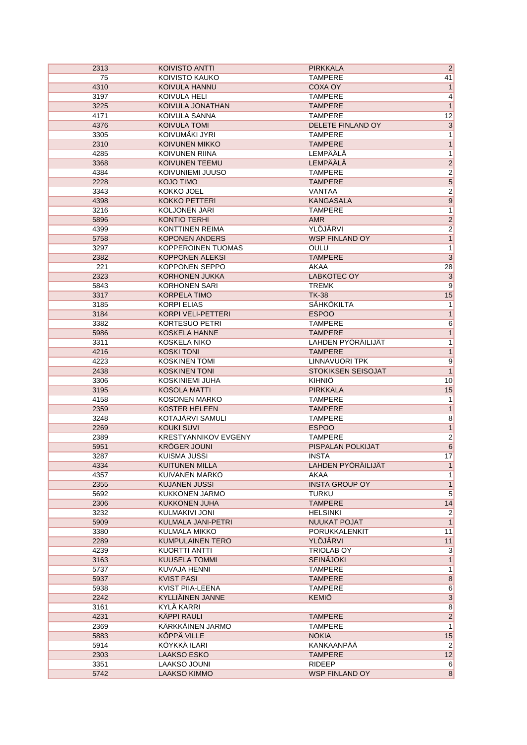| 2313 | KOIVISTO ANTTI              | <b>PIRKKALA</b>       | $\overline{2}$                          |
|------|-----------------------------|-----------------------|-----------------------------------------|
| 75   | KOIVISTO KAUKO              | <b>TAMPERE</b>        | 41                                      |
| 4310 | KOIVULA HANNU               | <b>COXA OY</b>        | $\mathbf{1}$                            |
| 3197 | KOIVULA HELI                | TAMPERE               | 4                                       |
| 3225 | KOIVULA JONATHAN            | <b>TAMPERE</b>        | $\mathbf{1}$                            |
| 4171 | KOIVULA SANNA               | <b>TAMPERE</b>        | 12                                      |
| 4376 | <b>KOIVULA TOMI</b>         | DELETE FINLAND OY     | $\overline{3}$                          |
| 3305 | KOIVUMÄKI JYRI              | <b>TAMPERE</b>        | $\overline{1}$                          |
| 2310 | <b>KOIVUNEN MIKKO</b>       | <b>TAMPERE</b>        | $\overline{1}$                          |
| 4285 | KOIVUNEN RIINA              | LEMPÄÄLÄ              | $\overline{1}$                          |
| 3368 | KOIVUNEN TEEMU              | LEMPÄÄLÄ              |                                         |
| 4384 | KOIVUNIEMI JUUSO            | <b>TAMPERE</b>        | $\frac{2}{2}$                           |
|      |                             |                       | $\overline{\mathbf{5}}$                 |
| 2228 | <b>KOJO TIMO</b>            | <b>TAMPERE</b>        |                                         |
| 3343 | KOKKO JOEL                  | VANTAA                | $\overline{2}$                          |
| 4398 | <b>KOKKO PETTERI</b>        | <b>KANGASALA</b>      | 9                                       |
| 3216 | KOLJONEN JARI               | <b>TAMPERE</b>        | $\overline{1}$                          |
| 5896 | <b>KONTIO TERHI</b>         | <b>AMR</b>            | $\overline{2}$                          |
| 4399 | <b>KONTTINEN REIMA</b>      | YLÖJÄRVI              | $\overline{2}$                          |
| 5758 | <b>KOPONEN ANDERS</b>       | <b>WSP FINLAND OY</b> | $\overline{1}$                          |
| 3297 | <b>KOPPEROINEN TUOMAS</b>   | OULU                  | $\mathbf{1}$                            |
| 2382 | <b>KOPPONEN ALEKSI</b>      | <b>TAMPERE</b>        | $\overline{\mathbf{3}}$                 |
| 221  | KOPPONEN SEPPO              | AKAA                  | 28                                      |
| 2323 | <b>KORHONEN JUKKA</b>       | <b>LABKOTEC OY</b>    | $\overline{\mathbf{3}}$                 |
| 5843 | <b>KORHONEN SARI</b>        | <b>TREMK</b>          | $\overline{9}$                          |
| 3317 | <b>KORPELA TIMO</b>         | <b>TK-38</b>          | 15                                      |
| 3185 | <b>KORPI ELIAS</b>          | <b>SÄHKÖKILTA</b>     | $\mathbf{1}$                            |
| 3184 | KORPI VELI-PETTERI          | <b>ESPOO</b>          | $\overline{1}$                          |
| 3382 | <b>KORTESUO PETRI</b>       | TAMPERE               | $\overline{6}$                          |
| 5986 | <b>KOSKELA HANNE</b>        | <b>TAMPERE</b>        | $\overline{1}$                          |
| 3311 | KOSKELA NIKO                | LAHDEN PYÖRÄILIJÄT    | $\overline{1}$                          |
| 4216 | <b>KOSKI TONI</b>           | <b>TAMPERE</b>        | $\overline{1}$                          |
| 4223 | <b>KOSKINEN TOMI</b>        | <b>LINNAVUORI TPK</b> | $\overline{9}$                          |
| 2438 | <b>KOSKINEN TONI</b>        | STOKIKSEN SEISOJAT    | $\overline{1}$                          |
| 3306 | <b>KOSKINIEMI JUHA</b>      | <b>KIHNIÖ</b>         | 10                                      |
|      | <b>KOSOLA MATTI</b>         | <b>PIRKKALA</b>       | 15                                      |
| 3195 |                             |                       |                                         |
| 4158 | <b>KOSONEN MARKO</b>        | TAMPERE               | 1                                       |
| 2359 | <b>KOSTER HELEEN</b>        | <b>TAMPERE</b>        | $\mathbf{1}$                            |
| 3248 | KOTAJÄRVI SAMULI            | <b>TAMPERE</b>        | $\overline{8}$                          |
| 2269 | <b>KOUKI SUVI</b>           | <b>ESPOO</b>          | $\overline{1}$                          |
| 2389 | <b>KRESTYANNIKOV EVGENY</b> | TAMPERE               | $\overline{2}$                          |
| 5951 | <b>KRÖGER JOUNI</b>         | PISPALAN POLKIJAT     | $\overline{6}$                          |
| 3287 | <b>KUISMA JUSSI</b>         | <b>INSTA</b>          | 17                                      |
| 4334 | <b>KUITUNEN MILLA</b>       | LAHDEN PYÖRÄILIJÄT    | $\mathbf{1}$                            |
| 4357 | KUIVANEN MARKO              | AKAA                  | $\overline{1}$                          |
| 2355 | <b>KUJANEN JUSSI</b>        | <b>INSTA GROUP OY</b> | $\overline{1}$                          |
| 5692 | KUKKONEN JARMO              | TURKU                 | $\overline{5}$                          |
| 2306 | KUKKONEN JUHA               | <b>TAMPERE</b>        | 14                                      |
| 3232 | KULMAKIVI JONI              | HELSINKI              | $\overline{2}$                          |
| 5909 | KULMALA JANI-PETRI          | <b>NUUKAT POJAT</b>   | $\overline{1}$                          |
| 3380 | KULMALA MIKKO               | PORUKKALENKIT         | 11                                      |
| 2289 | KUMPULAINEN TERO            | YLÖJÄRVI              | 11                                      |
| 4239 | KUORTTI ANTTI               | <b>TRIOLAB OY</b>     | $\overline{3}$                          |
| 3163 | <b>KUUSELA TOMMI</b>        | <b>SEINÄJOKI</b>      | $\overline{1}$                          |
| 5737 | KUVAJA HENNI                | TAMPERE               | $\overline{1}$                          |
| 5937 | <b>KVIST PASI</b>           | <b>TAMPERE</b>        | $\overline{8}$                          |
| 5938 | KVIST PIIA-LEENA            | <b>TAMPERE</b>        | $\overline{6}$                          |
| 2242 | KYLLIÄINEN JANNE            | <b>KEMIÖ</b>          |                                         |
| 3161 | KYLÄ KARRI                  |                       | $\begin{array}{c c} 3 \\ 8 \end{array}$ |
| 4231 | KÄPPI RAULI                 | <b>TAMPERE</b>        | $\overline{2}$                          |
| 2369 | KÄRKKÄINEN JARMO            | TAMPERE               | $\overline{1}$                          |
|      | KÖPPÄ VILLE                 | <b>NOKIA</b>          |                                         |
| 5883 |                             |                       | 15                                      |
| 5914 | KÖYKKÄ ILARI                | <b>KANKAANPÄÄ</b>     | $\overline{2}$                          |
| 2303 | <b>LAAKSO ESKO</b>          | <b>TAMPERE</b>        | 12                                      |
| 3351 | LAAKSO JOUNI                | <b>RIDEEP</b>         | 6                                       |
| 5742 | <b>LAAKSO KIMMO</b>         | <b>WSP FINLAND OY</b> | $\overline{8}$                          |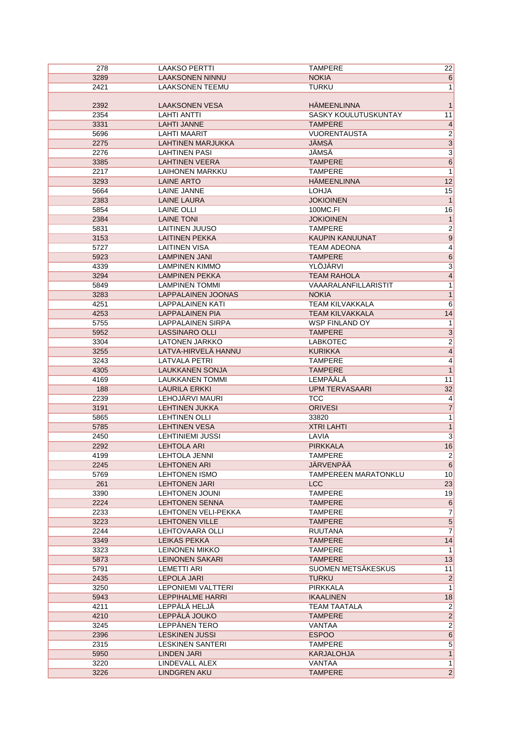| 278          | <b>LAAKSO PERTTI</b>            | <b>TAMPERE</b>              | 22                               |
|--------------|---------------------------------|-----------------------------|----------------------------------|
| 3289         | <b>LAAKSONEN NINNU</b>          | <b>NOKIA</b>                | 6                                |
| 2421         | <b>LAAKSONEN TEEMU</b>          | <b>TURKU</b>                | 1                                |
|              |                                 |                             |                                  |
| 2392         | <b>LAAKSONEN VESA</b>           | <b>HÄMEENLINNA</b>          | $\mathbf{1}$                     |
| 2354         | <b>LAHTI ANTTI</b>              | SASKY KOULUTUSKUNTAY        | 11                               |
| 3331         | <b>LAHTI JANNE</b>              | <b>TAMPERE</b>              | $\overline{4}$                   |
| 5696         | LAHTI MAARIT                    | <b>VUORENTAUSTA</b>         | $\overline{2}$                   |
| 2275         | <b>LAHTINEN MARJUKKA</b>        | <b>JÄMSÄ</b>                | $\overline{\mathbf{3}}$          |
| 2276         | <b>LAHTINEN PASI</b>            | JÄMSÄ                       | $\overline{3}$                   |
| 3385         | <b>LAHTINEN VEERA</b>           | <b>TAMPERE</b>              | $6\overline{6}$                  |
| 2217         | <b>LAIHONEN MARKKU</b>          | <b>TAMPERE</b>              | $\overline{1}$                   |
| 3293         | <b>LAINE ARTO</b>               | <b>HÄMEENLINNA</b>          | 12                               |
| 5664         | <b>LAINE JANNE</b>              | <b>LOHJA</b>                | 15                               |
| 2383         | <b>LAINE LAURA</b>              | <b>JOKIOINEN</b>            | 1                                |
| 5854         | <b>LAINE OLLI</b>               | 100MC.FI                    | 16                               |
| 2384         | <b>LAINE TONI</b>               | <b>JOKIOINEN</b>            | 1                                |
| 5831         | <b>LAITINEN JUUSO</b>           | <b>TAMPERE</b>              | $\overline{2}$                   |
| 3153         | <b>LAITINEN PEKKA</b>           | <b>KAUPIN KANUUNAT</b>      | 9                                |
|              | <b>LAITINEN VISA</b>            |                             |                                  |
| 5727         |                                 | <b>TEAM ADEONA</b>          | $\overline{4}$                   |
| 5923         | <b>LAMPINEN JANI</b>            | <b>TAMPERE</b>              | 6                                |
| 4339         | <b>LAMPINEN KIMMO</b>           | YLÖJÄRVI                    | $\overline{3}$                   |
| 3294         | <b>LAMPINEN PEKKA</b>           | <b>TEAM RAHOLA</b>          | $\overline{4}$                   |
| 5849         | <b>LAMPINEN TOMMI</b>           | VAAARALANFILLARISTIT        | 1                                |
| 3283         | <b>LAPPALAINEN JOONAS</b>       | <b>NOKIA</b>                | 1                                |
| 4251         | <b>LAPPALAINEN KATI</b>         | <b>TEAM KILVAKKALA</b>      | $\,6$                            |
| 4253         | <b>LAPPALAINEN PIA</b>          | <b>TEAM KILVAKKALA</b>      | 14                               |
| 5755         | LAPPALAINEN SIRPA               | WSP FINLAND OY              | 1                                |
| 5952         | <b>LASSINARO OLLI</b>           | <b>TAMPERE</b>              | $\overline{3}$                   |
| 3304         | <b>LATONEN JARKKO</b>           | <b>LABKOTEC</b>             | $\overline{2}$                   |
| 3255         | LATVA-HIRVELÄ HANNU             | <b>KURIKKA</b>              | $\overline{4}$                   |
| 3243         | <b>LATVALA PETRI</b>            | <b>TAMPERE</b>              | $\overline{4}$                   |
| 4305         | LAUKKANEN SONJA                 | <b>TAMPERE</b>              | 1                                |
| 4169         | LAUKKANEN TOMMI                 | LEMPÄÄLÄ                    | 11                               |
| 188          | <b>LAURILA ERKKI</b>            | <b>UPM TERVASAARI</b>       | 32                               |
| 2239         | LEHOJÄRVI MAURI                 | <b>TCC</b>                  | $\overline{4}$                   |
| 3191         | <b>LEHTINEN JUKKA</b>           | <b>ORIVESI</b>              | $\overline{7}$                   |
| 5865         | <b>LEHTINEN OLLI</b>            | 33820                       | 1                                |
| 5785         | <b>LEHTINEN VESA</b>            | <b>XTRI LAHTI</b>           | $\mathbf{1}$                     |
| 2450         | LEHTINIEMI JUSSI                | LAVIA                       | $\overline{3}$                   |
| 2292         | <b>LEHTOLA ARI</b>              | <b>PIRKKALA</b>             | 16                               |
| 4199         | <b>LEHTOLA JENNI</b>            | <b>TAMPERE</b>              | $\overline{2}$                   |
| 2245         | <b>LEHTONEN ARI</b>             | JÄRVENPÄÄ                   | $6 \mid$                         |
| 5769         | <b>LEHTONEN ISMO</b>            | <b>TAMPEREEN MARATONKLU</b> | 10                               |
| 261          | <b>LEHTONEN JARI</b>            | <b>LCC</b>                  | 23                               |
| 3390         | <b>LEHTONEN JOUNI</b>           | <b>TAMPERE</b>              | 19                               |
| 2224         | <b>LEHTONEN SENNA</b>           | <b>TAMPERE</b>              | 6                                |
|              | <b>LEHTONEN VELI-PEKKA</b>      |                             |                                  |
| 2233         |                                 | <b>TAMPERE</b>              | $\overline{7}$                   |
| 3223         | <b>LEHTONEN VILLE</b>           | <b>TAMPERE</b>              | $5\overline{}$<br>$\overline{7}$ |
| 2244<br>3349 | LEHTOVAARA OLLI<br>LEIKAS PEKKA | <b>RUUTANA</b>              |                                  |
|              |                                 | <b>TAMPERE</b>              | 14                               |
| 3323         | <b>LEINONEN MIKKO</b>           | <b>TAMPERE</b>              | 1                                |
| 5873         | LEINONEN SAKARI                 | <b>TAMPERE</b>              | 13                               |
| 5791         | LEMETTI ARI                     | SUOMEN METSÄKESKUS          | 11                               |
| 2435         | <b>LEPOLA JARI</b>              | <b>TURKU</b>                | $\overline{2}$                   |
| 3250         | LEPONIEMI VALTTERI              | PIRKKALA                    | 1                                |
| 5943         | <b>LEPPIHALME HARRI</b>         | <b>IKAALINEN</b>            | 18                               |
| 4211         | LEPPÄLÄ HELJÄ                   | TEAM TAATALA                | $\mathbf{2}$                     |
| 4210         | LEPPÄLÄ JOUKO                   | <b>TAMPERE</b>              | $\overline{2}$                   |
| 3245         | LEPPÄNEN TERO                   | VANTAA                      | $2\vert$                         |
| 2396         | <b>LESKINEN JUSSI</b>           | <b>ESPOO</b>                | 6                                |
| 2315         | <b>LESKINEN SANTERI</b>         | <b>TAMPERE</b>              | $\overline{5}$                   |
| 5950         | <b>LINDEN JARI</b>              | <b>KARJALOHJA</b>           | 1                                |
| 3220         | LINDEVALL ALEX                  | VANTAA                      | $\overline{1}$                   |
| 3226         | <b>LINDGREN AKU</b>             | <b>TAMPERE</b>              | $\overline{2}$                   |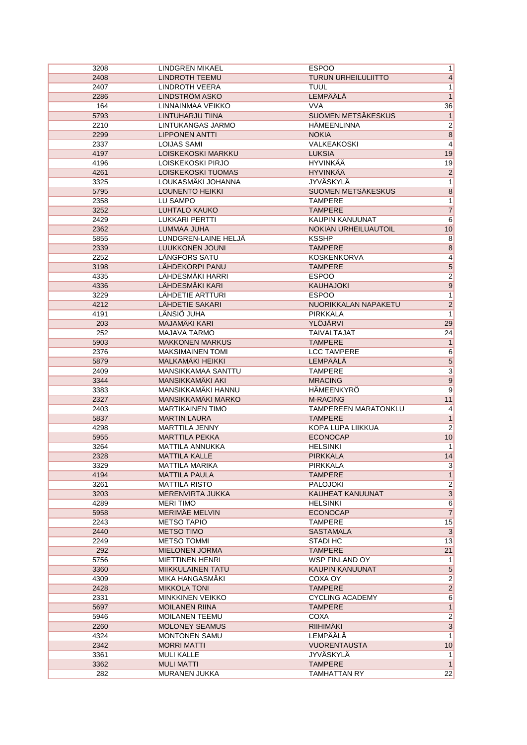| 3208 | LINDGREN MIKAEL                                | <b>ESPOO</b>               | 1               |
|------|------------------------------------------------|----------------------------|-----------------|
| 2408 | <b>LINDROTH TEEMU</b>                          | <b>TURUN URHEILULIITTO</b> | $\vert 4 \vert$ |
| 2407 | <b>LINDROTH VEERA</b>                          | <b>TUUL</b>                | 1               |
| 2286 | <b>LINDSTRÖM ASKO</b>                          | <b>LEMPÄÄLÄ</b>            | 1               |
| 164  | LINNAINMAA VEIKKO                              | <b>VVA</b>                 | 36              |
| 5793 | LINTUHARJU TIINA                               | SUOMEN METSÄKESKUS         | 1               |
| 2210 | LINTUKANGAS JARMO                              | HÄMEENLINNA                | $\overline{2}$  |
| 2299 | <b>LIPPONEN ANTTI</b>                          | <b>NOKIA</b>               | $\overline{8}$  |
| 2337 | <b>LOIJAS SAMI</b>                             | VALKEAKOSKI                | $\overline{4}$  |
| 4197 | LOISKEKOSKI MARKKU                             | <b>LUKSIA</b>              | 19              |
| 4196 | LOISKEKOSKI PIRJO                              | <b>HYVINKÄÄ</b>            | 19              |
| 4261 | LOISKEKOSKI TUOMAS                             | <b>HYVINKÄÄ</b>            | $\overline{2}$  |
| 3325 | LOUKASMÄKI JOHANNA                             | <b>JYVÄSKYLÄ</b>           | $\overline{1}$  |
| 5795 | <b>LOUNENTO HEIKKI</b>                         | SUOMEN METSÄKESKUS         | $\overline{8}$  |
| 2358 | LU SAMPO                                       | <b>TAMPERE</b>             | $\overline{1}$  |
| 3252 | <b>LUHTALO KAUKO</b>                           | <b>TAMPERE</b>             | $\overline{7}$  |
| 2429 | <b>LUKKARI PERTTI</b>                          | KAUPIN KANUUNAT            | $6\overline{}$  |
| 2362 | LUMMAA JUHA                                    | NOKIAN URHEILUAUTOIL       | 10              |
|      |                                                |                            |                 |
| 5855 | LUNDGREN-LAINE HELJÄ<br><b>LUUKKONEN JOUNI</b> | <b>KSSHP</b>               | $\overline{8}$  |
| 2339 |                                                | <b>TAMPERE</b>             | $\overline{8}$  |
| 2252 | LÅNGFORS SATU                                  | <b>KOSKENKORVA</b>         | $\overline{4}$  |
| 3198 | LÄHDEKORPI PANU                                | <b>TAMPERE</b>             | $\overline{5}$  |
| 4335 | LÄHDESMÄKI HARRI                               | <b>ESPOO</b>               | $\overline{2}$  |
| 4336 | LÄHDESMÄKI KARI                                | <b>KAUHAJOKI</b>           | $\overline{9}$  |
| 3229 | LÄHDETIE ARTTURI                               | <b>ESPOO</b>               | 1               |
| 4212 | LÄHDETIE SAKARI                                | NUORIKKALAN NAPAKETU       | $\overline{2}$  |
| 4191 | LÄNSIÖ JUHA                                    | PIRKKALA                   | $\overline{1}$  |
| 203  | <b>MAJAMÄKI KARI</b>                           | YLÖJÄRVI                   | 29              |
| 252  | MAJAVA TARMO                                   | <b>TAIVALTAJAT</b>         | 24              |
| 5903 | <b>MAKKONEN MARKUS</b>                         | <b>TAMPERE</b>             | 1               |
| 2376 | <b>MAKSIMAINEN TOMI</b>                        | <b>LCC TAMPERE</b>         | $\overline{6}$  |
| 5879 | MALKAMÄKI HEIKKI                               | <b>LEMPÄÄLÄ</b>            | $\overline{5}$  |
| 2409 | MANSIKKAMAA SANTTU                             | <b>TAMPERE</b>             | $\overline{3}$  |
| 3344 | MANSIKKAMÄKI AKI                               | <b>MRACING</b>             | 9               |
| 3383 | MANSIKKAMÄKI HANNU                             | HÄMEENKYRÖ                 | $\overline{9}$  |
| 2327 | MANSIKKAMÄKI MARKO                             | <b>M-RACING</b>            | 11              |
| 2403 | <b>MARTIKAINEN TIMO</b>                        | TAMPEREEN MARATONKLU       | $\vert 4 \vert$ |
| 5837 | <b>MARTIN LAURA</b>                            | <b>TAMPERE</b>             | 1               |
| 4298 | MARTTILA JENNY                                 | <b>KOPA LUPA LIIKKUA</b>   | $\overline{2}$  |
| 5955 | <b>MARTTILA PEKKA</b>                          | <b>ECONOCAP</b>            | 10              |
| 3264 | MATTILA ANNUKKA                                | <b>HELSINKI</b>            | $\mathbf{1}$    |
| 2328 | <b>MATTILA KALLE</b>                           | <b>PIRKKALA</b>            | 14              |
| 3329 | MATTILA MARIKA                                 | PIRKKALA                   | 3               |
| 4194 | <b>MATTILA PAULA</b>                           | <b>TAMPERE</b>             | 1               |
| 3261 | MATTILA RISTO                                  | <b>PALOJOKI</b>            | $\overline{2}$  |
| 3203 | MERENVIRTA JUKKA                               | KAUHEAT KANUUNAT           | $\overline{3}$  |
| 4289 | <b>MERITIMO</b>                                | <b>HELSINKI</b>            | 6               |
| 5958 | MERIMÄE MELVIN                                 | <b>ECONOCAP</b>            | 7               |
| 2243 | <b>METSO TAPIO</b>                             | <b>TAMPERE</b>             | 15              |
| 2440 | <b>METSO TIMO</b>                              | <b>SASTAMALA</b>           | 3               |
|      | <b>METSO TOMMI</b>                             |                            |                 |
| 2249 |                                                | STADI HC                   | 13              |
| 292  | <b>MIELONEN JORMA</b>                          | <b>TAMPERE</b>             | 21              |
| 5756 | <b>MIETTINEN HENRI</b>                         | <b>WSP FINLAND OY</b>      | 1               |
| 3360 | <b>MIIKKULAINEN TATU</b>                       | KAUPIN KANUUNAT            | $5\phantom{.0}$ |
| 4309 | MIKA HANGASMAKI                                | COXA OY                    | $\overline{2}$  |
| 2428 | <b>MIKKOLA TONI</b>                            | <b>TAMPERE</b>             | $\overline{2}$  |
| 2331 | <b>MINKKINEN VEIKKO</b>                        | <b>CYCLING ACADEMY</b>     | 6               |
| 5697 | <b>MOILANEN RIINA</b>                          | <b>TAMPERE</b>             | 1               |
| 5946 | <b>MOILANEN TEEMU</b>                          | COXA                       | $2\vert$        |
| 2260 | <b>MOLONEY SEAMUS</b>                          | RIIHIMÄKI                  | $\overline{3}$  |
| 4324 | <b>MONTONEN SAMU</b>                           | <b>LEMPÄÄLÄ</b>            | 1               |
| 2342 | <b>MORRI MATTI</b>                             | <b>VUORENTAUSTA</b>        | 10              |
| 3361 | <b>MULI KALLE</b>                              | JYVASKYLA                  | 1               |
| 3362 | <b>MULI MATTI</b>                              | <b>TAMPERE</b>             | 1               |
| 282  | <b>MURANEN JUKKA</b>                           | <b>TAMHATTAN RY</b>        | 22              |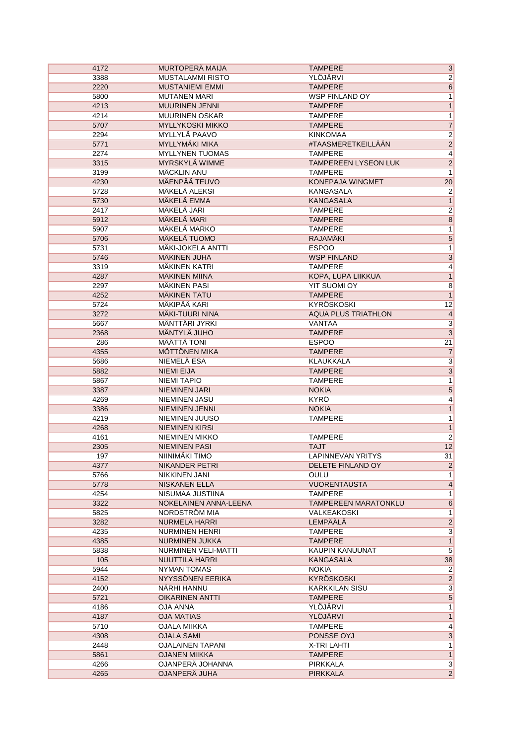| 4172 | MURTOPERÄ MAIJA                          | <b>TAMPERE</b>              | $\overline{3}$          |
|------|------------------------------------------|-----------------------------|-------------------------|
| 3388 | <b>MUSTALAMMI RISTO</b>                  | YLÖJÄRVI                    | $\overline{2}$          |
| 2220 | <b>MUSTANIEMI EMMI</b>                   | <b>TAMPERE</b>              | $\overline{6}$          |
| 5800 | <b>MUTANEN MARI</b>                      | <b>WSP FINLAND OY</b>       | $\overline{1}$          |
| 4213 | <b>MUURINEN JENNI</b>                    | <b>TAMPERE</b>              | $\mathbf{1}$            |
| 4214 | <b>MUURINEN OSKAR</b>                    | <b>TAMPERE</b>              | $\overline{1}$          |
| 5707 | <b>MYLLYKOSKI MIKKO</b>                  | <b>TAMPERE</b>              | $\overline{7}$          |
| 2294 | MYLLYLÄ PAAVO                            | <b>KINKOMAA</b>             | $\overline{2}$          |
| 5771 | <b>MYLLYMÄKI MIKA</b>                    | #TAASMERETKEILLÄÄN          | $\overline{2}$          |
| 2274 | <b>MYLLYNEN TUOMAS</b>                   | <b>TAMPERE</b>              | $\overline{4}$          |
| 3315 | <b>MYRSKYLÄ WIMME</b>                    | <b>TAMPEREEN LYSEON LUK</b> | $\overline{2}$          |
| 3199 | MÄCKLIN ANU                              | <b>TAMPERE</b>              | 1                       |
| 4230 | <b>MÄENPÄÄ TEUVO</b>                     | KONEPAJA WINGMET            | 20                      |
| 5728 | MÄKELÄ ALEKSI                            | KANGASALA                   | $\overline{2}$          |
| 5730 | MÄKELÄ EMMA                              | <b>KANGASALA</b>            | $\overline{1}$          |
| 2417 | MÄKELÄ JARI                              | <b>TAMPERE</b>              | $\overline{2}$          |
| 5912 | MÄKELÄ MARI                              | <b>TAMPERE</b>              | $\bf 8$                 |
| 5907 | <b>MÄKELÄ MARKO</b>                      | <b>TAMPERE</b>              | $\overline{1}$          |
|      |                                          |                             |                         |
| 5706 | <b>MÄKELÄ TUOMO</b><br>MÄKI-JOKELA ANTTI | <b>RAJAMÄKI</b>             | 5                       |
| 5731 |                                          | <b>ESPOO</b>                | $\overline{1}$          |
| 5746 | <b>MÄKINEN JUHA</b>                      | <b>WSP FINLAND</b>          | $\overline{3}$          |
| 3319 | <b>MAKINEN KATRI</b>                     | <b>TAMPERE</b>              | $\overline{4}$          |
| 4287 | <b>MÄKINEN MIINA</b>                     | KOPA, LUPA LIIKKUA          | $\overline{1}$          |
| 2297 | MÄKINEN PASI                             | YIT SUOMI OY                | $\overline{8}$          |
| 4252 | MÄKINEN TATU                             | <b>TAMPERE</b>              | 1                       |
| 5724 | MÄKIPÄÄ KARI                             | KYRÖSKOSKI                  | 12                      |
| 3272 | <b>MÄKI-TUURI NINA</b>                   | <b>AQUA PLUS TRIATHLON</b>  | $\overline{4}$          |
| 5667 | <b>MÄNTTÄRI JYRKI</b>                    | VANTAA                      | $\overline{3}$          |
| 2368 | <b>MÄNTYLÄ JUHO</b>                      | <b>TAMPERE</b>              | $\overline{3}$          |
| 286  | MÄÄTTÄ TONI                              | <b>ESPOO</b>                | 21                      |
| 4355 | MÖTTÖNEN MIKA                            | <b>TAMPERE</b>              | $\overline{7}$          |
| 5686 | NIEMELÄ ESA                              | <b>KLAUKKALA</b>            | $\overline{\mathbf{3}}$ |
| 5882 | <b>NIEMI EIJA</b>                        | <b>TAMPERE</b>              | $\overline{3}$          |
| 5867 | <b>NIEMI TAPIO</b>                       | <b>TAMPERE</b>              | $\overline{1}$          |
| 3387 | <b>NIEMINEN JARI</b>                     | <b>NOKIA</b>                | 5                       |
| 4269 | NIEMINEN JASU                            | <b>KYRÖ</b>                 | $\overline{4}$          |
| 3386 | NIEMINEN JENNI                           | <b>NOKIA</b>                | $\mathbf{1}$            |
| 4219 | NIEMINEN JUUSO                           | <b>TAMPERE</b>              | $\overline{1}$          |
| 4268 | <b>NIEMINEN KIRSI</b>                    |                             | $\overline{1}$          |
| 4161 | <b>NIEMINEN MIKKO</b>                    | <b>TAMPERE</b>              | $\overline{2}$          |
| 2305 | <b>NIEMINEN PASI</b>                     | <b>TAJT</b>                 | 12                      |
| 197  | NIINIMÄKI TIMO                           | <b>LAPINNEVAN YRITYS</b>    | 31                      |
| 4377 | NIKANDER PETRI                           | DELETE FINLAND OY           | $\vert$ 2               |
| 5766 | NIKKINEN JANI                            | OULU                        | 1                       |
| 5778 | NISKANEN ELLA                            | <b>VUORENTAUSTA</b>         | $\vert 4 \vert$         |
| 4254 | NISUMAA JUSTIINA                         | <b>TAMPERE</b>              | 1                       |
| 3322 | NOKELAINEN ANNA-LEENA                    | <b>TAMPEREEN MARATONKLU</b> | 6                       |
| 5825 | NORDSTRÖM MIA                            | VALKEAKOSKI                 | 1                       |
| 3282 | <b>NURMELA HARRI</b>                     | LEMPÄÄLÄ                    | $\overline{2}$          |
| 4235 | NURMINEN HENRI                           | <b>TAMPERE</b>              | $\overline{3}$          |
| 4385 | <b>NURMINEN JUKKA</b>                    | <b>TAMPERE</b>              | $\overline{1}$          |
| 5838 | NURMINEN VELI-MATTI                      | KAUPIN KANUUNAT             | 5 <sup>5</sup>          |
|      |                                          |                             |                         |
| 105  | NUUTTILA HARRI                           | KANGASALA                   | 38                      |
| 5944 | NYMAN TOMAS                              | <b>NOKIA</b>                | $\mathbf{2}$            |
| 4152 | NYYSSÖNEN EERIKA                         | KYRÖSKOSKI                  | $\left  \right $        |
| 2400 | NARHI HANNU                              | <b>KARKKILAN SISU</b>       | $\overline{3}$          |
| 5721 | <b>OIKARINEN ANTTI</b>                   | <b>TAMPERE</b>              | $\overline{5}$          |
| 4186 | <b>OJA ANNA</b>                          | YLÖJÄRVI                    | 1                       |
| 4187 | <b>OJA MATIAS</b>                        | YLÖJÄRVI                    | 1                       |
| 5710 | <b>OJALA MIIKKA</b>                      | <b>TAMPERE</b>              | $\vert 4 \vert$         |
| 4308 | <b>OJALA SAMI</b>                        | PONSSE OYJ                  | 3                       |
| 2448 | <b>OJALAINEN TAPANI</b>                  | X-TRI LAHTI                 | 1                       |
| 5861 | <b>OJANEN MIIKKA</b>                     | <b>TAMPERE</b>              | 1                       |
| 4266 | OJANPERÄ JOHANNA                         | PIRKKALA                    | $\overline{3}$          |
| 4265 | OJANPERÄ JUHA                            | <b>PIRKKALA</b>             | $\overline{2}$          |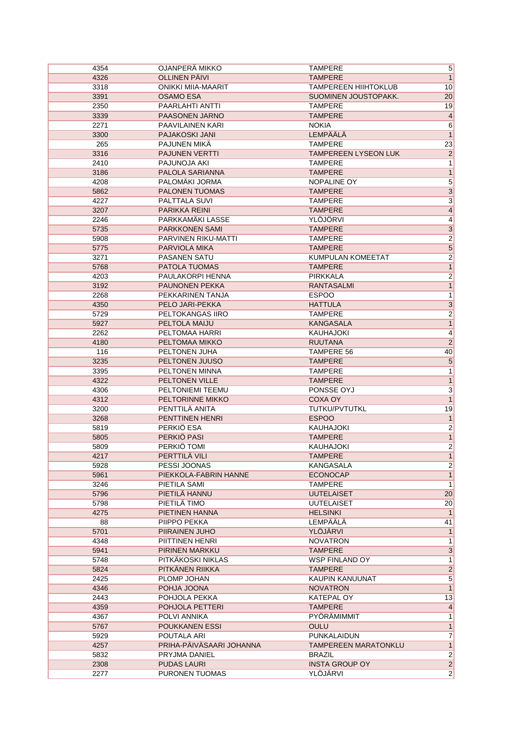| 4354 | OJANPERÄ MIKKO             | <b>TAMPERE</b>              | $\overline{5}$          |
|------|----------------------------|-----------------------------|-------------------------|
| 4326 | <b>OLLINEN PÄIVI</b>       | <b>TAMPERE</b>              | $\mathbf{1}$            |
| 3318 | <b>ONIKKI MIIA-MAARIT</b>  | <b>TAMPEREEN HIIHTOKLUB</b> | 10                      |
| 3391 | <b>OSAMO ESA</b>           | SUOMINEN JOUSTOPAKK.        | 20                      |
| 2350 | <b>PAARLAHTI ANTTI</b>     | <b>TAMPERE</b>              | 19                      |
| 3339 | PAASONEN JARNO             | <b>TAMPERE</b>              | $\overline{4}$          |
| 2271 | PAAVILAINEN KARI           | <b>NOKIA</b>                | $\overline{6}$          |
| 3300 | PAJAKOSKI JANI             | LEMPÄÄLÄ                    | $\mathbf{1}$            |
| 265  | PAJUNEN MIKÄ               | <b>TAMPERE</b>              | 23                      |
| 3316 | <b>PAJUNEN VERTTI</b>      | <b>TAMPEREEN LYSEON LUK</b> | $\overline{\mathbf{c}}$ |
| 2410 | PAJUNOJA AKI               | <b>TAMPERE</b>              | $\mathbf{1}$            |
| 3186 | PALOLA SARIANNA            | <b>TAMPERE</b>              | $\mathbf{1}$            |
| 4208 | PALOMÄKI JORMA             | NOPALINE OY                 | $\overline{5}$          |
| 5862 | <b>PALONEN TUOMAS</b>      | <b>TAMPERE</b>              | $\overline{3}$          |
| 4227 | PALTTALA SUVI              | <b>TAMPERE</b>              | $\overline{3}$          |
| 3207 | PARIKKA REINI              | <b>TAMPERE</b>              | $\overline{4}$          |
| 2246 | PARKKAMÄKI LASSE           | YLÖJÖRVI                    | $\overline{4}$          |
|      | PARKKONEN SAMI             |                             | $\overline{3}$          |
| 5735 | <b>PARVINEN RIKU-MATTI</b> | <b>TAMPERE</b>              |                         |
| 5908 |                            | <b>TAMPERE</b>              | $\overline{2}$          |
| 5775 | PARVIOLA MIKA              | <b>TAMPERE</b>              | 5                       |
| 3271 | <b>PASANEN SATU</b>        | KUMPULAN KOMEETAT           | $\overline{2}$          |
| 5768 | PATOLA TUOMAS              | <b>TAMPERE</b>              | $\overline{1}$          |
| 4203 | PAULAKORPI HENNA           | <b>PIRKKALA</b>             | $\overline{2}$          |
| 3192 | <b>PAUNONEN PEKKA</b>      | <b>RANTASALMI</b>           | $\overline{1}$          |
| 2268 | PEKKARINEN TANJA           | <b>ESPOO</b>                | 1                       |
| 4350 | PELO JARI-PEKKA            | <b>HATTULA</b>              | $\overline{3}$          |
| 5729 | PELTOKANGAS IIRO           | <b>TAMPERE</b>              | $\overline{2}$          |
| 5927 | PELTOLA MAIJU              | <b>KANGASALA</b>            | $\overline{1}$          |
| 2262 | PELTOMAA HARRI             | <b>KAUHAJOKI</b>            | 4                       |
| 4180 | PELTOMAA MIKKO             | <b>RUUTANA</b>              | $\overline{2}$          |
| 116  | PELTONEN JUHA              | <b>TAMPERE 56</b>           | 40                      |
| 3235 | PELTONEN JUUSO             | <b>TAMPERE</b>              | $\overline{5}$          |
| 3395 | PELTONEN MINNA             | <b>TAMPERE</b>              | $\mathbf 1$             |
| 4322 | PELTONEN VILLE             | <b>TAMPERE</b>              | $\overline{1}$          |
| 4306 | PELTONIEMI TEEMU           | PONSSE OYJ                  | $\overline{\mathbf{3}}$ |
| 4312 | PELTORINNE MIKKO           | <b>COXA OY</b>              | $\overline{1}$          |
| 3200 | PENTTILÄ ANITA             | TUTKU/PVTUTKL               | 19                      |
| 3268 | PENTTINEN HENRI            | <b>ESPOO</b>                | $\overline{1}$          |
| 5819 | PERKIO ESA                 | KAUHAJOKI                   | $\overline{2}$          |
| 5805 | PERKIÖ PASI                | <b>TAMPERE</b>              | $\overline{1}$          |
| 5809 | PERKIÖ TOMI                | <b>KAUHAJOKI</b>            | $\overline{2}$          |
|      |                            | <b>TAMPERE</b>              |                         |
| 4217 | PERTTILÄ VILI              |                             | $\overline{1}$          |
| 5928 | PESSI JOONAS               | <b>KANGASALA</b>            | $\overline{2}$          |
| 5961 | PIEKKOLA-FABRIN HANNE      | <b>ECONOCAP</b>             | $\mathbf{1}$            |
| 3246 | PIETILA SAMI               | TAMPERE                     | $\mathbf{1}$            |
| 5796 | PIETILÄ HANNU              | <b>UUTELAISET</b>           | 20                      |
| 5798 | PIETILÄ TIMO               | <b>UUTELAISET</b>           | 20                      |
| 4275 | PIETINEN HANNA             | <b>HELSINKI</b>             | $\overline{1}$          |
| 88   | PIIPPO PEKKA               | LEMPÄÄLÄ                    | 41                      |
| 5701 | PIIRAINEN JUHO             | YLÖJÄRVI                    | $\mathbf{1}$            |
| 4348 | PIITTINEN HENRI            | <b>NOVATRON</b>             | 1                       |
| 5941 | PIRINEN MARKKU             | <b>TAMPERE</b>              | $\overline{3}$          |
| 5748 | PITKAKOSKI NIKLAS          | WSP FINLAND OY              | 1                       |
| 5824 | PITKANEN RIIKKA            | <b>TAMPERE</b>              | $\overline{2}$          |
| 2425 | PLOMP JOHAN                | KAUPIN KANUUNAT             | $\overline{5}$          |
| 4346 | POHJA JOONA                | <b>NOVATRON</b>             | $\mathbf{1}$            |
| 2443 | POHJOLA PEKKA              | KATEPAL OY                  | 13                      |
| 4359 | POHJOLA PETTERI            | <b>TAMPERE</b>              | $\overline{4}$          |
| 4367 | POLVI ANNIKA               | PYÖRÄMIMMIT                 | 1                       |
| 5767 | <b>POUKKANEN ESSI</b>      | <b>OULU</b>                 | $\mathbf{1}$            |
| 5929 | POUTALA ARI                | PUNKALAIDUN                 | 7                       |
| 4257 | PRIHA-PAIVASAARI JOHANNA   | <b>TAMPEREEN MARATONKLU</b> | $\overline{1}$          |
| 5832 | PRYJMA DANIEL              | <b>BRAZIL</b>               | $\overline{2}$          |
| 2308 | <b>PUDAS LAURI</b>         | <b>INSTA GROUP OY</b>       | $\overline{2}$          |
| 2277 | PURONEN TUOMAS             | YLÖJÄRVI                    | $\overline{2}$          |
|      |                            |                             |                         |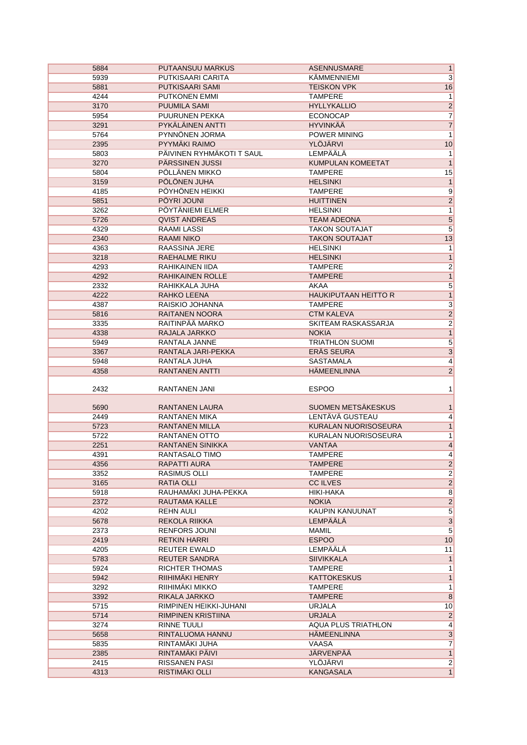| 5884         | PUTAANSUU MARKUS                | <b>ASENNUSMARE</b>           | $\mathbf{1}$                   |
|--------------|---------------------------------|------------------------------|--------------------------------|
| 5939         | PUTKISAARI CARITA               | KAMMENNIEMI                  | 3                              |
| 5881         | PUTKISAARI SAMI                 | <b>TEISKON VPK</b>           | 16                             |
| 4244         | PUTKONEN EMMI                   | <b>TAMPERE</b>               | 1                              |
| 3170         | <b>PUUMILA SAMI</b>             | <b>HYLLYKALLIO</b>           | $\overline{2}$                 |
| 5954         | PUURUNEN PEKKA                  | <b>ECONOCAP</b>              | $\overline{7}$                 |
| 3291         | PYKÄLÄINEN ANTTI                | <b>HYVINKÄÄ</b>              | $\overline{7}$                 |
| 5764         | PYNNÖNEN JORMA                  | POWER MINING                 | $\mathbf{1}$                   |
| 2395         | PYYMÄKI RAIMO                   | <b>YLÖJÄRVI</b>              | 10                             |
|              | PÄIVINEN RYHMÄKOTI T SAUL       | <b>LEMPÄÄLÄ</b>              |                                |
| 5803         |                                 |                              | 1                              |
| 3270         | PÄRSSINEN JUSSI                 | <b>KUMPULAN KOMEETAT</b>     | $\mathbf{1}$                   |
| 5804         | PÖLLÄNEN MIKKO                  | <b>TAMPERE</b>               | 15                             |
| 3159         | PÖLÖNEN JUHA                    | <b>HELSINKI</b>              | $\overline{1}$                 |
| 4185         | PÖYHÖNEN HEIKKI                 | <b>TAMPERE</b>               | $\overline{9}$                 |
| 5851         | PÖYRI JOUNI                     | <b>HUITTINEN</b>             | $\overline{2}$                 |
| 3262         | PÖYTÄNIEMI ELMER                | <b>HELSINKI</b>              | $\mathbf{1}$                   |
| 5726         | <b>QVIST ANDREAS</b>            | <b>TEAM ADEONA</b>           | $\overline{5}$                 |
| 4329         | RAAMI LASSI                     | <b>TAKON SOUTAJAT</b>        | $\overline{5}$                 |
| 2340         | <b>RAAMI NIKO</b>               | <b>TAKON SOUTAJAT</b>        | 13                             |
| 4363         | RAASSINA JERE                   | <b>HELSINKI</b>              | $\mathbf{1}$                   |
| 3218         | RAEHALME RIKU                   | <b>HELSINKI</b>              | $\mathbf{1}$                   |
| 4293         | RAHIKAINEN IIDA                 | <b>TAMPERE</b>               | $\overline{2}$                 |
| 4292         | RAHIKAINEN ROLLE                | <b>TAMPERE</b>               | $\overline{1}$                 |
| 2332         | RAHIKKALA JUHA                  | AKAA                         | 5                              |
| 4222         | RAHKO LEENA                     | <b>HAUKIPUTAAN HEITTO R</b>  |                                |
| 4387         | RAISKIO JOHANNA                 | <b>TAMPERE</b>               | $\frac{1}{3}$                  |
| 5816         | <b>RAITANEN NOORA</b>           | <b>CTM KALEVA</b>            | $\overline{2}$                 |
| 3335         | RAITINPÄÄ MARKO                 | SKITEAM RASKASSARJA          | $\overline{2}$                 |
| 4338         | RAJALA JARKKO                   | <b>NOKIA</b>                 | $\overline{1}$                 |
| 5949         | RANTALA JANNE                   | <b>TRIATHLON SUOMI</b>       | $\overline{5}$                 |
| 3367         | RANTALA JARI-PEKKA              | ERÄS SEURA                   | $\overline{3}$                 |
|              |                                 |                              |                                |
| 5948         | RANTALA JUHA                    | SASTAMALA                    | 4                              |
| 4358         | <b>RANTANEN ANTTI</b>           | <b>HÄMEENLINNA</b>           | $\overline{2}$                 |
| 2432         | RANTANEN JANI                   | <b>ESPOO</b>                 | 1                              |
|              |                                 |                              |                                |
| 5690         | RANTANEN LAURA                  | <b>SUOMEN METSÄKESKUS</b>    | 1                              |
| 2449         | <b>RANTANEN MIKA</b>            | LENTÄVÄ GUSTEAU              |                                |
| 5723         | <b>RANTANEN MILLA</b>           | KURALAN NUORISOSEURA         | 4                              |
| 5722         | <b>RANTANEN OTTO</b>            | KURALAN NUORISOSEURA         | $\mathbf{1}$<br>$\mathbf{1}$   |
|              | <b>RANTANEN SINIKKA</b>         | <b>VANTAA</b>                |                                |
| 2251         |                                 |                              | $\overline{\mathbf{4}}$        |
| 4391         | RANTASALO TIMO                  | <b>TAMPERE</b>               | 4                              |
| 4356         | RAPATTI AURA                    | TAMPERE                      | $\overline{2}$                 |
| 3352         | <b>RASIMUS OLLI</b>             | <b>TAMPERE</b>               | $\overline{2}$                 |
| 3165         | <b>RATIA OLLI</b>               | <b>CC ILVES</b>              | $\overline{2}$                 |
| 5918         | RAUHAMÄKI JUHA-PEKKA            | HIKI-HAKA                    | $\overline{8}$                 |
| 2372         | RAUTAMA KALLE                   | <b>NOKIA</b>                 | $\overline{2}$                 |
| 4202         | REHN AULI                       | <b>KAUPIN KANUUNAT</b>       | $\overline{\mathbf{5}}$        |
| 5678         | REKOLA RIIKKA                   | <b>LEMPÄÄLÄ</b>              | $\overline{3}$                 |
| 2373         | <b>RENFORS JOUNI</b>            | <b>MAMIL</b>                 | $\overline{5}$                 |
| 2419         | <b>RETKIN HARRI</b>             | <b>ESPOO</b>                 | 10                             |
| 4205         | <b>REUTER EWALD</b>             | LEMPÄÄLÄ                     | 11                             |
| 5783         |                                 |                              |                                |
| 5924         | <b>REUTER SANDRA</b>            | <b>SIIVIKKALA</b>            | $\mathbf{1}$                   |
| 5942         | RICHTER THOMAS                  | <b>TAMPERE</b>               | 1                              |
|              | RIIHIMÄKI HENRY                 | <b>KATTOKESKUS</b>           | $\mathbf{1}$                   |
| 3292         | RIIHIMÄKI MIKKO                 | <b>TAMPERE</b>               | $\mathbf{1}$                   |
| 3392         | RIKALA JARKKO                   | <b>TAMPERE</b>               | $\overline{8}$                 |
| 5715         | RIMPINEN HEIKKI-JUHANI          | <b>URJALA</b>                | 10                             |
| 5714         | RIMPINEN KRISTIINA              | <b>URJALA</b>                |                                |
| 3274         | <b>RINNE TUULI</b>              | AQUA PLUS TRIATHLON          | $\overline{2}$<br>4            |
| 5658         | RINTALUOMA HANNU                | <b>HÄMEENLINNA</b>           |                                |
| 5835         | RINTAMÄKI JUHA                  | VAASA                        | $\overline{3}$                 |
| 2385         | RINTAMÄKI PÄIVI                 | JÄRVENPÄÄ                    | $\overline{7}$                 |
|              |                                 |                              | $\mathbf{1}$                   |
| 2415<br>4313 | RISSANEN PASI<br>RISTIMÄKI OLLI | YLÖJÄRVI<br><b>KANGASALA</b> | $\overline{2}$<br>$\mathbf{1}$ |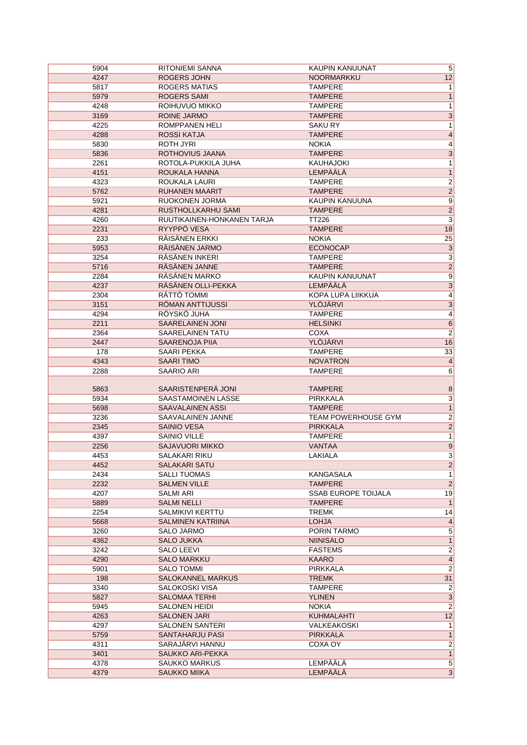| 5904 | <b>RITONIEMI SANNA</b>     | <b>KAUPIN KANUUNAT</b>     | 5                       |
|------|----------------------------|----------------------------|-------------------------|
| 4247 | <b>ROGERS JOHN</b>         | <b>NOORMARKKU</b>          | 12                      |
| 5817 | <b>ROGERS MATIAS</b>       | <b>TAMPERE</b>             | 1                       |
| 5979 | <b>ROGERS SAMI</b>         | <b>TAMPERE</b>             | $\mathbf{1}$            |
| 4248 | ROIHUVUO MIKKO             | <b>TAMPERE</b>             | 1                       |
| 3169 | <b>ROINE JARMO</b>         | <b>TAMPERE</b>             | $\overline{3}$          |
| 4225 | ROMPPANEN HELI             | <b>SAKURY</b>              | 1                       |
| 4288 | ROSSI KATJA                | <b>TAMPERE</b>             | $\overline{\mathbf{4}}$ |
| 5830 | <b>ROTH JYRI</b>           | <b>NOKIA</b>               | 4                       |
|      | ROTHOVIUS JAANA            | <b>TAMPERE</b>             |                         |
| 5836 |                            |                            | $\overline{3}$          |
| 2261 | ROTOLA-PUKKILA JUHA        | <b>KAUHAJOKI</b>           | 1                       |
| 4151 | ROUKALA HANNA              | LEMPÄÄLÄ                   | $\mathbf{1}$            |
| 4323 | ROUKALA LAURI              | <b>TAMPERE</b>             | $\overline{2}$          |
| 5762 | RUHANEN MAARIT             | <b>TAMPERE</b>             | $\overline{2}$          |
| 5921 | RUOKONEN JORMA             | KAUPIN KANUUNA             | $\overline{9}$          |
| 4281 | RUSTHOLLKARHU SAMI         | <b>TAMPERE</b>             | $\overline{2}$          |
| 4260 | RUUTIKAINEN-HONKANEN TARJA | <b>TT226</b>               | $\overline{3}$          |
| 2231 | RYYPPÖ VESA                | <b>TAMPERE</b>             | 18                      |
| 233  | RÄISÄNEN ERKKI             | <b>NOKIA</b>               | 25                      |
| 5953 | RÄISÄNEN JARMO             | <b>ECONOCAP</b>            | $\overline{3}$          |
| 3254 | RÄSÄNEN INKERI             | <b>TAMPERE</b>             | $\overline{3}$          |
| 5716 | RÄSÄNEN JANNE              | <b>TAMPERE</b>             | $\overline{2}$          |
| 2284 | RÄSÄNEN MARKO              | KAUPIN KANUUNAT            | $\overline{9}$          |
| 4237 | RÄSÄNEN OLLI-PEKKA         | LEMPÄÄLÄ                   | $\overline{3}$          |
| 2304 | RÄTTÖ TOMMI                | <b>KOPA LUPA LIIKKUA</b>   | 4                       |
| 3151 | <b>RÖMAN ANTTIJUSSI</b>    | YLÖJÄRVI                   | $\overline{3}$          |
| 4294 | RÖYSKÖ JUHA                | <b>TAMPERE</b>             | $\overline{4}$          |
| 2211 | <b>SAARELAINEN JONI</b>    | <b>HELSINKI</b>            | $\overline{6}$          |
| 2364 | SAARELAINEN TATU           | COXA                       | $\overline{\mathbf{c}}$ |
| 2447 | <b>SAARENOJA PIIA</b>      | YLÖJÄRVI                   | 16                      |
| 178  | <b>SAARI PEKKA</b>         | <b>TAMPERE</b>             | 33                      |
| 4343 | <b>SAARI TIMO</b>          | <b>NOVATRON</b>            | $\overline{\mathbf{4}}$ |
|      |                            |                            | 6                       |
|      |                            |                            |                         |
| 2288 | <b>SAARIO ARI</b>          | TAMPERE                    |                         |
|      |                            |                            |                         |
| 5863 | SAARISTENPERÄ JONI         | <b>TAMPERE</b>             | 8                       |
| 5934 | SAASTAMOINEN LASSE         | PIRKKALA                   | $\overline{3}$          |
| 5698 | <b>SAAVALAINEN ASSI</b>    | <b>TAMPERE</b>             | $\overline{1}$          |
| 3236 | SAAVALAINEN JANNE          | TEAM POWERHOUSE GYM        | $\overline{2}$          |
| 2345 | <b>SAINIO VESA</b>         | <b>PIRKKALA</b>            | $\overline{2}$          |
| 4397 | <b>SAINIO VILLE</b>        | <b>TAMPERE</b>             | $\overline{1}$          |
| 2256 | SAJAVUORI MIKKO            | <b>VANTAA</b>              | $\overline{9}$          |
| 4453 | SALAKARI RIKU              | LAKIALA                    | 3                       |
| 4452 | <b>SALAKARI SATU</b>       |                            | $\overline{c}$          |
| 2434 | <b>SALLI TUOMAS</b>        | KANGASALA                  | $\overline{1}$          |
| 2232 | <b>SALMEN VILLE</b>        | <b>TAMPERE</b>             | $\overline{2}$          |
| 4207 | <b>SALMI ARI</b>           | <b>SSAB EUROPE TOIJALA</b> | 19                      |
| 5889 | <b>SALMI NELLI</b>         | <b>TAMPERE</b>             | $\mathbf{1}$            |
| 2254 | <b>SALMIKIVI KERTTU</b>    | <b>TREMK</b>               | 14                      |
| 5668 | SALMINEN KATRIINA          | <b>LOHJA</b>               | $\overline{4}$          |
| 3260 | SALO JARMO                 | PORIN TARMO                | $\overline{5}$          |
| 4362 | SALO JUKKA                 | <b>NIINISALO</b>           | $\overline{1}$          |
| 3242 | SALO LEEVI                 | <b>FASTEMS</b>             | $\overline{2}$          |
| 4290 | <b>SALO MARKKU</b>         | <b>KAARO</b>               | $\overline{4}$          |
| 5901 | <b>SALO TOMMI</b>          | PIRKKALA                   | $\overline{2}$          |
| 198  | <b>SALOKANNEL MARKUS</b>   | <b>TREMK</b>               | 31                      |
| 3340 | SALOKOSKI VISA             | <b>TAMPERE</b>             | $\overline{2}$          |
| 5827 | <b>SALOMAA TERHI</b>       | <b>YLINEN</b>              | $\overline{3}$          |
| 5945 | SALONEN HEIDI              | <b>NOKIA</b>               | $\overline{2}$          |
| 4263 | <b>SALONEN JARI</b>        | KUHMALAHTI                 | 12                      |
| 4297 | <b>SALONEN SANTERI</b>     | VALKEAKOSKI                | $\mathbf{1}$            |
| 5759 | SANTAHARJU PASI            | <b>PIRKKALA</b>            | $\mathbf{1}$            |
| 4311 | SARAJÄRVI HANNU            | COXA OY                    | $\overline{2}$          |
| 3401 | SAUKKO ARI-PEKKA           |                            | $\overline{1}$          |
| 4378 | <b>SAUKKO MARKUS</b>       | LEMPÄÄLÄ                   | $\overline{5}$          |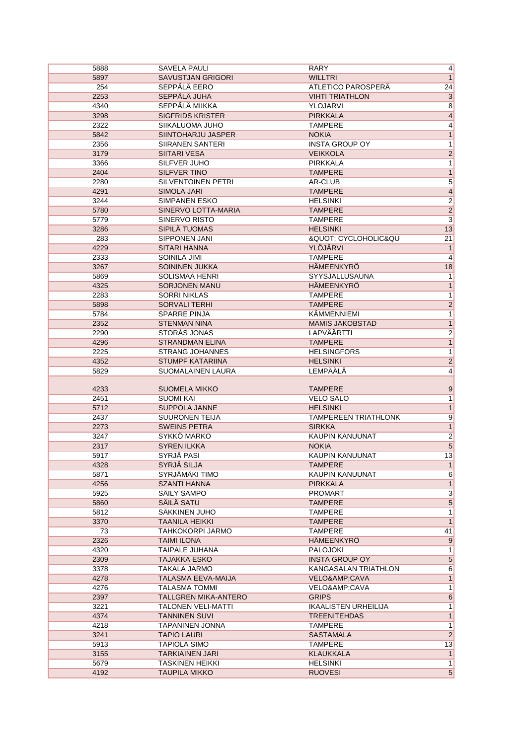| 5888 | SAVELA PAULI              | <b>RARY</b>                 | 4                       |
|------|---------------------------|-----------------------------|-------------------------|
| 5897 | <b>SAVUSTJAN GRIGORI</b>  | <b>WILLTRI</b>              | $\mathbf{1}$            |
| 254  | SEPPÄLÄ EERO              | ATLETICO PAROSPERÄ          | 24                      |
| 2253 | SEPPÄLÄ JUHA              | <b>VIHTI TRIATHLON</b>      | $\overline{3}$          |
| 4340 | SEPPÄLÄ MIIKKA            | YLOJARVI                    | $\overline{8}$          |
| 3298 | <b>SIGFRIDS KRISTER</b>   | <b>PIRKKALA</b>             | 4                       |
| 2322 | SIIKALUOMA JUHO           | <b>TAMPERE</b>              | $\overline{4}$          |
| 5842 | SIINTOHARJU JASPER        | <b>NOKIA</b>                | $\overline{1}$          |
|      |                           |                             |                         |
| 2356 | <b>SIIRANEN SANTERI</b>   | <b>INSTA GROUP OY</b>       | $\mathbf{1}$            |
| 3179 | <b>SIITARI VESA</b>       | <b>VEIKKOLA</b>             | $\overline{2}$          |
| 3366 | SILFVER JUHO              | <b>PIRKKALA</b>             | $\mathbf{1}$            |
| 2404 | SILFVER TINO              | <b>TAMPERE</b>              | $\overline{1}$          |
| 2280 | SILVENTOINEN PETRI        | AR-CLUB                     | $\overline{5}$          |
| 4291 | <b>SIMOLA JARI</b>        | <b>TAMPERE</b>              | $\overline{4}$          |
| 3244 | <b>SIMPANEN ESKO</b>      | <b>HELSINKI</b>             | $\overline{2}$          |
| 5780 | SINERVO LOTTA-MARIA       | <b>TAMPERE</b>              | $\overline{2}$          |
| 5779 | SINERVO RISTO             | <b>TAMPERE</b>              | $\overline{3}$          |
| 3286 | SIPILÄ TUOMAS             | <b>HELSINKI</b>             | 13                      |
| 283  | SIPPONEN JANI             | " CYCLOHOLIC&QU             | $\overline{21}$         |
| 4229 | <b>SITARI HANNA</b>       | <b>YLÖJÄRVI</b>             | $\mathbf{1}$            |
| 2333 | SOINILA JIMI              | <b>TAMPERE</b>              | 4                       |
| 3267 | <b>SOININEN JUKKA</b>     | <b>HÄMEENKYRÖ</b>           | 18                      |
| 5869 | <b>SOLISMAA HENRI</b>     | SYYSJALLUSAUNA              | $\mathbf{1}$            |
| 4325 | <b>SORJONEN MANU</b>      | HÄMEENKYRÖ                  | $\mathbf{1}$            |
| 2283 | <b>SORRI NIKLAS</b>       | <b>TAMPERE</b>              |                         |
|      |                           | <b>TAMPERE</b>              | 1                       |
| 5898 | <b>SORVALI TERHI</b>      |                             | $\overline{2}$          |
| 5784 | <b>SPARRE PINJA</b>       | KÄMMENNIEMI                 | $\mathbf{1}$            |
| 2352 | <b>STENMAN NINA</b>       | <b>MAMIS JAKOBSTAD</b>      | $\overline{1}$          |
| 2290 | STORÅS JONAS              | LAPVÄÄRTTI                  | $\overline{2}$          |
| 4296 | <b>STRANDMAN ELINA</b>    | <b>TAMPERE</b>              | $\overline{1}$          |
| 2225 | <b>STRANG JOHANNES</b>    | <b>HELSINGFORS</b>          | $\mathbf{1}$            |
| 4352 | <b>STUMPF KATARIINA</b>   | <b>HELSINKI</b>             | $\overline{2}$          |
| 5829 | SUOMALAINEN LAURA         | <b>LEMPÄÄLÄ</b>             | 4                       |
|      |                           |                             |                         |
| 4233 | <b>SUOMELA MIKKO</b>      | <b>TAMPERE</b>              | 9                       |
| 2451 | <b>SUOMI KAI</b>          | <b>VELO SALO</b>            | 1                       |
| 5712 | <b>SUPPOLA JANNE</b>      | <b>HELSINKI</b>             | $\overline{\mathbf{1}}$ |
| 2437 | <b>SUURONEN TEIJA</b>     | <b>TAMPEREEN TRIATHLONK</b> | 9                       |
| 2273 | <b>SWEINS PETRA</b>       | <b>SIRKKA</b>               | $\mathbf{1}$            |
| 3247 | SYKKÖ MARKO               | KAUPIN KANUUNAT             | $\overline{2}$          |
| 2317 | <b>SYREN ILKKA</b>        | <b>NOKIA</b>                | $\overline{5}$          |
| 5917 | SYRJÄ PASI                | <b>KAUPIN KANUUNAT</b>      | 13                      |
| 4328 | <b>SYRJÄ SILJA</b>        | <b>TAMPERE</b>              | $\mathbf{1}$            |
| 5871 | SYRJÄMÄKI TIMO            | KAUPIN KANUUNAT             | $\overline{6}$          |
| 4256 | <b>SZANTI HANNA</b>       | <b>PIRKKALA</b>             | $\overline{1}$          |
| 5925 | SÄILY SAMPO               | <b>PROMART</b>              | $\overline{\mathbf{3}}$ |
| 5860 | SÄILÄ SATU                | <b>TAMPERE</b>              | $\overline{\mathbf{5}}$ |
| 5812 | SÄKKINEN JUHO             | TAMPERE                     | 1                       |
| 3370 | TAANILA HEIKKI            | <b>TAMPERE</b>              | $\overline{1}$          |
| 73   | TAHKOKORPI JARMO          | TAMPERE                     | 41                      |
| 2326 | <b>TAIMI ILONA</b>        | <b>HAMEENKYRO</b>           |                         |
|      |                           |                             | 9                       |
| 4320 | <b>TAIPALE JUHANA</b>     | <b>PALOJOKI</b>             | 1                       |
| 2309 | <b>TAJAKKA ESKO</b>       | <b>INSTA GROUP OY</b>       | $\overline{5}$          |
| 3378 | TAKALA JARMO              | KANGASALAN TRIATHLON        | 6                       |
| 4278 | TALASMA EEVA-MAIJA        | VELO&CAVA                   | $\mathbf{1}$            |
| 4276 | <b>TALASMA TOMMI</b>      | VELO&CAVA                   | 1                       |
| 2397 | TALLGREN MIKA-ANTERO      | <b>GRIPS</b>                | $6\overline{6}$         |
| 3221 | <b>TALONEN VELI-MATTI</b> | <b>IKAALISTEN URHEILIJA</b> | 1                       |
| 4374 | <b>TANNINEN SUVI</b>      | <b>TREENITEHDAS</b>         | $\mathbf{1}$            |
| 4218 | TAPANINEN JONNA           | <b>TAMPERE</b>              | $\mathbf{1}$            |
| 3241 | <b>TAPIO LAURI</b>        | <b>SASTAMALA</b>            | $\overline{2}$          |
| 5913 | TAPIOLA SIMO              | <b>TAMPERE</b>              | 13                      |
| 3155 | <b>TARKIAINEN JARI</b>    | <b>KLAUKKALA</b>            | $\mathbf{1}$            |
| 5679 |                           |                             |                         |
|      | <b>TASKINEN HEIKKI</b>    | <b>HELSINKI</b>             | $\mathbf{1}$            |
| 4192 | <b>TAUPILA MIKKO</b>      | <b>RUOVESI</b>              | $\overline{5}$          |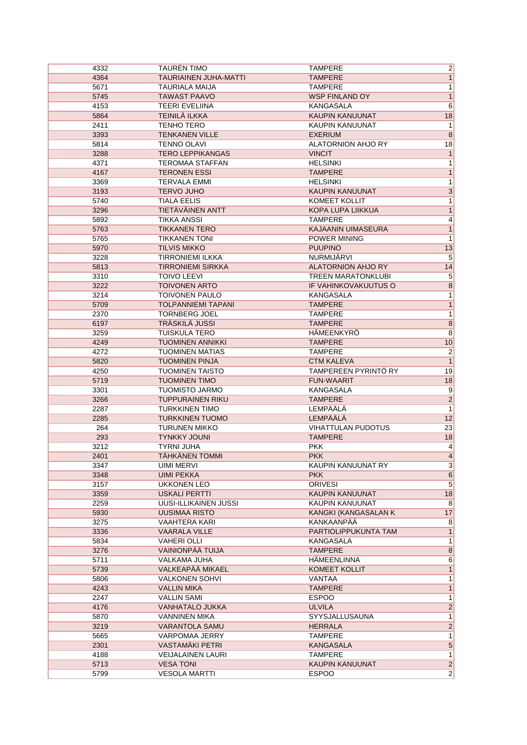| 4332 | <b>TAUREN TIMO</b>           | <b>TAMPERE</b>                              | $\overline{2}$   |
|------|------------------------------|---------------------------------------------|------------------|
| 4364 | <b>TAURIAINEN JUHA-MATTI</b> | <b>TAMPERE</b>                              | 1                |
| 5671 | TAURIALA MAIJA               | <b>TAMPERE</b>                              | 1                |
| 5745 | <b>TAWAST PAAVO</b>          | <b>WSP FINLAND OY</b>                       | $\overline{1}$   |
| 4153 | <b>TEERI EVELIINA</b>        | KANGASALA                                   | $6\overline{}$   |
| 5864 | TEINILÄ ILKKA                | <b>KAUPIN KANUUNAT</b>                      | 18               |
| 2411 | <b>TENHO TERO</b>            | KAUPIN KANUUNAT                             | 1                |
| 3393 | <b>TENKANEN VILLE</b>        | <b>EXERIUM</b>                              | $\overline{8}$   |
| 5814 | <b>TENNO OLAVI</b>           | <b>ALATORNION AHJO RY</b>                   | 18               |
| 3288 | <b>TERO LEPPIKANGAS</b>      | <b>VINCIT</b>                               | 1                |
| 4371 | <b>TEROMAA STAFFAN</b>       | <b>HELSINKI</b>                             | 1                |
| 4167 | <b>TERONEN ESSI</b>          | <b>TAMPERE</b>                              | 1                |
| 3369 | <b>TERVALA EMMI</b>          | <b>HELSINKI</b>                             | 1                |
| 3193 | <b>TERVO JUHO</b>            | KAUPIN KANUUNAT                             | $\overline{3}$   |
| 5740 | <b>TIALA EELIS</b>           | KOMEET KOLLIT                               | $\overline{1}$   |
| 3296 | TIETÄVÄINEN ANTT             | KOPA LUPA LIIKKUA                           | 1                |
| 5892 | <b>TIKKA ANSSI</b>           | <b>TAMPERE</b>                              | $\vert 4 \vert$  |
| 5763 | <b>TIKKANEN TERO</b>         | KAJAANIN UIMASEURA                          | $\overline{1}$   |
| 5765 | <b>TIKKANEN TONI</b>         | <b>POWER MINING</b>                         | 1                |
| 5970 | <b>TILVIS MIKKO</b>          | <b>PUUPINO</b>                              | 13               |
| 3228 | <b>TIRRONIEMI ILKKA</b>      | NURMIJÄRVI                                  | $\overline{5}$   |
| 5813 | <b>TIRRONIEMI SIRKKA</b>     | <b>ALATORNION AHJO RY</b>                   | 14               |
| 3310 | <b>TOIVO LEEVI</b>           | <b>TREEN MARATONKLUBI</b>                   | $\overline{5}$   |
| 3222 | <b>TOIVONEN ARTO</b>         | <b>IF VAHINKOVAKUUTUS O</b>                 | $\overline{8}$   |
| 3214 | <b>TOIVONEN PAULO</b>        | <b>KANGASALA</b>                            | 1                |
| 5709 | <b>TOLPANNIEMI TAPANI</b>    | <b>TAMPERE</b>                              | 1                |
| 2370 | <b>TORNBERG JOEL</b>         | <b>TAMPERE</b>                              | 1                |
| 6197 | TRÄSKILÄ JUSSI               | <b>TAMPERE</b>                              | $\overline{8}$   |
|      | <b>TUISKULA TERO</b>         | <b>HÄMEENKYRÖ</b>                           |                  |
| 3259 |                              |                                             | $\overline{8}$   |
| 4249 | <b>TUOMINEN ANNIKKI</b>      | <b>TAMPERE</b>                              | 10               |
| 4272 | <b>TUOMINEN MATIAS</b>       | <b>TAMPERE</b>                              | $\overline{2}$   |
| 5820 | <b>TUOMINEN PINJA</b>        | <b>CTM KALEVA</b>                           | $\overline{1}$   |
| 4250 | <b>TUOMINEN TAISTO</b>       | TAMPEREEN PYRINTÖ RY                        | 19               |
| 5719 | <b>TUOMINEN TIMO</b>         | <b>FUN-WAARIT</b>                           | 18               |
| 3301 | <b>TUOMISTO JARMO</b>        | KANGASALA                                   | $\overline{9}$   |
| 3266 | <b>TUPPURAINEN RIKU</b>      | <b>TAMPERE</b>                              | $\mathbf 2$      |
| 2287 | <b>TURKKINEN TIMO</b>        | LEMPÄÄLÄ                                    | 1                |
| 2285 | <b>TURKKINEN TUOMO</b>       | LEMPÄÄLÄ                                    | 12               |
| 264  | <b>TURUNEN MIKKO</b>         | <b>VIHATTULAN PUDOTUS</b><br><b>TAMPERE</b> | 23               |
| 293  | <b>TYNKKY JOUNI</b>          |                                             | 18               |
| 3212 | <b>TYRNI JUHA</b>            | <b>PKK</b>                                  | $\vert 4 \vert$  |
| 2401 | <b>TÄHKÄNEN TOMMI</b>        | <b>PKK</b>                                  | $\overline{4}$   |
| 3347 | <b>UIMI MERVI</b>            | KAUPIN KANUUNAT RY                          | 3                |
| 3348 | <b>UIMI PEKKA</b>            | <b>PKK</b>                                  | 6                |
| 3157 | <b>UKKONEN LEO</b>           | <b>ORIVESI</b>                              | 5 <sup>5</sup>   |
| 3359 | <b>USKALI PERTTI</b>         | KAUPIN KANUUNAT                             | 18               |
| 2259 | UUSI-ILLIKAINEN JUSSI        | KAUPIN KANUUNAT                             | 8                |
| 5930 | <b>UUSIMAA RISTO</b>         | KANGKI (KANGASALAN K                        | 17               |
| 3275 | <b>VAAHTERA KARI</b>         | KANKAANPÄÄ                                  | 8                |
| 3336 | <b>VAARALA VILLE</b>         | PARTIOLIPPUKUNTA TAM                        | $\overline{1}$   |
| 5834 | <b>VAHERI OLLI</b>           | <b>KANGASALA</b>                            | $\overline{1}$   |
| 3276 | VAINIONPÄÄ TUIJA             | <b>TAMPERE</b>                              | $\overline{8}$   |
| 5711 | <b>VALKAMA JUHA</b>          | HÄMEENLINNA                                 | 6                |
| 5739 | VALKEAPÄÄ MIKAEL             | KOMEET KOLLIT                               | 1                |
| 5806 | <b>VALKONEN SOHVI</b>        | VANTAA                                      | 1                |
| 4243 | <b>VALLIN MIKA</b>           | <b>TAMPERE</b>                              | $\overline{1}$   |
| 2247 | <b>VALLIN SAMI</b>           | <b>ESPOO</b>                                | 1                |
| 4176 | <b>VANHATALO JUKKA</b>       | <b>ULVILA</b>                               | $\overline{2}$   |
| 5870 | <b>VANNINEN MIKA</b>         | SYYSJALLUSAUNA                              | 1                |
| 3219 | <b>VARANTOLA SAMU</b>        | <b>HERRALA</b>                              | $\overline{2}$   |
| 5665 | VARPOMAA JERRY               | <b>TAMPERE</b>                              | 1                |
| 2301 | VASTAMÄKI PETRI              | KANGASALA                                   | $\overline{5}$   |
| 4188 | <b>VEIJALAINEN LAURI</b>     | <b>TAMPERE</b>                              | 1                |
| 5713 | <b>VESA TONI</b>             | KAUPIN KANUUNAT                             | $\left  \right $ |
| 5799 | <b>VESOLA MARTTI</b>         | <b>ESPOO</b>                                | $\overline{2}$   |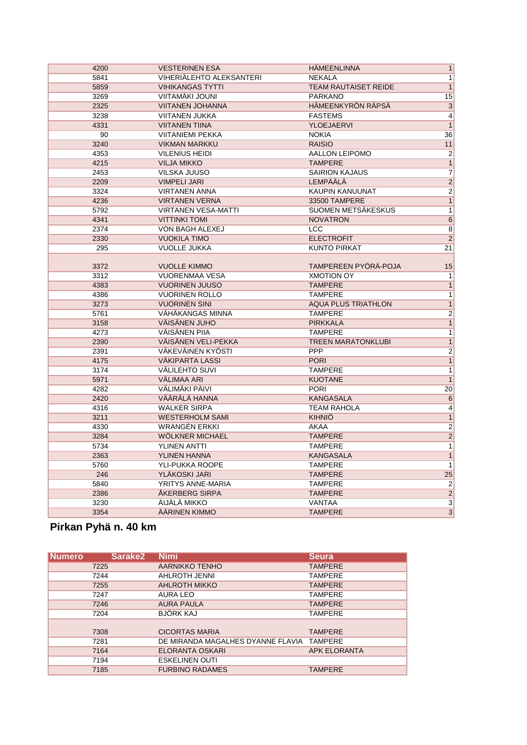| 1<br>5841<br>VIHERIÄLEHTO ALEKSANTERI<br><b>NEKALA</b><br>$\overline{1}$<br>5859<br><b>VIHIKANGAS TYTTI</b><br><b>TEAM RAUTAISET REIDE</b><br>VIITAMÄKI JOUNI<br><b>PARKANO</b><br>15<br>3269<br>2325<br><b>VIITANEN JOHANNA</b><br>HÄMEENKYRÖN RÄPSÄ<br>$\overline{3}$<br>$\overline{4}$<br>3238<br><b>VIITANEN JUKKA</b><br><b>FASTEMS</b><br><b>YLOEJAERVI</b><br>1<br>4331<br><b>VIITANEN TIINA</b><br>90<br><b>VIITANIEMI PEKKA</b><br><b>NOKIA</b><br>36<br><b>VIKMAN MARKKU</b><br><b>RAISIO</b><br>11<br>3240<br>$\overline{2}$<br>4353<br><b>VILENIUS HEIDI</b><br>AALLON LEIPOMO<br><b>TAMPERE</b><br>$\overline{1}$<br>4215<br><b>VILJA MIKKO</b><br>$\overline{7}$<br><b>VILSKA JUUSO</b><br><b>SAIRION KAJAUS</b><br>2453<br>$\overline{2}$<br><b>LEMPÄÄLÄ</b><br>2209<br><b>VIMPELI JARI</b><br>$\overline{2}$<br><b>VIRTANEN ANNA</b><br>KAUPIN KANUUNAT<br>3324<br>4236<br><b>VIRTANEN VERNA</b><br>33500 TAMPERE<br>$\overline{1}$<br><b>VIRTANEN VESA-MATTI</b><br>SUOMEN METSÄKESKUS<br>1<br>5792<br>6<br>4341<br><b>VITTINKI TOMI</b><br><b>NOVATRON</b><br>$\overline{8}$<br>2374<br>VON BAGH ALEXEJ<br><b>LCC</b><br>$\overline{2}$<br>2330<br><b>VUOKILA TIMO</b><br><b>ELECTROFIT</b><br><b>KUNTO PIRKAT</b><br>295<br><b>VUOLLE JUKKA</b><br>21<br>TAMPEREEN PYÖRÄ-POJA<br>3372<br><b>VUOLLE KIMMO</b><br>15<br>3312<br><b>VUORENMAA VESA</b><br><b>XMOTION OY</b><br>1<br>$\overline{1}$<br>4383<br><b>VUORINEN JUUSO</b><br><b>TAMPERE</b><br>$\overline{1}$<br>4386<br><b>VUORINEN ROLLO</b><br><b>TAMPERE</b><br>3273<br><b>VUORINEN SINI</b><br><b>AQUA PLUS TRIATHLON</b><br>1<br>$\overline{2}$<br>5761<br>VÄHÄKANGAS MINNA<br><b>TAMPERE</b><br>$\overline{1}$<br>VÄISÄNEN JUHO<br>3158<br><b>PIRKKALA</b><br>VÄISÄNEN PIIA<br>1<br>4273<br><b>TAMPERE</b><br>$\overline{1}$<br>2390<br>VÄISÄNEN VELI-PEKKA<br><b>TREEN MARATONKLUBI</b><br>VÄKEVÄINEN KYÖSTI<br>PPP<br>$\overline{2}$<br>2391<br>$\overline{1}$<br><b>PORI</b><br>4175<br>VÄKIPARTA LASSI<br>3174<br><b>VÄLILEHTO SUVI</b><br><b>TAMPERE</b><br>1<br>1<br>5971<br>VÄLIMAA ARI<br><b>KUOTANE</b><br>VÄLIMÄKI PÄIVI<br><b>PORI</b><br>20<br>4282<br>VÄÄRÄLÄ HANNA<br><b>KANGASALA</b><br>6<br>2420<br>$\overline{4}$<br>4316<br><b>WALKER SIRPA</b><br><b>TEAM RAHOLA</b><br><b>WESTERHOLM SAMI</b><br><b>KIHNIÖ</b><br>1<br>3211<br>$\overline{2}$<br>4330<br><b>WRANGÉN ERKKI</b><br>AKAA<br>$\overline{2}$<br>WÖLKNER MICHAEL<br><b>TAMPERE</b><br>3284<br>YLINEN ANTTI<br>1<br>5734<br><b>TAMPERE</b><br>2363<br>YLINEN HANNA<br><b>KANGASALA</b><br>1<br>YLI-PUKKA ROOPE<br>1<br>5760<br><b>TAMPERE</b><br>25<br>YLÄKOSKI JARI<br><b>TAMPERE</b><br>246<br>YRITYS ANNE-MARIA<br>$\overline{2}$<br>5840<br><b>TAMPERE</b><br>$\overline{2}$<br>2386<br>ÅKERBERG SIRPA<br><b>TAMPERE</b><br>$\overline{3}$<br>ÄIJÄLÄ MIKKO<br>VANTAA<br>3230<br>$\overline{3}$<br>3354<br>ÄÄRINEN KIMMO<br><b>TAMPERE</b> | 4200 | <b>VESTERINEN ESA</b> | <b>HÄMEENLINNA</b> | $\overline{1}$ |
|--------------------------------------------------------------------------------------------------------------------------------------------------------------------------------------------------------------------------------------------------------------------------------------------------------------------------------------------------------------------------------------------------------------------------------------------------------------------------------------------------------------------------------------------------------------------------------------------------------------------------------------------------------------------------------------------------------------------------------------------------------------------------------------------------------------------------------------------------------------------------------------------------------------------------------------------------------------------------------------------------------------------------------------------------------------------------------------------------------------------------------------------------------------------------------------------------------------------------------------------------------------------------------------------------------------------------------------------------------------------------------------------------------------------------------------------------------------------------------------------------------------------------------------------------------------------------------------------------------------------------------------------------------------------------------------------------------------------------------------------------------------------------------------------------------------------------------------------------------------------------------------------------------------------------------------------------------------------------------------------------------------------------------------------------------------------------------------------------------------------------------------------------------------------------------------------------------------------------------------------------------------------------------------------------------------------------------------------------------------------------------------------------------------------------------------------------------------------------------------------------------------------------------------------------------------------------------------------------------------------------------------------------------------------------------------------------------------------------------------------------------------------------------------------------------------------------------------------------------------------------------------------------------------|------|-----------------------|--------------------|----------------|
|                                                                                                                                                                                                                                                                                                                                                                                                                                                                                                                                                                                                                                                                                                                                                                                                                                                                                                                                                                                                                                                                                                                                                                                                                                                                                                                                                                                                                                                                                                                                                                                                                                                                                                                                                                                                                                                                                                                                                                                                                                                                                                                                                                                                                                                                                                                                                                                                                                                                                                                                                                                                                                                                                                                                                                                                                                                                                                              |      |                       |                    |                |
|                                                                                                                                                                                                                                                                                                                                                                                                                                                                                                                                                                                                                                                                                                                                                                                                                                                                                                                                                                                                                                                                                                                                                                                                                                                                                                                                                                                                                                                                                                                                                                                                                                                                                                                                                                                                                                                                                                                                                                                                                                                                                                                                                                                                                                                                                                                                                                                                                                                                                                                                                                                                                                                                                                                                                                                                                                                                                                              |      |                       |                    |                |
|                                                                                                                                                                                                                                                                                                                                                                                                                                                                                                                                                                                                                                                                                                                                                                                                                                                                                                                                                                                                                                                                                                                                                                                                                                                                                                                                                                                                                                                                                                                                                                                                                                                                                                                                                                                                                                                                                                                                                                                                                                                                                                                                                                                                                                                                                                                                                                                                                                                                                                                                                                                                                                                                                                                                                                                                                                                                                                              |      |                       |                    |                |
|                                                                                                                                                                                                                                                                                                                                                                                                                                                                                                                                                                                                                                                                                                                                                                                                                                                                                                                                                                                                                                                                                                                                                                                                                                                                                                                                                                                                                                                                                                                                                                                                                                                                                                                                                                                                                                                                                                                                                                                                                                                                                                                                                                                                                                                                                                                                                                                                                                                                                                                                                                                                                                                                                                                                                                                                                                                                                                              |      |                       |                    |                |
|                                                                                                                                                                                                                                                                                                                                                                                                                                                                                                                                                                                                                                                                                                                                                                                                                                                                                                                                                                                                                                                                                                                                                                                                                                                                                                                                                                                                                                                                                                                                                                                                                                                                                                                                                                                                                                                                                                                                                                                                                                                                                                                                                                                                                                                                                                                                                                                                                                                                                                                                                                                                                                                                                                                                                                                                                                                                                                              |      |                       |                    |                |
|                                                                                                                                                                                                                                                                                                                                                                                                                                                                                                                                                                                                                                                                                                                                                                                                                                                                                                                                                                                                                                                                                                                                                                                                                                                                                                                                                                                                                                                                                                                                                                                                                                                                                                                                                                                                                                                                                                                                                                                                                                                                                                                                                                                                                                                                                                                                                                                                                                                                                                                                                                                                                                                                                                                                                                                                                                                                                                              |      |                       |                    |                |
|                                                                                                                                                                                                                                                                                                                                                                                                                                                                                                                                                                                                                                                                                                                                                                                                                                                                                                                                                                                                                                                                                                                                                                                                                                                                                                                                                                                                                                                                                                                                                                                                                                                                                                                                                                                                                                                                                                                                                                                                                                                                                                                                                                                                                                                                                                                                                                                                                                                                                                                                                                                                                                                                                                                                                                                                                                                                                                              |      |                       |                    |                |
|                                                                                                                                                                                                                                                                                                                                                                                                                                                                                                                                                                                                                                                                                                                                                                                                                                                                                                                                                                                                                                                                                                                                                                                                                                                                                                                                                                                                                                                                                                                                                                                                                                                                                                                                                                                                                                                                                                                                                                                                                                                                                                                                                                                                                                                                                                                                                                                                                                                                                                                                                                                                                                                                                                                                                                                                                                                                                                              |      |                       |                    |                |
|                                                                                                                                                                                                                                                                                                                                                                                                                                                                                                                                                                                                                                                                                                                                                                                                                                                                                                                                                                                                                                                                                                                                                                                                                                                                                                                                                                                                                                                                                                                                                                                                                                                                                                                                                                                                                                                                                                                                                                                                                                                                                                                                                                                                                                                                                                                                                                                                                                                                                                                                                                                                                                                                                                                                                                                                                                                                                                              |      |                       |                    |                |
|                                                                                                                                                                                                                                                                                                                                                                                                                                                                                                                                                                                                                                                                                                                                                                                                                                                                                                                                                                                                                                                                                                                                                                                                                                                                                                                                                                                                                                                                                                                                                                                                                                                                                                                                                                                                                                                                                                                                                                                                                                                                                                                                                                                                                                                                                                                                                                                                                                                                                                                                                                                                                                                                                                                                                                                                                                                                                                              |      |                       |                    |                |
|                                                                                                                                                                                                                                                                                                                                                                                                                                                                                                                                                                                                                                                                                                                                                                                                                                                                                                                                                                                                                                                                                                                                                                                                                                                                                                                                                                                                                                                                                                                                                                                                                                                                                                                                                                                                                                                                                                                                                                                                                                                                                                                                                                                                                                                                                                                                                                                                                                                                                                                                                                                                                                                                                                                                                                                                                                                                                                              |      |                       |                    |                |
|                                                                                                                                                                                                                                                                                                                                                                                                                                                                                                                                                                                                                                                                                                                                                                                                                                                                                                                                                                                                                                                                                                                                                                                                                                                                                                                                                                                                                                                                                                                                                                                                                                                                                                                                                                                                                                                                                                                                                                                                                                                                                                                                                                                                                                                                                                                                                                                                                                                                                                                                                                                                                                                                                                                                                                                                                                                                                                              |      |                       |                    |                |
|                                                                                                                                                                                                                                                                                                                                                                                                                                                                                                                                                                                                                                                                                                                                                                                                                                                                                                                                                                                                                                                                                                                                                                                                                                                                                                                                                                                                                                                                                                                                                                                                                                                                                                                                                                                                                                                                                                                                                                                                                                                                                                                                                                                                                                                                                                                                                                                                                                                                                                                                                                                                                                                                                                                                                                                                                                                                                                              |      |                       |                    |                |
|                                                                                                                                                                                                                                                                                                                                                                                                                                                                                                                                                                                                                                                                                                                                                                                                                                                                                                                                                                                                                                                                                                                                                                                                                                                                                                                                                                                                                                                                                                                                                                                                                                                                                                                                                                                                                                                                                                                                                                                                                                                                                                                                                                                                                                                                                                                                                                                                                                                                                                                                                                                                                                                                                                                                                                                                                                                                                                              |      |                       |                    |                |
|                                                                                                                                                                                                                                                                                                                                                                                                                                                                                                                                                                                                                                                                                                                                                                                                                                                                                                                                                                                                                                                                                                                                                                                                                                                                                                                                                                                                                                                                                                                                                                                                                                                                                                                                                                                                                                                                                                                                                                                                                                                                                                                                                                                                                                                                                                                                                                                                                                                                                                                                                                                                                                                                                                                                                                                                                                                                                                              |      |                       |                    |                |
|                                                                                                                                                                                                                                                                                                                                                                                                                                                                                                                                                                                                                                                                                                                                                                                                                                                                                                                                                                                                                                                                                                                                                                                                                                                                                                                                                                                                                                                                                                                                                                                                                                                                                                                                                                                                                                                                                                                                                                                                                                                                                                                                                                                                                                                                                                                                                                                                                                                                                                                                                                                                                                                                                                                                                                                                                                                                                                              |      |                       |                    |                |
|                                                                                                                                                                                                                                                                                                                                                                                                                                                                                                                                                                                                                                                                                                                                                                                                                                                                                                                                                                                                                                                                                                                                                                                                                                                                                                                                                                                                                                                                                                                                                                                                                                                                                                                                                                                                                                                                                                                                                                                                                                                                                                                                                                                                                                                                                                                                                                                                                                                                                                                                                                                                                                                                                                                                                                                                                                                                                                              |      |                       |                    |                |
|                                                                                                                                                                                                                                                                                                                                                                                                                                                                                                                                                                                                                                                                                                                                                                                                                                                                                                                                                                                                                                                                                                                                                                                                                                                                                                                                                                                                                                                                                                                                                                                                                                                                                                                                                                                                                                                                                                                                                                                                                                                                                                                                                                                                                                                                                                                                                                                                                                                                                                                                                                                                                                                                                                                                                                                                                                                                                                              |      |                       |                    |                |
|                                                                                                                                                                                                                                                                                                                                                                                                                                                                                                                                                                                                                                                                                                                                                                                                                                                                                                                                                                                                                                                                                                                                                                                                                                                                                                                                                                                                                                                                                                                                                                                                                                                                                                                                                                                                                                                                                                                                                                                                                                                                                                                                                                                                                                                                                                                                                                                                                                                                                                                                                                                                                                                                                                                                                                                                                                                                                                              |      |                       |                    |                |
|                                                                                                                                                                                                                                                                                                                                                                                                                                                                                                                                                                                                                                                                                                                                                                                                                                                                                                                                                                                                                                                                                                                                                                                                                                                                                                                                                                                                                                                                                                                                                                                                                                                                                                                                                                                                                                                                                                                                                                                                                                                                                                                                                                                                                                                                                                                                                                                                                                                                                                                                                                                                                                                                                                                                                                                                                                                                                                              |      |                       |                    |                |
|                                                                                                                                                                                                                                                                                                                                                                                                                                                                                                                                                                                                                                                                                                                                                                                                                                                                                                                                                                                                                                                                                                                                                                                                                                                                                                                                                                                                                                                                                                                                                                                                                                                                                                                                                                                                                                                                                                                                                                                                                                                                                                                                                                                                                                                                                                                                                                                                                                                                                                                                                                                                                                                                                                                                                                                                                                                                                                              |      |                       |                    |                |
|                                                                                                                                                                                                                                                                                                                                                                                                                                                                                                                                                                                                                                                                                                                                                                                                                                                                                                                                                                                                                                                                                                                                                                                                                                                                                                                                                                                                                                                                                                                                                                                                                                                                                                                                                                                                                                                                                                                                                                                                                                                                                                                                                                                                                                                                                                                                                                                                                                                                                                                                                                                                                                                                                                                                                                                                                                                                                                              |      |                       |                    |                |
|                                                                                                                                                                                                                                                                                                                                                                                                                                                                                                                                                                                                                                                                                                                                                                                                                                                                                                                                                                                                                                                                                                                                                                                                                                                                                                                                                                                                                                                                                                                                                                                                                                                                                                                                                                                                                                                                                                                                                                                                                                                                                                                                                                                                                                                                                                                                                                                                                                                                                                                                                                                                                                                                                                                                                                                                                                                                                                              |      |                       |                    |                |
|                                                                                                                                                                                                                                                                                                                                                                                                                                                                                                                                                                                                                                                                                                                                                                                                                                                                                                                                                                                                                                                                                                                                                                                                                                                                                                                                                                                                                                                                                                                                                                                                                                                                                                                                                                                                                                                                                                                                                                                                                                                                                                                                                                                                                                                                                                                                                                                                                                                                                                                                                                                                                                                                                                                                                                                                                                                                                                              |      |                       |                    |                |
|                                                                                                                                                                                                                                                                                                                                                                                                                                                                                                                                                                                                                                                                                                                                                                                                                                                                                                                                                                                                                                                                                                                                                                                                                                                                                                                                                                                                                                                                                                                                                                                                                                                                                                                                                                                                                                                                                                                                                                                                                                                                                                                                                                                                                                                                                                                                                                                                                                                                                                                                                                                                                                                                                                                                                                                                                                                                                                              |      |                       |                    |                |
|                                                                                                                                                                                                                                                                                                                                                                                                                                                                                                                                                                                                                                                                                                                                                                                                                                                                                                                                                                                                                                                                                                                                                                                                                                                                                                                                                                                                                                                                                                                                                                                                                                                                                                                                                                                                                                                                                                                                                                                                                                                                                                                                                                                                                                                                                                                                                                                                                                                                                                                                                                                                                                                                                                                                                                                                                                                                                                              |      |                       |                    |                |
|                                                                                                                                                                                                                                                                                                                                                                                                                                                                                                                                                                                                                                                                                                                                                                                                                                                                                                                                                                                                                                                                                                                                                                                                                                                                                                                                                                                                                                                                                                                                                                                                                                                                                                                                                                                                                                                                                                                                                                                                                                                                                                                                                                                                                                                                                                                                                                                                                                                                                                                                                                                                                                                                                                                                                                                                                                                                                                              |      |                       |                    |                |
|                                                                                                                                                                                                                                                                                                                                                                                                                                                                                                                                                                                                                                                                                                                                                                                                                                                                                                                                                                                                                                                                                                                                                                                                                                                                                                                                                                                                                                                                                                                                                                                                                                                                                                                                                                                                                                                                                                                                                                                                                                                                                                                                                                                                                                                                                                                                                                                                                                                                                                                                                                                                                                                                                                                                                                                                                                                                                                              |      |                       |                    |                |
|                                                                                                                                                                                                                                                                                                                                                                                                                                                                                                                                                                                                                                                                                                                                                                                                                                                                                                                                                                                                                                                                                                                                                                                                                                                                                                                                                                                                                                                                                                                                                                                                                                                                                                                                                                                                                                                                                                                                                                                                                                                                                                                                                                                                                                                                                                                                                                                                                                                                                                                                                                                                                                                                                                                                                                                                                                                                                                              |      |                       |                    |                |
|                                                                                                                                                                                                                                                                                                                                                                                                                                                                                                                                                                                                                                                                                                                                                                                                                                                                                                                                                                                                                                                                                                                                                                                                                                                                                                                                                                                                                                                                                                                                                                                                                                                                                                                                                                                                                                                                                                                                                                                                                                                                                                                                                                                                                                                                                                                                                                                                                                                                                                                                                                                                                                                                                                                                                                                                                                                                                                              |      |                       |                    |                |
|                                                                                                                                                                                                                                                                                                                                                                                                                                                                                                                                                                                                                                                                                                                                                                                                                                                                                                                                                                                                                                                                                                                                                                                                                                                                                                                                                                                                                                                                                                                                                                                                                                                                                                                                                                                                                                                                                                                                                                                                                                                                                                                                                                                                                                                                                                                                                                                                                                                                                                                                                                                                                                                                                                                                                                                                                                                                                                              |      |                       |                    |                |
|                                                                                                                                                                                                                                                                                                                                                                                                                                                                                                                                                                                                                                                                                                                                                                                                                                                                                                                                                                                                                                                                                                                                                                                                                                                                                                                                                                                                                                                                                                                                                                                                                                                                                                                                                                                                                                                                                                                                                                                                                                                                                                                                                                                                                                                                                                                                                                                                                                                                                                                                                                                                                                                                                                                                                                                                                                                                                                              |      |                       |                    |                |
|                                                                                                                                                                                                                                                                                                                                                                                                                                                                                                                                                                                                                                                                                                                                                                                                                                                                                                                                                                                                                                                                                                                                                                                                                                                                                                                                                                                                                                                                                                                                                                                                                                                                                                                                                                                                                                                                                                                                                                                                                                                                                                                                                                                                                                                                                                                                                                                                                                                                                                                                                                                                                                                                                                                                                                                                                                                                                                              |      |                       |                    |                |
|                                                                                                                                                                                                                                                                                                                                                                                                                                                                                                                                                                                                                                                                                                                                                                                                                                                                                                                                                                                                                                                                                                                                                                                                                                                                                                                                                                                                                                                                                                                                                                                                                                                                                                                                                                                                                                                                                                                                                                                                                                                                                                                                                                                                                                                                                                                                                                                                                                                                                                                                                                                                                                                                                                                                                                                                                                                                                                              |      |                       |                    |                |
|                                                                                                                                                                                                                                                                                                                                                                                                                                                                                                                                                                                                                                                                                                                                                                                                                                                                                                                                                                                                                                                                                                                                                                                                                                                                                                                                                                                                                                                                                                                                                                                                                                                                                                                                                                                                                                                                                                                                                                                                                                                                                                                                                                                                                                                                                                                                                                                                                                                                                                                                                                                                                                                                                                                                                                                                                                                                                                              |      |                       |                    |                |
|                                                                                                                                                                                                                                                                                                                                                                                                                                                                                                                                                                                                                                                                                                                                                                                                                                                                                                                                                                                                                                                                                                                                                                                                                                                                                                                                                                                                                                                                                                                                                                                                                                                                                                                                                                                                                                                                                                                                                                                                                                                                                                                                                                                                                                                                                                                                                                                                                                                                                                                                                                                                                                                                                                                                                                                                                                                                                                              |      |                       |                    |                |
|                                                                                                                                                                                                                                                                                                                                                                                                                                                                                                                                                                                                                                                                                                                                                                                                                                                                                                                                                                                                                                                                                                                                                                                                                                                                                                                                                                                                                                                                                                                                                                                                                                                                                                                                                                                                                                                                                                                                                                                                                                                                                                                                                                                                                                                                                                                                                                                                                                                                                                                                                                                                                                                                                                                                                                                                                                                                                                              |      |                       |                    |                |
|                                                                                                                                                                                                                                                                                                                                                                                                                                                                                                                                                                                                                                                                                                                                                                                                                                                                                                                                                                                                                                                                                                                                                                                                                                                                                                                                                                                                                                                                                                                                                                                                                                                                                                                                                                                                                                                                                                                                                                                                                                                                                                                                                                                                                                                                                                                                                                                                                                                                                                                                                                                                                                                                                                                                                                                                                                                                                                              |      |                       |                    |                |
|                                                                                                                                                                                                                                                                                                                                                                                                                                                                                                                                                                                                                                                                                                                                                                                                                                                                                                                                                                                                                                                                                                                                                                                                                                                                                                                                                                                                                                                                                                                                                                                                                                                                                                                                                                                                                                                                                                                                                                                                                                                                                                                                                                                                                                                                                                                                                                                                                                                                                                                                                                                                                                                                                                                                                                                                                                                                                                              |      |                       |                    |                |
|                                                                                                                                                                                                                                                                                                                                                                                                                                                                                                                                                                                                                                                                                                                                                                                                                                                                                                                                                                                                                                                                                                                                                                                                                                                                                                                                                                                                                                                                                                                                                                                                                                                                                                                                                                                                                                                                                                                                                                                                                                                                                                                                                                                                                                                                                                                                                                                                                                                                                                                                                                                                                                                                                                                                                                                                                                                                                                              |      |                       |                    |                |
|                                                                                                                                                                                                                                                                                                                                                                                                                                                                                                                                                                                                                                                                                                                                                                                                                                                                                                                                                                                                                                                                                                                                                                                                                                                                                                                                                                                                                                                                                                                                                                                                                                                                                                                                                                                                                                                                                                                                                                                                                                                                                                                                                                                                                                                                                                                                                                                                                                                                                                                                                                                                                                                                                                                                                                                                                                                                                                              |      |                       |                    |                |
|                                                                                                                                                                                                                                                                                                                                                                                                                                                                                                                                                                                                                                                                                                                                                                                                                                                                                                                                                                                                                                                                                                                                                                                                                                                                                                                                                                                                                                                                                                                                                                                                                                                                                                                                                                                                                                                                                                                                                                                                                                                                                                                                                                                                                                                                                                                                                                                                                                                                                                                                                                                                                                                                                                                                                                                                                                                                                                              |      |                       |                    |                |
|                                                                                                                                                                                                                                                                                                                                                                                                                                                                                                                                                                                                                                                                                                                                                                                                                                                                                                                                                                                                                                                                                                                                                                                                                                                                                                                                                                                                                                                                                                                                                                                                                                                                                                                                                                                                                                                                                                                                                                                                                                                                                                                                                                                                                                                                                                                                                                                                                                                                                                                                                                                                                                                                                                                                                                                                                                                                                                              |      |                       |                    |                |
|                                                                                                                                                                                                                                                                                                                                                                                                                                                                                                                                                                                                                                                                                                                                                                                                                                                                                                                                                                                                                                                                                                                                                                                                                                                                                                                                                                                                                                                                                                                                                                                                                                                                                                                                                                                                                                                                                                                                                                                                                                                                                                                                                                                                                                                                                                                                                                                                                                                                                                                                                                                                                                                                                                                                                                                                                                                                                                              |      |                       |                    |                |
|                                                                                                                                                                                                                                                                                                                                                                                                                                                                                                                                                                                                                                                                                                                                                                                                                                                                                                                                                                                                                                                                                                                                                                                                                                                                                                                                                                                                                                                                                                                                                                                                                                                                                                                                                                                                                                                                                                                                                                                                                                                                                                                                                                                                                                                                                                                                                                                                                                                                                                                                                                                                                                                                                                                                                                                                                                                                                                              |      |                       |                    |                |
|                                                                                                                                                                                                                                                                                                                                                                                                                                                                                                                                                                                                                                                                                                                                                                                                                                                                                                                                                                                                                                                                                                                                                                                                                                                                                                                                                                                                                                                                                                                                                                                                                                                                                                                                                                                                                                                                                                                                                                                                                                                                                                                                                                                                                                                                                                                                                                                                                                                                                                                                                                                                                                                                                                                                                                                                                                                                                                              |      |                       |                    |                |
|                                                                                                                                                                                                                                                                                                                                                                                                                                                                                                                                                                                                                                                                                                                                                                                                                                                                                                                                                                                                                                                                                                                                                                                                                                                                                                                                                                                                                                                                                                                                                                                                                                                                                                                                                                                                                                                                                                                                                                                                                                                                                                                                                                                                                                                                                                                                                                                                                                                                                                                                                                                                                                                                                                                                                                                                                                                                                                              |      |                       |                    |                |

## **Pirkan Pyhä n. 40 km**

| <b>Numero</b> | Sarake <sub>2</sub> | <b>Nimi</b>                       | <b>Seura</b>        |
|---------------|---------------------|-----------------------------------|---------------------|
| 7225          |                     | AARNIKKO TENHO                    | <b>TAMPERE</b>      |
| 7244          |                     | AHLROTH JENNI                     | <b>TAMPERE</b>      |
| 7255          |                     | <b>AHLROTH MIKKO</b>              | <b>TAMPERE</b>      |
| 7247          |                     | AURA LEO                          | <b>TAMPERE</b>      |
| 7246          |                     | <b>AURA PAULA</b>                 | <b>TAMPERE</b>      |
| 7204          |                     | <b>BJÖRK KAJ</b>                  | <b>TAMPERE</b>      |
|               |                     |                                   |                     |
| 7308          |                     | <b>CICORTAS MARIA</b>             | <b>TAMPERE</b>      |
| 7281          |                     | DE MIRANDA MAGALHES DYANNE FLAVIA | <b>TAMPERE</b>      |
| 7164          |                     | ELORANTA OSKARI                   | <b>APK ELORANTA</b> |
| 7194          |                     | <b>ESKELINEN OUTI</b>             |                     |
| 7185          |                     | <b>FURBINO RADAMES</b>            | <b>TAMPERE</b>      |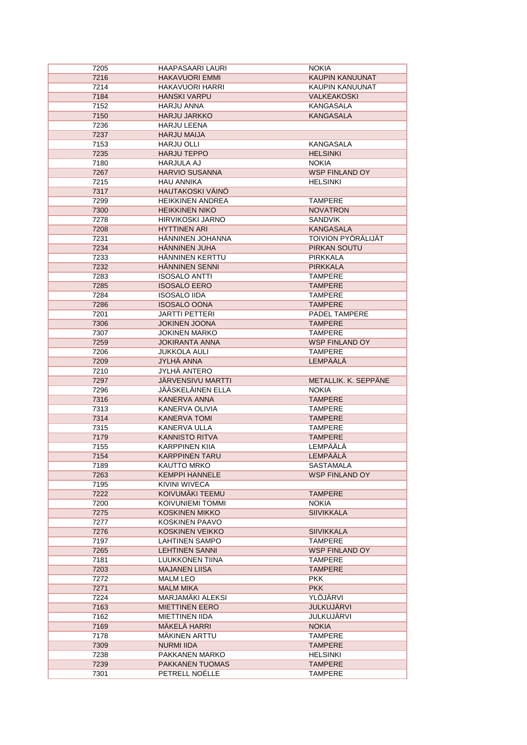| 7205         | <b>HAAPASAARI LAURI</b>                         | <b>NOKIA</b>                              |
|--------------|-------------------------------------------------|-------------------------------------------|
| 7216         | <b>HAKAVUORI EMMI</b>                           | KAUPIN KANUUNAT                           |
| 7214         | <b>HAKAVUORI HARRI</b>                          | KAUPIN KANUUNAT                           |
| 7184         | <b>HANSKI VARPU</b>                             | <b>VALKEAKOSKI</b>                        |
| 7152         | HARJU ANNA                                      | KANGASALA                                 |
| 7150         | <b>HARJU JARKKO</b>                             | <b>KANGASALA</b>                          |
| 7236         | <b>HARJU LEENA</b>                              |                                           |
| 7237         | <b>HARJU MAIJA</b>                              |                                           |
| 7153         | <b>HARJU OLLI</b>                               | KANGASALA                                 |
| 7235         | <b>HARJU TEPPO</b>                              | <b>HELSINKI</b>                           |
| 7180         | <b>HARJULA AJ</b>                               | <b>NOKIA</b>                              |
| 7267         | <b>HARVIO SUSANNA</b>                           | <b>WSP FINLAND OY</b>                     |
| 7215         | <b>HAU ANNIKA</b>                               | <b>HELSINKI</b>                           |
| 7317         | HAUTAKOSKI VÄINÖ                                |                                           |
| 7299         | <b>HEIKKINEN ANDREA</b>                         | TAMPERE                                   |
| 7300         | <b>HEIKKINEN NIKO</b>                           | <b>NOVATRON</b>                           |
| 7278         | <b>HIRVIKOSKI JARNO</b>                         | <b>SANDVIK</b>                            |
| 7208         | <b>HYTTINEN ARI</b>                             | <b>KANGASALA</b>                          |
|              | HÄNNINEN JOHANNA                                |                                           |
| 7231         |                                                 | <b>TOIVION PYÖRÄLIJÄT</b><br>PIRKAN SOUTU |
| 7234         | <b>HANNINEN JUHA</b>                            |                                           |
| 7233         | HÄNNINEN KERTTU                                 | <b>PIRKKALA</b>                           |
| 7232         | <b>HANNINEN SENNI</b>                           | <b>PIRKKALA</b>                           |
| 7283         | <b>ISOSALO ANTTI</b>                            | <b>TAMPERE</b>                            |
| 7285         | <b>ISOSALO EERO</b>                             | <b>TAMPERE</b>                            |
| 7284         | <b>ISOSALO IIDA</b>                             | <b>TAMPERE</b>                            |
| 7286         | <b>ISOSALO OONA</b>                             | <b>TAMPERE</b>                            |
| 7201         | <b>JARTTI PETTERI</b>                           | PADEL TAMPERE                             |
| 7306         | <b>JOKINEN JOONA</b>                            | <b>TAMPERE</b>                            |
| 7307         | <b>JOKINEN MARKO</b>                            | <b>TAMPERE</b>                            |
| 7259         | <b>JOKIRANTA ANNA</b>                           | <b>WSP FINLAND OY</b>                     |
| 7206         | <b>JUKKOLA AULI</b>                             | <b>TAMPERE</b>                            |
| 7209         | JYLHÄ ANNA                                      | <b>LEMPÄÄLÄ</b>                           |
|              |                                                 |                                           |
| 7210         | <b>JYLHÄ ANTERO</b>                             |                                           |
| 7297         | <b>JÄRVENSIVU MARTTI</b>                        | METALLIK. K. SEPPÄNE                      |
| 7296         | JÄÄSKELÄINEN ELLA                               | <b>NOKIA</b>                              |
| 7316         | KANERVA ANNA                                    | <b>TAMPERE</b>                            |
| 7313         | KANERVA OLIVIA                                  | <b>TAMPERE</b>                            |
| 7314         | <b>KANERVA TOMI</b>                             | <b>TAMPERE</b>                            |
| 7315         | KANERVA ULLA                                    | <b>TAMPERE</b>                            |
| 7179         | <b>KANNISTO RITVA</b>                           | <b>TAMPERE</b>                            |
| 7155         | <b>KARPPINEN KIIA</b>                           | <b>LEMPÄÄLÄ</b>                           |
| 7154         | <b>KARPPINEN TARU</b>                           | <b>LEMPÄÄLÄ</b>                           |
| 7189         | KAUTTO MRKO                                     | SASTAMALA                                 |
| 7263         | <b>KEMPPI HANNELE</b>                           | WSP FINLAND OY                            |
| 7195         | KIVINI WIVECA                                   |                                           |
| 7222         | KOIVUMÄKI TEEMU                                 | <b>TAMPERE</b>                            |
| 7200         | KOIVUNIEMI TOMMI                                | <b>NOKIA</b>                              |
| 7275         | <b>KOSKINEN MIKKO</b>                           | <b>SIIVIKKALA</b>                         |
| 7277         |                                                 |                                           |
|              | <b>KOSKINEN PAAVO</b>                           |                                           |
| 7276<br>7197 | <b>KOSKINEN VEIKKO</b><br><b>LAHTINEN SAMPO</b> | <b>SIIVIKKALA</b><br><b>TAMPERE</b>       |
|              |                                                 |                                           |
| 7265         | <b>LEHTINEN SANNI</b>                           | WSP FINLAND OY                            |
| 7181         | LUUKKONEN TIINA<br><b>MAJANEN LIISA</b>         | <b>TAMPERE</b><br><b>TAMPERE</b>          |
| 7203         |                                                 |                                           |
| 7272         | MALM LEO                                        | <b>PKK</b>                                |
| 7271         | <b>MALM MIKA</b>                                | <b>PKK</b>                                |
| 7224         | MARJAMÄKI ALEKSI                                | YLÖJÄRVI                                  |
| 7163         | <b>MIETTINEN EERO</b>                           | <b>JULKUJÄRVI</b>                         |
| 7162         | <b>MIETTINEN IIDA</b>                           | JULKUJARVI                                |
| 7169         | <b>MÄKELÄ HARRI</b>                             | <b>NOKIA</b>                              |
| 7178         | <b>MAKINEN ARTTU</b>                            | <b>TAMPERE</b>                            |
| 7309         | <b>NURMI IIDA</b>                               | <b>TAMPERE</b>                            |
| 7238         | PAKKANEN MARKO                                  | <b>HELSINKI</b>                           |
| 7239<br>7301 | PAKKANEN TUOMAS<br>PETRELL NOÉLLE               | <b>TAMPERE</b><br>TAMPERE                 |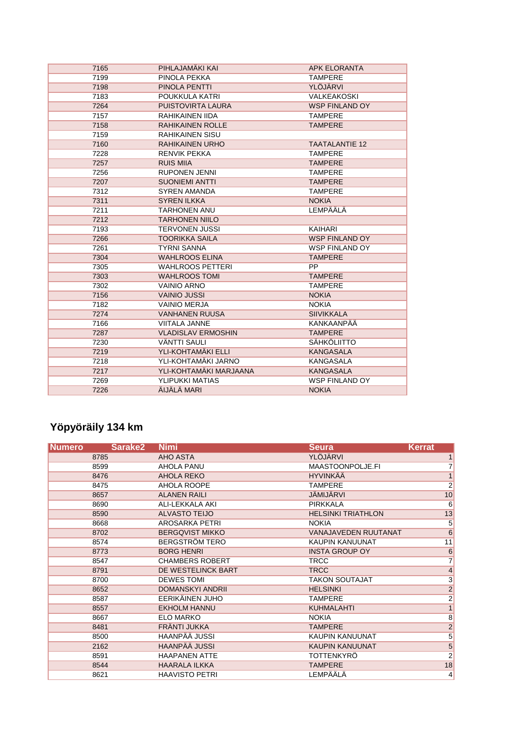| 7165 | PIHLAJAMÄKI KAI           | <b>APK ELORANTA</b>   |
|------|---------------------------|-----------------------|
| 7199 | PINOLA PEKKA              | <b>TAMPERE</b>        |
| 7198 | PINOLA PENTTI             | YLÖJÄRVI              |
| 7183 | POUKKULA KATRI            | <b>VALKEAKOSKI</b>    |
| 7264 | PUISTOVIRTA LAURA         | <b>WSP FINLAND OY</b> |
| 7157 | RAHIKAINEN IIDA           | <b>TAMPERE</b>        |
| 7158 | <b>RAHIKAINEN ROLLE</b>   | <b>TAMPERE</b>        |
| 7159 | <b>RAHIKAINEN SISU</b>    |                       |
| 7160 | <b>RAHIKAINEN URHO</b>    | <b>TAATALANTIE 12</b> |
| 7228 | <b>RENVIK PEKKA</b>       | <b>TAMPERE</b>        |
| 7257 | <b>RUIS MIIA</b>          | <b>TAMPERE</b>        |
| 7256 | <b>RUPONEN JENNI</b>      | <b>TAMPERE</b>        |
| 7207 | <b>SUONIEMI ANTTI</b>     | <b>TAMPERE</b>        |
| 7312 | <b>SYREN AMANDA</b>       | <b>TAMPERE</b>        |
| 7311 | <b>SYREN ILKKA</b>        | <b>NOKIA</b>          |
| 7211 | <b>TARHONEN ANU</b>       | LEMPÄÄLÄ              |
| 7212 | <b>TARHONEN NIILO</b>     |                       |
| 7193 | <b>TERVONEN JUSSI</b>     | KAIHARI               |
| 7266 | <b>TOORIKKA SAILA</b>     | <b>WSP FINLAND OY</b> |
| 7261 | <b>TYRNI SANNA</b>        | <b>WSP FINLAND OY</b> |
| 7304 | <b>WAHLROOS ELINA</b>     | <b>TAMPERE</b>        |
| 7305 | <b>WAHLROOS PETTERI</b>   | <b>PP</b>             |
| 7303 | <b>WAHLROOS TOMI</b>      | <b>TAMPERE</b>        |
| 7302 | <b>VAINIO ARNO</b>        | <b>TAMPERE</b>        |
| 7156 | <b>VAINIO JUSSI</b>       | <b>NOKIA</b>          |
| 7182 | <b>VAINIO MERJA</b>       | <b>NOKIA</b>          |
| 7274 | <b>VANHANEN RUUSA</b>     | <b>SIIVIKKALA</b>     |
| 7166 | VIITALA JANNE             | KANKAANPÄÄ            |
| 7287 | <b>VLADISLAV ERMOSHIN</b> | <b>TAMPERE</b>        |
| 7230 | <b>VÄNTTI SAULI</b>       | SÄHKÖLIITTO           |
| 7219 | YLI-KOHTAMÄKI ELLI        | <b>KANGASALA</b>      |
| 7218 | YLI-KOHTAMÄKI JARNO       | <b>KANGASALA</b>      |
| 7217 | YLI-KOHTAMÄKI MARJAANA    | <b>KANGASALA</b>      |
| 7269 | YLIPUKKI MATIAS           | <b>WSP FINLAND OY</b> |
| 7226 | ÄIJÄLÄ MARI               | <b>NOKIA</b>          |

# **Yöpyöräily 134 km**

| <b>Numero</b> | Sarake <sub>2</sub> | <b>Nimi</b>             | <b>Seura</b>                | <b>Kerrat</b>            |
|---------------|---------------------|-------------------------|-----------------------------|--------------------------|
|               | 8785                | <b>AHO ASTA</b>         | <b>YLÖJÄRVI</b>             |                          |
|               | 8599                | AHOLA PANU              | MAASTOONPOLJE.FI            | 7                        |
|               | 8476                | AHOLA REKO              | <b>HYVINKÄÄ</b>             | $\mathbf{1}$             |
|               | 8475                | AHOLA ROOPE             | <b>TAMPERE</b>              | $\overline{\mathbf{c}}$  |
|               | 8657                | <b>ALANEN RAILI</b>     | <b>JÄMIJÄRVI</b>            | 10                       |
|               | 8690                | <b>ALI-LEKKALA AKI</b>  | <b>PIRKKALA</b>             | 6                        |
|               | 8590                | <b>ALVASTO TEIJO</b>    | <b>HELSINKI TRIATHLON</b>   | 13                       |
|               | 8668                | <b>AROSARKA PETRI</b>   | <b>NOKIA</b>                | $\overline{5}$           |
|               | 8702                | <b>BERGQVIST MIKKO</b>  | <b>VANAJAVEDEN RUUTANAT</b> | $\overline{6}$           |
|               | 8574                | <b>BERGSTRÖM TERO</b>   | <b>KAUPIN KANUUNAT</b>      | 11                       |
|               | 8773                | <b>BORG HENRI</b>       | <b>INSTA GROUP OY</b>       | $6\phantom{1}6$          |
|               | 8547                | <b>CHAMBERS ROBERT</b>  | <b>TRCC</b>                 | 7                        |
|               | 8791                | DE WESTELINCK BART      | <b>TRCC</b>                 | $\overline{\mathcal{L}}$ |
|               | 8700                | <b>DEWES TOMI</b>       | <b>TAKON SOUTAJAT</b>       | $\overline{3}$           |
|               | 8652                | <b>DOMANSKYI ANDRII</b> | <b>HELSINKI</b>             | $\overline{c}$           |
|               | 8587                | EERIKÄINEN JUHO         | <b>TAMPERE</b>              | $\overline{2}$           |
|               | 8557                | <b>EKHOLM HANNU</b>     | KUHMALAHTI                  | $\overline{1}$           |
|               | 8667                | <b>ELO MARKO</b>        | <b>NOKIA</b>                | $\overline{8}$           |
|               | 8481                | FRÄNTI JUKKA            | <b>TAMPERE</b>              | $\frac{2}{5}$            |
|               | 8500                | <b>HAANPÄÄ JUSSI</b>    | <b>KAUPIN KANUUNAT</b>      |                          |
|               | 2162                | <b>HAANPÄÄ JUSSI</b>    | <b>KAUPIN KANUUNAT</b>      | $\frac{5}{2}$            |
|               | 8591                | <b>HAAPANEN ATTE</b>    | <b>TOTTENKYRÖ</b>           |                          |
|               | 8544                | <b>HAARALA ILKKA</b>    | <b>TAMPERE</b>              | 18                       |
|               | 8621                | <b>HAAVISTO PETRI</b>   | <b>LEMPÄÄLÄ</b>             | 4                        |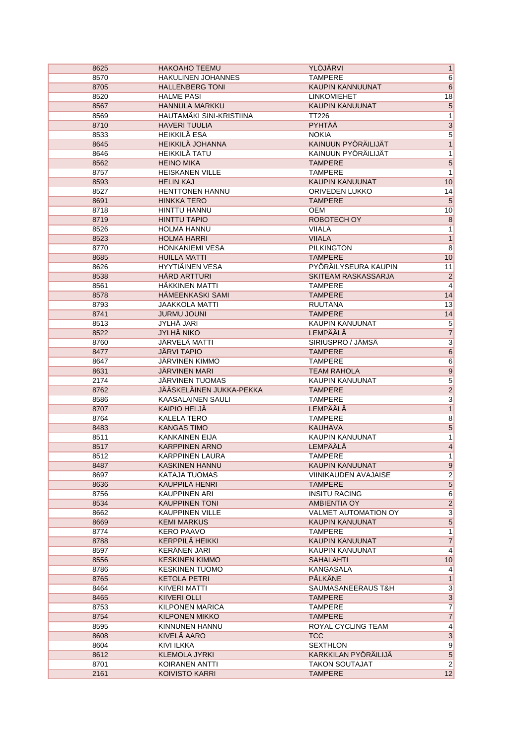| 8625 | <b>HAKOAHO TEEMU</b>            | YLÖJÄRVI                                | 1                       |
|------|---------------------------------|-----------------------------------------|-------------------------|
| 8570 | <b>HAKULINEN JOHANNES</b>       | <b>TAMPERE</b>                          | $6\overline{6}$         |
| 8705 | <b>HALLENBERG TONI</b>          | KAUPIN KANNUUNAT                        | $6\phantom{1}6$         |
| 8520 | <b>HALME PASI</b>               | <b>LINKOMIEHET</b>                      | 18                      |
| 8567 | HANNULA MARKKU                  | KAUPIN KANUUNAT                         | $\overline{5}$          |
| 8569 | <b>HAUTAMÄKI SINI-KRISTIINA</b> | <b>TT226</b>                            | $\overline{1}$          |
| 8710 | <b>HAVERI TUULIA</b>            | PYHTÄÄ                                  | $\overline{3}$          |
| 8533 | <b>HEIKKILÄ ESA</b>             | <b>NOKIA</b>                            | $\overline{5}$          |
| 8645 | <b>HEIKKILÄ JOHANNA</b>         | KAINUUN PYÖRÄILIJÄT                     | $\overline{1}$          |
| 8646 | <b>HEIKKILÄ TATU</b>            | KAINUUN PYÖRÄILIJÄT                     | $\overline{1}$          |
| 8562 | <b>HEINO MIKA</b>               | <b>TAMPERE</b>                          | $\overline{\mathbf{5}}$ |
| 8757 | <b>HEISKANEN VILLE</b>          | <b>TAMPERE</b>                          | $\overline{1}$          |
| 8593 | <b>HELIN KAJ</b>                | <b>KAUPIN KANUUNAT</b>                  | 10                      |
| 8527 | <b>HENTTONEN HANNU</b>          | ORIVEDEN LUKKO                          | 14                      |
| 8691 | <b>HINKKA TERO</b>              | <b>TAMPERE</b>                          | $\overline{\mathbf{5}}$ |
| 8718 | <b>HINTTU HANNU</b>             | <b>OEM</b>                              | 10                      |
| 8719 | <b>HINTTU TAPIO</b>             | ROBOTECH OY                             | $\overline{8}$          |
| 8526 | <b>HOLMA HANNU</b>              | <b>VIIALA</b>                           | 1                       |
| 8523 | <b>HOLMA HARRI</b>              | <b>VIIALA</b>                           | $\mathbf{1}$            |
| 8770 | <b>HONKANIEMI VESA</b>          | <b>PILKINGTON</b>                       | $\overline{8}$          |
| 8685 | <b>HUILLA MATTI</b>             | <b>TAMPERE</b>                          | 10                      |
| 8626 | HYYTIÄINEN VESA                 | PYÖRÄILYSEURA KAUPIN                    | 11                      |
| 8538 | <b>HÅRD ARTTURI</b>             | SKITEAM RASKASSARJA                     | $\overline{2}$          |
| 8561 | HÄKKINEN MATTI                  | <b>TAMPERE</b>                          | 4                       |
| 8578 | HÄMEENKASKI SAMI                | <b>TAMPERE</b>                          | 14                      |
| 8793 | <b>JAAKKOLA MATTI</b>           | <b>RUUTANA</b>                          | 13                      |
| 8741 | <b>JURMU JOUNI</b>              | <b>TAMPERE</b>                          | 14                      |
| 8513 | <b>JYLHÄ JARI</b>               | <b>KAUPIN KANUUNAT</b>                  | $\overline{5}$          |
|      | <b>JYLHÄ NIKO</b>               | <b>LEMPÄÄLÄ</b>                         |                         |
| 8522 | JÄRVELÄ MATTI                   | SIRIUSPRO / JÄMSÄ                       | $\overline{7}$          |
| 8760 |                                 |                                         | $\overline{3}$          |
| 8477 | <b>JÄRVI TAPIO</b>              | <b>TAMPERE</b>                          | $6\overline{6}$         |
| 8647 | <b>JÄRVINEN KIMMO</b>           | <b>TAMPERE</b>                          | $\overline{6}$          |
| 8631 | <b>JÄRVINEN MARI</b>            | <b>TEAM RAHOLA</b>                      | $\overline{9}$          |
| 2174 | JÄRVINEN TUOMAS                 | KAUPIN KANUUNAT                         | $\overline{5}$          |
| 8762 | JÄÄSKELÄINEN JUKKA-PEKKA        | <b>TAMPERE</b>                          | $\overline{2}$          |
| 8586 | <b>KAASALAINEN SAULI</b>        | <b>TAMPERE</b>                          | $\overline{3}$          |
| 8707 | <b>KAIPIO HELJÄ</b>             | <b>LEMPÄÄLÄ</b>                         | $\overline{1}$          |
| 8764 | <b>KALELA TERO</b>              | <b>TAMPERE</b>                          | $\overline{8}$          |
| 8483 | <b>KANGAS TIMO</b>              | <b>KAUHAVA</b>                          | 5                       |
| 8511 | <b>KANKAINEN EIJA</b>           | <b>KAUPIN KANUUNAT</b>                  | $\overline{1}$          |
|      |                                 |                                         |                         |
| 8517 | <b>KARPPINEN ARNO</b>           | LEMPÄÄLÄ                                | $\overline{4}$          |
| 8512 | <b>KARPPINEN LAURA</b>          | <b>TAMPERE</b>                          | $\overline{1}$          |
| 8487 | <b>KASKINEN HANNU</b>           | KAUPIN KANUUNAT                         | 9                       |
| 8697 | KATAJA TUOMAS                   | <b>VIINIKAUDEN AVAJAISE</b>             | $\overline{2}$          |
| 8636 | <b>KAUPPILA HENRI</b>           | <b>TAMPERE</b>                          | $\overline{5}$          |
| 8756 | KAUPPINEN ARI                   | <b>INSITU RACING</b>                    | 6                       |
| 8534 | <b>KAUPPINEN TONI</b>           | AMBIENTIA OY                            | $\overline{2}$          |
| 8662 | <b>KAUPPINEN VILLE</b>          | <b>VALMET AUTOMATION OY</b>             | $\overline{3}$          |
| 8669 | <b>KEMI MARKUS</b>              | <b>KAUPIN KANUUNAT</b>                  | $\overline{5}$          |
| 8774 | <b>KERO PAAVO</b>               | <b>TAMPERE</b>                          | 1                       |
| 8788 | <b>KERPPILÄ HEIKKI</b>          | KAUPIN KANUUNAT                         | $\overline{7}$          |
| 8597 | <b>KERÄNEN JARI</b>             | KAUPIN KANUUNAT                         | $\vert$                 |
| 8556 | <b>KESKINEN KIMMO</b>           | <b>SAHALAHTI</b>                        | 10                      |
| 8786 | <b>KESKINEN TUOMO</b>           | KANGASALA                               | $\vert 4 \vert$         |
| 8765 | <b>KETOLA PETRI</b>             | <b>PÄLKÄNE</b>                          | 1                       |
| 8464 | KIIVERI MATTI                   | SAUMASANEERAUS T&H                      | $\overline{3}$          |
| 8465 | KIIVERI OLLI                    | <b>TAMPERE</b>                          | $\overline{3}$          |
| 8753 | KILPONEN MARICA                 | <b>TAMPERE</b>                          | $\overline{7}$          |
| 8754 | <b>KILPONEN MIKKO</b>           | <b>TAMPERE</b>                          | $\overline{7}$          |
| 8595 | KINNUNEN HANNU                  | ROYAL CYCLING TEAM                      | $\overline{4}$          |
| 8608 | KIVELÄ AARO                     | <b>TCC</b>                              | 3                       |
| 8604 | KIVI ILKKA                      | <b>SEXTHLON</b>                         | 9                       |
| 8612 | <b>KLEMOLA JYRKI</b>            | KARKKILAN PYORAILIJA                    | $\overline{5}$          |
| 8701 | KOIRANEN ANTTI                  | <b>TAKON SOUTAJAT</b><br><b>TAMPERE</b> | $\overline{2}$<br>12    |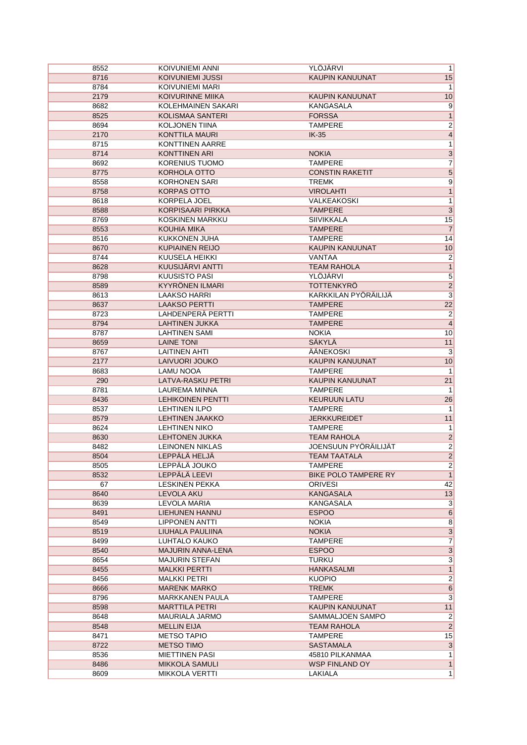| 8552 | KOIVUNIEMI ANNI          | YLÖJÄRVI                    | $\mathbf{1}$            |
|------|--------------------------|-----------------------------|-------------------------|
| 8716 | <b>KOIVUNIEMI JUSSI</b>  | <b>KAUPIN KANUUNAT</b>      | 15                      |
| 8784 | KOIVUNIEMI MARI          |                             | $\mathbf{1}$            |
| 2179 | <b>KOIVURINNE MIIKA</b>  | <b>KAUPIN KANUUNAT</b>      | 10                      |
| 8682 | KOLEHMAINEN SAKARI       | KANGASALA                   | 9                       |
| 8525 | <b>KOLISMAA SANTERI</b>  | <b>FORSSA</b>               | $\mathbf{1}$            |
| 8694 | <b>KOLJONEN TIINA</b>    | <b>TAMPERE</b>              | $\overline{2}$          |
| 2170 | KONTTILA MAURI           | $IK-35$                     | $\overline{4}$          |
| 8715 | <b>KONTTINEN AARRE</b>   |                             | $\overline{1}$          |
| 8714 | <b>KONTTINEN ARI</b>     | <b>NOKIA</b>                | $\overline{3}$          |
| 8692 | KORENIUS TUOMO           | <b>TAMPERE</b>              | $\overline{7}$          |
| 8775 | KORHOLA OTTO             | <b>CONSTIN RAKETIT</b>      | $\overline{5}$          |
| 8558 | <b>KORHONEN SARI</b>     | <b>TREMK</b>                | $\overline{9}$          |
| 8758 | <b>KORPAS OTTO</b>       | <b>VIROLAHTI</b>            | $\overline{1}$          |
| 8618 | KORPELA JOEL             | <b>VALKEAKOSKI</b>          | $\overline{1}$          |
| 8588 | <b>KORPISAARI PIRKKA</b> | <b>TAMPERE</b>              | $\overline{3}$          |
|      | KOSKINEN MARKKU          |                             |                         |
| 8769 |                          | <b>SIIVIKKALA</b>           | 15<br>$\overline{7}$    |
| 8553 | <b>KOUHIA MIKA</b>       | <b>TAMPERE</b>              |                         |
| 8516 | KUKKONEN JUHA            | <b>TAMPERE</b>              | 14                      |
| 8670 | <b>KUPIAINEN REIJO</b>   | KAUPIN KANUUNAT             | 10                      |
| 8744 | KUUSELA HEIKKI           | VANTAA                      | $\overline{2}$          |
| 8628 | KUUSIJÄRVI ANTTI         | <b>TEAM RAHOLA</b>          | $\overline{1}$          |
| 8798 | <b>KUUSISTO PASI</b>     | YLÖJÄRVI                    | $\overline{5}$          |
| 8589 | KYYRÖNEN ILMARI          | <b>TOTTENKYRÖ</b>           | $\overline{2}$          |
| 8613 | <b>LAAKSO HARRI</b>      | KARKKILAN PYÖRÄILIJÄ        | $\overline{\mathbf{3}}$ |
| 8637 | <b>LAAKSO PERTTI</b>     | <b>TAMPERE</b>              | $\overline{22}$         |
| 8723 | LAHDENPERÄ PERTTI        | <b>TAMPERE</b>              | $\overline{2}$          |
| 8794 | <b>LAHTINEN JUKKA</b>    | <b>TAMPERE</b>              | $\overline{4}$          |
| 8787 | <b>LAHTINEN SAMI</b>     | <b>NOKIA</b>                | 10                      |
| 8659 | <b>LAINE TONI</b>        | SÄKYLÄ                      | 11                      |
| 8767 | <b>LAITINEN AHTI</b>     | ÄÄNEKOSKI                   | $\overline{\mathbf{3}}$ |
| 2177 | LAIVUORI JOUKO           | <b>KAUPIN KANUUNAT</b>      | 10                      |
| 8683 | <b>LAMU NOOA</b>         | <b>TAMPERE</b>              | $\mathbf{1}$            |
| 290  | LATVA-RASKU PETRI        | KAUPIN KANUUNAT             | 21                      |
| 8781 | LAUREMA MINNA            | <b>TAMPERE</b>              | $\mathbf 1$             |
| 8436 | <b>LEHIKOINEN PENTTI</b> | <b>KEURUUN LATU</b>         | 26                      |
| 8537 | <b>LEHTINEN ILPO</b>     | <b>TAMPERE</b>              | $\mathbf{1}$            |
| 8579 | <b>LEHTINEN JAAKKO</b>   | <b>JERKKUREIDET</b>         | 11                      |
| 8624 | <b>LEHTINEN NIKO</b>     | <b>TAMPERE</b>              | $\mathbf{1}$            |
|      | <b>LEHTONEN JUKKA</b>    | <b>TEAM RAHOLA</b>          | $\overline{2}$          |
| 8630 |                          | <b>JOENSUUN PYÖRÄILIJÄT</b> | $\overline{2}$          |
| 8482 | <b>LEINONEN NIKLAS</b>   |                             |                         |
| 8504 | LEPPÄLÄ HELJÄ            | <b>TEAM TAATALA</b>         | $\overline{2}$          |
| 8505 | LEPPÄLÄ JOUKO            | TAMPERE                     | $\overline{\mathbf{c}}$ |
| 8532 | LEPPÄLÄ LEEVI            | BIKE POLO TAMPERE RY        | $\overline{1}$          |
| 67   | <b>LESKINEN PEKKA</b>    | <b>ORIVESI</b>              | 42                      |
| 8640 | LEVOLA AKU               | <b>KANGASALA</b>            | 13                      |
| 8639 | LEVOLA MARIA             | <b>KANGASALA</b>            | $\overline{3}$          |
| 8491 | <b>LIEHUNEN HANNU</b>    | <b>ESPOO</b>                | $6\overline{6}$         |
| 8549 | <b>LIPPONEN ANTTI</b>    | <b>NOKIA</b>                | $\overline{8}$          |
| 8519 | LIUHALA PAULIINA         | <b>NOKIA</b>                | $\overline{3}$          |
| 8499 | LUHTALO KAUKO            | <b>TAMPERE</b>              | $\overline{7}$          |
| 8540 | <b>MAJURIN ANNA-LENA</b> | <b>ESPOO</b>                | $\overline{3}$          |
| 8654 | <b>MAJURIN STEFAN</b>    | TURKU                       | $\overline{3}$          |
| 8455 | <b>MALKKI PERTTI</b>     | <b>HANKASALMI</b>           | $\mathbf{1}$            |
| 8456 | <b>MALKKI PETRI</b>      | <b>KUOPIO</b>               | $\overline{2}$          |
| 8666 | <b>MARENK MARKO</b>      | <b>TREMK</b>                | $\overline{6}$          |
| 8796 | <b>MARKKANEN PAULA</b>   | <b>TAMPERE</b>              | 3                       |
| 8598 | <b>MARTTILA PETRI</b>    | KAUPIN KANUUNAT             | 11                      |
| 8648 | MAURIALA JARMO           | SAMMALJOEN SAMPO            | $\overline{2}$          |
| 8548 | <b>MELLIN EIJA</b>       | <b>TEAM RAHOLA</b>          | $\overline{2}$          |
| 8471 | <b>METSO TAPIO</b>       | <b>TAMPERE</b>              | 15                      |
| 8722 | <b>METSO TIMO</b>        | <b>SASTAMALA</b>            | $\overline{3}$          |
| 8536 | <b>MIETTINEN PASI</b>    | 45810 PILKANMAA             | 1                       |
| 8486 | <b>MIKKOLA SAMULI</b>    | <b>WSP FINLAND OY</b>       | $\mathbf{1}$            |
| 8609 | <b>MIKKOLA VERTTI</b>    | LAKIALA                     | $\overline{1}$          |
|      |                          |                             |                         |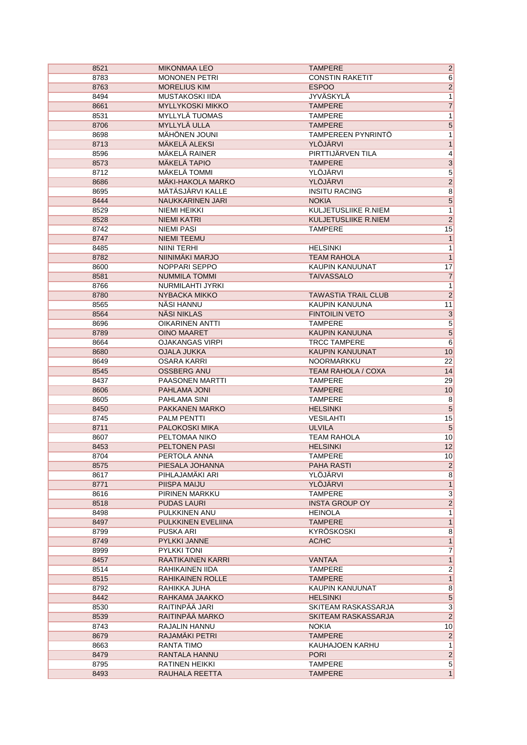| 8521 | <b>MIKONMAA LEO</b>      | <b>TAMPERE</b>             | $\overline{\mathbf{c}}$ |
|------|--------------------------|----------------------------|-------------------------|
| 8783 | <b>MONONEN PETRI</b>     | <b>CONSTIN RAKETIT</b>     | $\overline{6}$          |
| 8763 | <b>MORELIUS KIM</b>      | <b>ESPOO</b>               | $\overline{2}$          |
| 8494 | <b>MUSTAKOSKI IIDA</b>   | <b>JYVÄSKYLÄ</b>           | $\overline{1}$          |
| 8661 | <b>MYLLYKOSKI MIKKO</b>  | <b>TAMPERE</b>             | $\overline{7}$          |
| 8531 | MYLLYLÄ TUOMAS           | <b>TAMPERE</b>             | $\overline{1}$          |
| 8706 | MYLLYLÄ ULLA             | <b>TAMPERE</b>             | $\overline{5}$          |
| 8698 | MÄHÖNEN JOUNI            | TAMPEREEN PYNRINTÖ         | 1                       |
| 8713 | <b>MÄKELÄ ALEKSI</b>     | <b>YLÖJÄRVI</b>            | $\overline{1}$          |
| 8596 | MÄKELÄ RAINER            | PIRTTIJÄRVEN TILA          | $\overline{4}$          |
| 8573 | <b>MÄKELÄ TAPIO</b>      | <b>TAMPERE</b>             |                         |
| 8712 | <b>MÄKELÄ TOMMI</b>      | YLÖJÄRVI                   | $\frac{3}{5}$           |
| 8686 | <b>MÄKI-HAKOLA MARKO</b> | YLÖJÄRVI                   | $\overline{2}$          |
| 8695 | MÄTÄSJÄRVI KALLE         | <b>INSITU RACING</b>       | $\overline{8}$          |
| 8444 | NAUKKARINEN JARI         | <b>NOKIA</b>               | $\overline{5}$          |
| 8529 | NIEMI HEIKKI             | KULJETUSLIIKE R.NIEM       | $\overline{1}$          |
| 8528 | NIEMI KATRI              | KULJETUSLIIKE R.NIEM       | $\overline{2}$          |
| 8742 | <b>NIEMI PASI</b>        | <b>TAMPERE</b>             | 15                      |
| 8747 | <b>NIEMI TEEMU</b>       |                            | $\mathbf{1}$            |
| 8485 | <b>NIINI TERHI</b>       | <b>HELSINKI</b>            | $\mathbf 1$             |
| 8782 | NIINIMÄKI MARJO          | <b>TEAM RAHOLA</b>         | $\overline{1}$          |
| 8600 | NOPPARI SEPPO            | <b>KAUPIN KANUUNAT</b>     | 17                      |
| 8581 | <b>NUMMILA TOMMI</b>     | <b>TAIVASSALO</b>          | $\overline{7}$          |
| 8766 | NURMILAHTI JYRKI         |                            | $\mathbf{1}$            |
| 8780 | NYBACKA MIKKO            | <b>TAWASTIA TRAIL CLUB</b> | $\overline{2}$          |
| 8565 | NÄSI HANNU               | KAUPIN KANUUNA             | 11                      |
| 8564 | <b>NÄSI NIKLAS</b>       | <b>FINTOILIN VETO</b>      | $\overline{\mathbf{3}}$ |
| 8696 | <b>OIKARINEN ANTTI</b>   | <b>TAMPERE</b>             | $\overline{5}$          |
| 8789 | <b>OINO MAARET</b>       | KAUPIN KANUUNA             | $\overline{5}$          |
| 8664 | <b>OJAKANGAS VIRPI</b>   | <b>TRCC TAMPERE</b>        | $\overline{6}$          |
| 8680 | <b>OJALA JUKKA</b>       | KAUPIN KANUUNAT            | 10                      |
| 8649 | OSARA KARRI              | NOORMARKKU                 | $\overline{22}$         |
| 8545 | <b>OSSBERG ANU</b>       | <b>TEAM RAHOLA / COXA</b>  | 14                      |
| 8437 | <b>PAASONEN MARTTI</b>   | <b>TAMPERE</b>             | 29                      |
| 8606 | PAHLAMA JONI             | <b>TAMPERE</b>             | 10                      |
| 8605 | PAHLAMA SINI             | <b>TAMPERE</b>             | $\overline{8}$          |
| 8450 | PAKKANEN MARKO           | <b>HELSINKI</b>            | $\overline{5}$          |
| 8745 | <b>PALM PENTTI</b>       | <b>VESILAHTI</b>           | 15                      |
| 8711 | PALOKOSKI MIKA           | <b>ULVILA</b>              | $\overline{5}$          |
| 8607 | PELTOMAA NIKO            | <b>TEAM RAHOLA</b>         | 10                      |
| 8453 | <b>PELTONEN PASI</b>     | <b>HELSINKI</b>            | 12                      |
| 8704 | PERTOLA ANNA             | <b>TAMPERE</b>             | 10                      |
| 8575 | PIESALA JOHANNA          | <b>PAHA RASTI</b>          | $\mathbf{2}$            |
| 8617 | PIHLAJAMÄKI ARI          | YLÖJÄRVI                   | $\overline{8}$          |
| 8771 | PIISPA MAIJU             | YLÖJÄRVI                   | $\mathbf{1}$            |
| 8616 | PIRINEN MARKKU           | TAMPERE                    | $\overline{\mathbf{3}}$ |
| 8518 | <b>PUDAS LAURI</b>       | <b>INSTA GROUP OY</b>      | $\overline{2}$          |
| 8498 | PULKKINEN ANU            | <b>HEINOLA</b>             | 1                       |
| 8497 | PULKKINEN EVELIINA       | <b>TAMPERE</b>             | $\overline{1}$          |
| 8799 | PUSKA ARI                | KYRÖSKOSKI                 | 8                       |
| 8749 | <b>PYLKKI JANNE</b>      | AC/HC                      | $\mathbf{1}$            |
| 8999 | PYLKKI TONI              |                            | $\overline{7}$          |
| 8457 | RAATIKAINEN KARRI        | VANTAA                     | $\mathbf{1}$            |
| 8514 | RAHIKAINEN IIDA          | <b>TAMPERE</b>             | $\overline{2}$          |
| 8515 | RAHIKAINEN ROLLE         | <b>TAMPERE</b>             | $\overline{1}$          |
| 8792 | RAHIKKA JUHA             | KAUPIN KANUUNAT            | $\overline{8}$          |
| 8442 | RAHKAMA JAAKKO           | <b>HELSINKI</b>            | $\overline{\mathbf{5}}$ |
| 8530 | RAITINPÄÄ JARI           | SKITEAM RASKASSARJA        | $\overline{3}$          |
| 8539 | RAITINPÄÄ MARKO          | SKITEAM RASKASSARJA        | $\overline{2}$          |
| 8743 | RAJALIN HANNU            | <b>NOKIA</b>               | 10                      |
| 8679 | RAJAMÄKI PETRI           | <b>TAMPERE</b>             | $\overline{2}$          |
| 8663 | RANTA TIMO               | KAUHAJOEN KARHU            | 1                       |
| 8479 | RANTALA HANNU            | <b>PORI</b>                | $\overline{2}$          |
| 8795 | RATINEN HEIKKI           | <b>TAMPERE</b>             | $\overline{5}$          |
| 8493 | RAUHALA REETTA           | <b>TAMPERE</b>             | $\overline{1}$          |
|      |                          |                            |                         |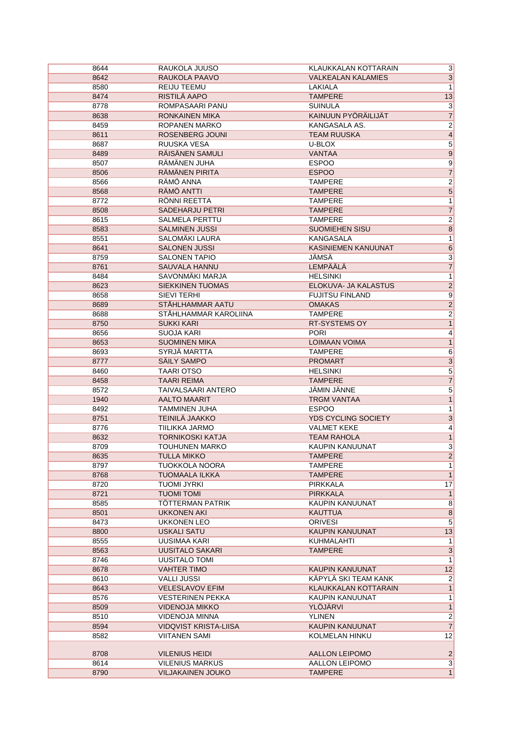| 8644         | RAUKOLA JUUSO                       | KLAUKKALAN KOTTARAIN       | $\vert 3 \vert$         |
|--------------|-------------------------------------|----------------------------|-------------------------|
| 8642         | RAUKOLA PAAVO                       | <b>VALKEALAN KALAMIES</b>  | $\overline{3}$          |
| 8580         | REIJU TEEMU                         | LAKIALA                    | $\overline{1}$          |
| 8474         | RISTILÄ AAPO                        | <b>TAMPERE</b>             | 13                      |
| 8778         | ROMPASAARI PANU                     | <b>SUINULA</b>             | $\overline{3}$          |
| 8638         | <b>RONKAINEN MIKA</b>               | KAINUUN PYÖRÄILIJÄT        | $\overline{7}$          |
| 8459         | ROPANEN MARKO                       | KANGASALA AS.              | $\overline{2}$          |
| 8611         | ROSENBERG JOUNI                     | <b>TEAM RUUSKA</b>         | $\overline{4}$          |
| 8687         | RUUSKA VESA                         | U-BLOX                     | $\overline{\mathbf{5}}$ |
| 8489         | RÄISÄNEN SAMULI                     | <b>VANTAA</b>              | 9                       |
| 8507         | RÄMÄNEN JUHA                        | <b>ESPOO</b>               | $\overline{9}$          |
| 8506         | RÄMÄNEN PIRITA                      | <b>ESPOO</b>               | $\overline{7}$          |
| 8566         | RÄMÖ ANNA                           | <b>TAMPERE</b>             | $\overline{2}$          |
| 8568         | RÄMÖ ANTTI                          | <b>TAMPERE</b>             | $\overline{5}$          |
| 8772         | RÖNNI REETTA                        | <b>TAMPERE</b>             | $\overline{1}$          |
| 8508         | <b>SADEHARJU PETRI</b>              | <b>TAMPERE</b>             | $\overline{7}$          |
| 8615         | SALMELA PERTTU                      | <b>TAMPERE</b>             | $\overline{2}$          |
| 8583         | <b>SALMINEN JUSSI</b>               | <b>SUOMIEHEN SISU</b>      | $\overline{8}$          |
| 8551         | SALOMÄKI LAURA                      | <b>KANGASALA</b>           | $\overline{1}$          |
| 8641         | <b>SALONEN JUSSI</b>                | KASINIEMEN KANUUNAT        | $6\overline{6}$         |
| 8759         | <b>SALONEN TAPIO</b>                | <b>JÄMSÄ</b>               | $\overline{3}$          |
| 8761         | <b>SAUVALA HANNU</b>                | <b>LEMPÄÄLÄ</b>            | $\overline{7}$          |
|              | SAVONMÄKI MARJA                     | <b>HELSINKI</b>            | $\overline{1}$          |
| 8484         |                                     |                            |                         |
| 8623         | <b>SIEKKINEN TUOMAS</b>             | ELOKUVA- JA KALASTUS       | $\overline{2}$          |
| 8658         | SIEVI TERHI                         | <b>FUJITSU FINLAND</b>     | $\overline{9}$          |
| 8689         | STÅHLHAMMAR AATU                    | <b>OMAKAS</b>              | $\overline{2}$          |
| 8688         | STÅHLHAMMAR KAROLIINA               | <b>TAMPERE</b>             | $\overline{2}$          |
| 8750         | <b>SUKKI KARI</b>                   | RT-SYSTEMS OY              | $\overline{1}$          |
| 8656         | <b>SUOJA KARI</b>                   | <b>PORI</b>                | $\overline{4}$          |
| 8653         | <b>SUOMINEN MIKA</b>                | <b>LOIMAAN VOIMA</b>       | $\overline{1}$          |
| 8693         | SYRJÄ MARTTA                        | <b>TAMPERE</b>             | $6\overline{}$          |
| 8777         | SÄILY SAMPO                         | <b>PROMART</b>             | $\overline{3}$          |
| 8460         | <b>TAARI OTSO</b>                   | <b>HELSINKI</b>            | $\overline{5}$          |
| 8458         | <b>TAARI REIMA</b>                  | <b>TAMPERE</b>             | $\overline{7}$          |
| 8572         | TAIVALSAARI ANTERO                  | JÄMIN JÄNNE                | $\overline{5}$          |
| 1940         | <b>AALTO MAARIT</b>                 | <b>TRGM VANTAA</b>         | $\overline{1}$          |
| 8492         | <b>TAMMINEN JUHA</b>                | <b>ESPOO</b>               | $\overline{1}$          |
| 8751         | <b>TEINILÄ JAAKKO</b>               | <b>YDS CYCLING SOCIETY</b> | $\overline{3}$          |
| 8776         | TIILIKKA JARMO                      | <b>VALMET KEKE</b>         | $\overline{4}$          |
| 8632         | <b>TORNIKOSKI KATJA</b>             | <b>TEAM RAHOLA</b>         | 1                       |
| 8709         | <b>TOUHUNEN MARKO</b>               | KAUPIN KANUUNAT            | $\overline{3}$          |
| 8635         | <b>TULLA MIKKO</b>                  | <b>TAMPERE</b>             | $\overline{2}$          |
| 8797         | <b>TUOKKOLA NOORA</b>               | <b>TAMPERE</b>             | 1                       |
| 8768         | TUOMAALA ILKKA                      | <b>TAMPERE</b>             | $\overline{1}$          |
| 8720         | TUOMI JYRKI                         | PIRKKALA                   | 17                      |
| 8721         | <b>TUOMI TOMI</b>                   | <b>PIRKKALA</b>            | 1                       |
| 8585         | TÖTTERMAN PATRIK                    | KAUPIN KANUUNAT            | $\overline{8}$          |
| 8501         | <b>UKKONEN AKI</b>                  | <b>KAUTTUA</b>             | 8                       |
| 8473         | UKKONEN LEO                         | <b>ORIVESI</b>             | $\overline{5}$          |
| 8800         | USKALI SATU                         | KAUPIN KANUUNAT            | 13                      |
| 8555         | UUSIMAA KARI                        | KUHMALAHTI                 | 1                       |
| 8563         | <b>UUSITALO SAKARI</b>              | <b>TAMPERE</b>             | $\overline{3}$          |
|              |                                     |                            |                         |
| 8746<br>8678 | UUSITALO TOMI<br><b>VAHTER TIMO</b> | KAUPIN KANUUNAT            | 1<br>12                 |
|              | <b>VALLI JUSSI</b>                  | KÄPYLÄ SKI TEAM KANK       |                         |
| 8610         |                                     |                            | $\overline{2}$          |
| 8643         | <b>VELESLAVOV EFIM</b>              | KLAUKKALAN KOTTARAIN       | 1                       |
| 8576         | <b>VESTERINEN PEKKA</b>             | KAUPIN KANUUNAT            | 1                       |
| 8509         | <b>VIDENOJA MIKKO</b>               | YLÖJÄRVI                   | 1                       |
| 8510         | <b>VIDENOJA MINNA</b>               | YLINEN                     | $\overline{2}$          |
| 8594         | VIDQVIST KRISTA-LIISA               | KAUPIN KANUUNAT            | $\overline{7}$          |
| 8582         | <b>VIITANEN SAMI</b>                | KOLMELAN HINKU             | 12                      |
|              |                                     |                            |                         |
| 8708         | <b>VILENIUS HEIDI</b>               | AALLON LEIPOMO             | $\overline{2}$          |
| 8614         | <b>VILENIUS MARKUS</b>              | AALLON LEIPOMO             | 3                       |
| 8790         | <b>VILJAKAINEN JOUKO</b>            | <b>TAMPERE</b>             | 1                       |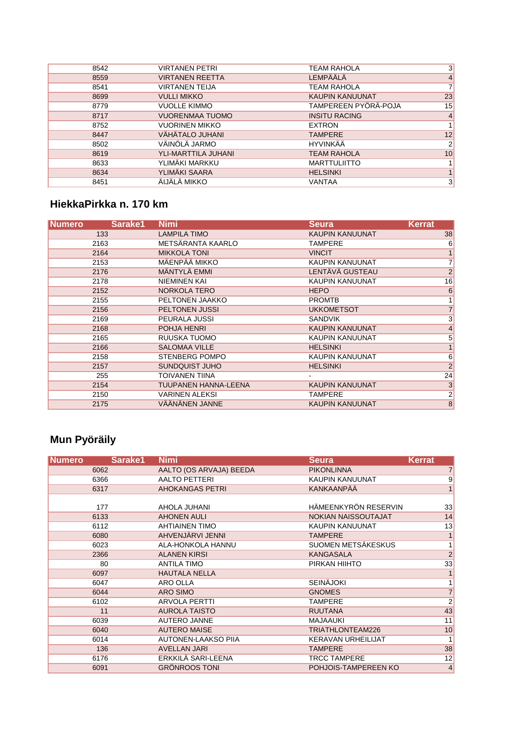| 3<br><b>VIRTANEN PETRI</b><br><b>TEAM RAHOLA</b><br>8542<br>LEMPÄÄLÄ<br><b>VIRTANEN REETTA</b><br>$\overline{4}$<br>8559<br>$\overline{7}$<br><b>TEAM RAHOLA</b><br><b>VIRTANEN TEIJA</b><br>8541<br><b>KAUPIN KANUUNAT</b><br>23<br><b>VULLI MIKKO</b><br>8699<br>TAMPEREEN PYÖRÄ-POJA<br>15<br><b>VUOLLE KIMMO</b><br>8779<br>$\overline{4}$<br><b>VUORENMAA TUOMO</b><br><b>INSITU RACING</b><br>8717<br><b>VUORINEN MIKKO</b><br>$\mathbf{1}$<br>8752<br><b>EXTRON</b><br>VÄHÄTALO JUHANI<br>12<br><b>TAMPERE</b><br>8447<br>VÄINÖLÄ JARMO<br><b>HYVINKÄÄ</b><br>$\overline{2}$<br>8502<br>YLI-MARTTILA JUHANI<br>10<br><b>TEAM RAHOLA</b><br>8619<br>YLIMÄKI MARKKU<br><b>MARTTULIITTO</b><br>$\mathbf{1}$<br>8633<br>YLIMÄKI SAARA<br>$\mathbf{1}$<br>8634<br><b>HELSINKI</b><br>ÄIJÄLÄ MIKKO<br>3<br>VANTAA<br>8451 |  |  |
|----------------------------------------------------------------------------------------------------------------------------------------------------------------------------------------------------------------------------------------------------------------------------------------------------------------------------------------------------------------------------------------------------------------------------------------------------------------------------------------------------------------------------------------------------------------------------------------------------------------------------------------------------------------------------------------------------------------------------------------------------------------------------------------------------------------------------|--|--|
|                                                                                                                                                                                                                                                                                                                                                                                                                                                                                                                                                                                                                                                                                                                                                                                                                            |  |  |
|                                                                                                                                                                                                                                                                                                                                                                                                                                                                                                                                                                                                                                                                                                                                                                                                                            |  |  |
|                                                                                                                                                                                                                                                                                                                                                                                                                                                                                                                                                                                                                                                                                                                                                                                                                            |  |  |
|                                                                                                                                                                                                                                                                                                                                                                                                                                                                                                                                                                                                                                                                                                                                                                                                                            |  |  |
|                                                                                                                                                                                                                                                                                                                                                                                                                                                                                                                                                                                                                                                                                                                                                                                                                            |  |  |
|                                                                                                                                                                                                                                                                                                                                                                                                                                                                                                                                                                                                                                                                                                                                                                                                                            |  |  |
|                                                                                                                                                                                                                                                                                                                                                                                                                                                                                                                                                                                                                                                                                                                                                                                                                            |  |  |
|                                                                                                                                                                                                                                                                                                                                                                                                                                                                                                                                                                                                                                                                                                                                                                                                                            |  |  |
|                                                                                                                                                                                                                                                                                                                                                                                                                                                                                                                                                                                                                                                                                                                                                                                                                            |  |  |
|                                                                                                                                                                                                                                                                                                                                                                                                                                                                                                                                                                                                                                                                                                                                                                                                                            |  |  |
|                                                                                                                                                                                                                                                                                                                                                                                                                                                                                                                                                                                                                                                                                                                                                                                                                            |  |  |
|                                                                                                                                                                                                                                                                                                                                                                                                                                                                                                                                                                                                                                                                                                                                                                                                                            |  |  |
|                                                                                                                                                                                                                                                                                                                                                                                                                                                                                                                                                                                                                                                                                                                                                                                                                            |  |  |

### **HiekkaPirkka n. 170 km**

| <b>Numero</b> | Sarake1 | <b>Nimi</b>                 | <b>Seura</b>           | <b>Kerrat</b>   |
|---------------|---------|-----------------------------|------------------------|-----------------|
|               | 133     | <b>LAMPILA TIMO</b>         | KAUPIN KANUUNAT        | 38              |
|               | 2163    | METSÄRANTA KAARLO           | <b>TAMPERE</b>         | $6\phantom{.}$  |
|               | 2164    | <b>MIKKOLA TONI</b>         | <b>VINCIT</b>          | 1               |
|               | 2153    | MÄENPÄÄ MIKKO               | KAUPIN KANUUNAT        | $\overline{7}$  |
|               | 2176    | <b>MÄNTYLÄ EMMI</b>         | <b>LENTÄVÄ GUSTEAU</b> | $\overline{2}$  |
|               | 2178    | <b>NIEMINEN KAI</b>         | KAUPIN KANUUNAT        | 16              |
|               | 2152    | NORKOLA TERO                | <b>HEPO</b>            | $6\phantom{1}6$ |
|               | 2155    | PELTONEN JAAKKO             | <b>PROMTB</b>          | 1 <sup>1</sup>  |
|               | 2156    | <b>PELTONEN JUSSI</b>       | <b>UKKOMETSOT</b>      | 7               |
|               | 2169    | PEURALA JUSSI               | <b>SANDVIK</b>         | 3               |
|               | 2168    | POHJA HENRI                 | <b>KAUPIN KANUUNAT</b> | 4               |
|               | 2165    | RUUSKA TUOMO                | KAUPIN KANUUNAT        | 5               |
|               | 2166    | <b>SALOMAA VILLE</b>        | <b>HELSINKI</b>        | $\mathbf{1}$    |
|               | 2158    | <b>STENBERG POMPO</b>       | KAUPIN KANUUNAT        | $6 \overline{}$ |
|               | 2157    | SUNDQUIST JUHO              | <b>HELSINKI</b>        | 2               |
|               | 255     | <b>TOIVANEN TIINA</b>       |                        | 24              |
|               | 2154    | <b>TUUPANEN HANNA-LEENA</b> | KAUPIN KANUUNAT        | 3               |
|               | 2150    | <b>VARINEN ALEKSI</b>       | TAMPERE                | $\overline{2}$  |
|               | 2175    | VÄÄNÄNEN JANNE              | <b>KAUPIN KANUUNAT</b> | $\bf8$          |

# **Mun Pyöräily**

| <b>Numero</b> | Sarake1 | <b>Nimi</b>             | <b>Seura</b>              | <b>Kerrat</b>  |
|---------------|---------|-------------------------|---------------------------|----------------|
| 6062          |         | AALTO (OS ARVAJA) BEEDA | <b>PIKONLINNA</b>         | $\overline{7}$ |
| 6366          |         | <b>AALTO PETTERI</b>    | KAUPIN KANUUNAT           | 9              |
| 6317          |         | <b>AHOKANGAS PETRI</b>  | <b>KANKAANPÄÄ</b>         | 1              |
|               |         |                         |                           |                |
| 177           |         | AHOLA JUHANI            | HÄMEENKYRÖN RESERVIN      | 33             |
| 6133          |         | <b>AHONEN AULI</b>      | NOKIAN NAISSOUTAJAT       | 14             |
| 6112          |         | <b>AHTIAINEN TIMO</b>   | <b>KAUPIN KANUUNAT</b>    | 13             |
| 6080          |         | AHVENJÄRVI JENNI        | <b>TAMPERE</b>            | $\mathbf{1}$   |
| 6023          |         | ALA-HONKOLA HANNU       | SUOMEN METSÄKESKUS        | 1 <sup>1</sup> |
| 2366          |         | <b>ALANEN KIRSI</b>     | <b>KANGASALA</b>          | $\overline{2}$ |
| 80            |         | <b>ANTILA TIMO</b>      | PIRKAN HIIHTO             | 33             |
| 6097          |         | <b>HAUTALA NELLA</b>    |                           | $\mathbf{1}$   |
| 6047          |         | ARO OLLA                | <b>SEINÄJOKI</b>          | 1 <sup>1</sup> |
| 6044          |         | ARO SIMO                | <b>GNOMES</b>             | $\overline{7}$ |
| 6102          |         | <b>ARVOLA PERTTI</b>    | <b>TAMPERE</b>            | $\overline{2}$ |
| 11            |         | <b>AUROLA TAISTO</b>    | <b>RUUTANA</b>            | 43             |
| 6039          |         | <b>AUTERO JANNE</b>     | <b>MAJAAUKI</b>           | 11             |
| 6040          |         | <b>AUTERO MAISE</b>     | TRIATHLONTEAM226          | 10             |
| 6014          |         | AUTONEN-LAAKSO PIIA     | <b>KERAVAN URHEILIJAT</b> | 1              |
| 136           |         | <b>AVELLAN JARI</b>     | <b>TAMPERE</b>            | 38             |
| 6176          |         | ERKKILÄ SARI-LEENA      | <b>TRCC TAMPERE</b>       | 12             |
| 6091          |         | <b>GRÖNROOS TONI</b>    | POHJOIS-TAMPEREEN KO      | $\overline{4}$ |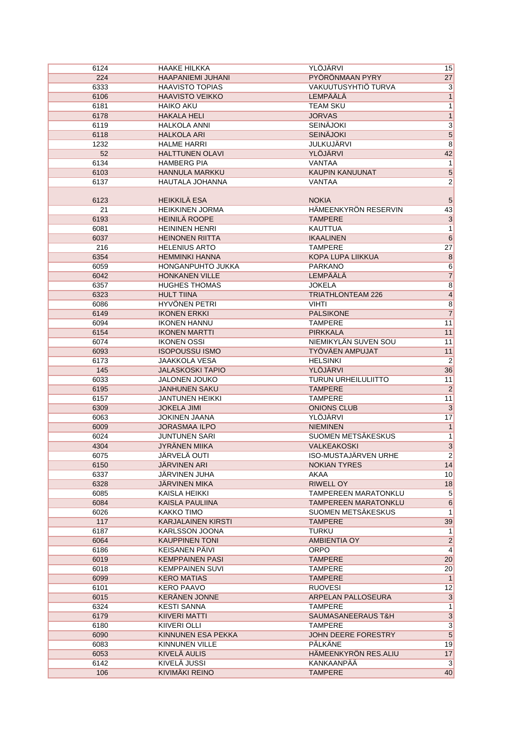| 6124 | <b>HAAKE HILKKA</b>       | YLÖJÄRVI                    | 15                      |
|------|---------------------------|-----------------------------|-------------------------|
| 224  | <b>HAAPANIEMI JUHANI</b>  | PYÖRÖNMAAN PYRY             | 27                      |
| 6333 | <b>HAAVISTO TOPIAS</b>    | VAKUUTUSYHTIÖ TURVA         | $\overline{3}$          |
| 6106 | <b>HAAVISTO VEIKKO</b>    | LEMPÄÄLÄ                    | 1                       |
| 6181 | <b>HAIKO AKU</b>          | <b>TEAM SKU</b>             | $\mathbf{1}$            |
| 6178 | <b>HAKALA HELI</b>        | <b>JORVAS</b>               | $\overline{1}$          |
| 6119 | <b>HALKOLA ANNI</b>       | <b>SEINÄJOKI</b>            | $\overline{3}$          |
| 6118 | <b>HALKOLA ARI</b>        | <b>SEINÄJOKI</b>            | $\overline{\mathbf{5}}$ |
| 1232 | <b>HALME HARRI</b>        | <b>JULKUJÄRVI</b>           | $\overline{8}$          |
| 52   | <b>HALTTUNEN OLAVI</b>    | YLÖJÄRVI                    | 42                      |
| 6134 | <b>HAMBERG PIA</b>        | <b>VANTAA</b>               | 1                       |
| 6103 | <b>HANNULA MARKKU</b>     | KAUPIN KANUUNAT             | $\overline{5}$          |
| 6137 | <b>HAUTALA JOHANNA</b>    | <b>VANTAA</b>               | $\overline{2}$          |
|      |                           |                             |                         |
| 6123 | <b>HEIKKILÄ ESA</b>       | <b>NOKIA</b>                | 5                       |
| 21   | <b>HEIKKINEN JORMA</b>    | HÄMEENKYRÖN RESERVIN        | 43                      |
|      |                           |                             |                         |
| 6193 | HEINILÄ ROOPE             | <b>TAMPERE</b>              | $\overline{3}$          |
| 6081 | <b>HEININEN HENRI</b>     | <b>KAUTTUA</b>              | $\mathbf{1}$            |
| 6037 | <b>HEINONEN RIITTA</b>    | <b>IKAALINEN</b>            | $6\overline{6}$         |
| 216  | <b>HELENIUS ARTO</b>      | <b>TAMPERE</b>              | 27                      |
| 6354 | <b>HEMMINKI HANNA</b>     | KOPA LUPA LIIKKUA           | $\bf 8$                 |
| 6059 | HONGANPUHTO JUKKA         | <b>PARKANO</b>              | 6                       |
| 6042 | <b>HONKANEN VILLE</b>     | <b>LEMPÄÄLÄ</b>             | $\overline{7}$          |
| 6357 | <b>HUGHES THOMAS</b>      | <b>JOKELA</b>               | $\overline{8}$          |
| 6323 | <b>HULT TIINA</b>         | <b>TRIATHLONTEAM 226</b>    | $\overline{4}$          |
| 6086 | HYVÖNEN PETRI             | <b>VIHTI</b>                | $\overline{8}$          |
| 6149 | <b>IKONEN ERKKI</b>       | <b>PALSIKONE</b>            | $\overline{7}$          |
| 6094 | <b>IKONEN HANNU</b>       | <b>TAMPERE</b>              | 11                      |
| 6154 | <b>IKONEN MARTTI</b>      | <b>PIRKKALA</b>             | 11                      |
| 6074 | <b>IKONEN OSSI</b>        | NIEMIKYLÄN SUVEN SOU        | 11                      |
| 6093 | <b>ISOPOUSSU ISMO</b>     | TYÖVÄEN AMPUJAT             | 11                      |
| 6173 | <b>JAAKKOLA VESA</b>      | <b>HELSINKI</b>             | $\overline{2}$          |
| 145  | <b>JALASKOSKI TAPIO</b>   | YLÖJÄRVI                    | 36                      |
| 6033 | <b>JALONEN JOUKO</b>      | <b>TURUN URHEILULIITTO</b>  | 11                      |
| 6195 | <b>JANHUNEN SAKU</b>      | <b>TAMPERE</b>              | $\overline{2}$          |
| 6157 | <b>JANTUNEN HEIKKI</b>    | <b>TAMPERE</b>              | 11                      |
| 6309 | <b>JOKELA JIMI</b>        | <b>ONIONS CLUB</b>          | $\overline{3}$          |
| 6063 | <b>JOKINEN JAANA</b>      | YLÖJÄRVI                    | 17                      |
|      | <b>JORASMAA ILPO</b>      |                             |                         |
| 6009 |                           | <b>NIEMINEN</b>             | $\overline{1}$          |
| 6024 | <b>JUNTUNEN SARI</b>      | SUOMEN METSÄKESKUS          | 1                       |
| 4304 | <b>JYRÄNEN MIIKA</b>      | <b>VALKEAKOSKI</b>          | $\overline{3}$          |
| 6075 | <b>JÄRVELÄ OUTI</b>       | <b>ISO-MUSTAJÄRVEN URHE</b> | $\overline{2}$          |
| 6150 | JÄRVINEN ARI              | <b>NOKIAN TYRES</b>         | 14                      |
| 6337 | JARVINEN JUHA             | AKAA                        | 10                      |
| 6328 | <b>JARVINEN MIKA</b>      | <b>RIWELL OY</b>            | 18                      |
| 6085 | KAISLA HEIKKI             | TAMPEREEN MARATONKLU        | $\overline{5}$          |
| 6084 | <b>KAISLA PAULIINA</b>    | TAMPEREEN MARATONKLU        | $6\phantom{.}$          |
| 6026 | KAKKO TIMO                | SUOMEN METSAKESKUS          | 1                       |
| 117  | <b>KARJALAINEN KIRSTI</b> | <b>TAMPERE</b>              | 39                      |
| 6187 | <b>KARLSSON JOONA</b>     | <b>TURKU</b>                | 1                       |
| 6064 | <b>KAUPPINEN TONI</b>     | AMBIENTIA OY                | $\overline{2}$          |
| 6186 | KEISANEN PÄIVI            | <b>ORPO</b>                 | $\vert$                 |
| 6019 | <b>KEMPPAINEN PASI</b>    | <b>TAMPERE</b>              | 20                      |
| 6018 | <b>KEMPPAINEN SUVI</b>    | <b>TAMPERE</b>              | 20                      |
| 6099 | <b>KERO MATIAS</b>        | <b>TAMPERE</b>              | 1                       |
| 6101 | KERO PAAVO                | <b>RUOVESI</b>              | 12                      |
| 6015 | <b>KERANEN JONNE</b>      | ARPELAN PALLOSEURA          | 3                       |
| 6324 | <b>KESTI SANNA</b>        | <b>TAMPERE</b>              | 1                       |
| 6179 | KIIVERI MATTI             | SAUMASANEERAUS T&H          | $\overline{3}$          |
| 6180 | <b>KIIVERI OLLI</b>       | <b>TAMPERE</b>              | $\overline{3}$          |
| 6090 | KINNUNEN ESA PEKKA        | JOHN DEERE FORESTRY         | $5\overline{)}$         |
|      |                           | <b>PÄLKÄNE</b>              |                         |
| 6083 | KINNUNEN VILLE            |                             | 19                      |
| 6053 | KIVELÄ AULIS              | HÄMEENKYRÖN RES.ALIU        | 17                      |
| 6142 | <b>KIVELÄ JUSSI</b>       | KANKAANPÄÄ                  | 3                       |
| 106  | KIVIMÄKI REINO            | <b>TAMPERE</b>              | 40                      |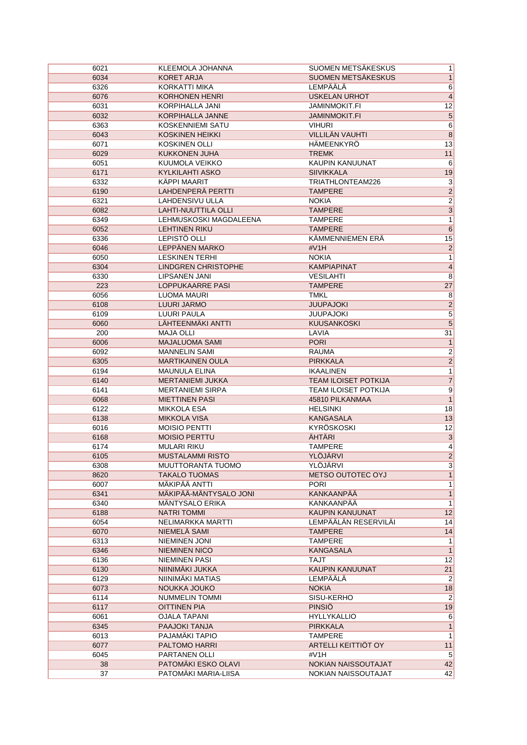| 6021 | KLEEMOLA JOHANNA           | SUOMEN METSÄKESKUS              | 1               |
|------|----------------------------|---------------------------------|-----------------|
| 6034 | <b>KORET ARJA</b>          | SUOMEN METSÄKESKUS              | 1               |
| 6326 | KORKATTI MIKA              | LEMPÄÄLÄ                        | 6               |
| 6076 | <b>KORHONEN HENRI</b>      | <b>USKELAN URHOT</b>            | $\overline{4}$  |
| 6031 | <b>KORPIHALLA JANI</b>     | <b>JAMINMOKIT.FI</b>            | 12              |
| 6032 | KORPIHALLA JANNE           | <b>JAMINMOKIT.FI</b>            | $\overline{5}$  |
| 6363 | <b>KOSKENNIEMI SATU</b>    | <b>VIHURI</b>                   | 6               |
| 6043 | <b>KOSKINEN HEIKKI</b>     | <b>VILLILÄN VAUHTI</b>          | $\overline{8}$  |
| 6071 | <b>KOSKINEN OLLI</b>       | <b>HÄMEENKYRÖ</b>               | 13              |
| 6029 | <b>KUKKONEN JUHA</b>       | <b>TREMK</b>                    | 11              |
| 6051 | KUUMOLA VEIKKO             | KAUPIN KANUUNAT                 | $\,6$           |
| 6171 | KYLKILAHTI ASKO            | <b>SIIVIKKALA</b>               | 19              |
| 6332 | <b>KÄPPI MAARIT</b>        | TRIATHLONTEAM226                | $\overline{3}$  |
| 6190 | LAHDENPERÄ PERTTI          | <b>TAMPERE</b>                  | $\overline{2}$  |
| 6321 | LAHDENSIVU ULLA            | <b>NOKIA</b>                    | $\overline{2}$  |
| 6082 | <b>LAHTI-NUUTTILA OLLI</b> | <b>TAMPERE</b>                  | $\overline{3}$  |
| 6349 | LEHMUSKOSKI MAGDALEENA     | <b>TAMPERE</b>                  | $\overline{1}$  |
| 6052 | <b>LEHTINEN RIKU</b>       | <b>TAMPERE</b>                  | $6\overline{6}$ |
| 6336 | LEPISTÖ OLLI               | KÄMMENNIEMEN ERÄ                | 15              |
| 6046 | LEPPÄNEN MARKO             | #V1H                            | $\overline{2}$  |
| 6050 | <b>LESKINEN TERHI</b>      | <b>NOKIA</b>                    | 1               |
| 6304 | <b>LINDGREN CHRISTOPHE</b> | <b>KAMPIAPINAT</b>              | $\overline{4}$  |
| 6330 | <b>LIPSANEN JANI</b>       | <b>VESILAHTI</b>                | $\overline{8}$  |
| 223  | LOPPUKAARRE PASI           | <b>TAMPERE</b>                  | 27              |
|      | <b>LUOMA MAURI</b>         |                                 |                 |
| 6056 | LUURI JARMO                | <b>TMKL</b><br><b>JUUPAJOKI</b> | $\overline{8}$  |
| 6108 |                            |                                 | $\overline{2}$  |
| 6109 | <b>LUURI PAULA</b>         | <b>JUUPAJOKI</b>                | $\overline{5}$  |
| 6060 | LÄHTEENMÄKI ANTTI          | <b>KUUSANKOSKI</b>              | $\overline{5}$  |
| 200  | <b>MAJA OLLI</b>           | LAVIA                           | 31              |
| 6006 | <b>MAJALUOMA SAMI</b>      | <b>PORI</b>                     | $\mathbf{1}$    |
| 6092 | <b>MANNELIN SAMI</b>       | RAUMA                           | $\overline{2}$  |
| 6305 | <b>MARTIKAINEN OULA</b>    | <b>PIRKKALA</b>                 | $\overline{2}$  |
| 6194 | <b>MAUNULA ELINA</b>       | <b>IKAALINEN</b>                | 1               |
| 6140 | <b>MERTANIEMI JUKKA</b>    | <b>TEAM ILOISET POTKIJA</b>     | $\overline{7}$  |
| 6141 | <b>MERTANIEMI SIRPA</b>    | TEAM ILOISET POTKIJA            | $\overline{9}$  |
| 6068 | <b>MIETTINEN PASI</b>      | 45810 PILKANMAA                 | $\overline{1}$  |
| 6122 | <b>MIKKOLA ESA</b>         | <b>HELSINKI</b>                 | 18              |
| 6138 | <b>MIKKOLA VISA</b>        | <b>KANGASALA</b>                | 13              |
| 6016 | <b>MOISIO PENTTI</b>       | <b>KYRÖSKOSKI</b>               | $\overline{12}$ |
| 6168 | <b>MOISIO PERTTU</b>       | ÄHTÄRI                          | $\overline{3}$  |
| 6174 | <b>MULARI RIKU</b>         | <b>TAMPERE</b>                  | $\vert 4 \vert$ |
| 6105 | <b>MUSTALAMMI RISTO</b>    | YLÖJÄRVI                        | $\overline{2}$  |
| 6308 | MUUTTORANTA TUOMO          | YLÖJÄRVI                        | 3               |
| 8620 | <b>TAKALO TUOMAS</b>       | METSO OUTOTEC OYJ               | 1               |
| 6007 | MÄKIPÄÄ ANTTI              | <b>PORI</b>                     | 1               |
| 6341 | MÄKIPÄÄ-MÄNTYSALO JONI     | KANKAANPÄÄ                      | 1               |
| 6340 | <b>MÄNTYSALO ERIKA</b>     | KANKAANPÄÄ                      | 1               |
| 6188 | <b>NATRI TOMMI</b>         | KAUPIN KANUUNAT                 | 12              |
| 6054 | NELIMARKKA MARTTI          | LEMPÄÄLÄN RESERVILÄI            | 14              |
| 6070 | NIEMELÄ SAMI               | <b>TAMPERE</b>                  | 14              |
| 6313 | <b>NIEMINEN JONI</b>       | <b>TAMPERE</b>                  | 1               |
| 6346 | <b>NIEMINEN NICO</b>       | <b>KANGASALA</b>                | 1               |
| 6136 | <b>NIEMINEN PASI</b>       | TAJT                            | 12              |
| 6130 | NIINIMÄKI JUKKA            | KAUPIN KANUUNAT                 | 21              |
| 6129 | NIINIMÄKI MATIAS           | LEMPÄÄLÄ                        | $\vert$ 2       |
| 6073 | NOUKKA JOUKO               | <b>NOKIA</b>                    | 18              |
| 6114 | <b>NUMMELIN TOMMI</b>      | SISU-KERHO                      | $2\vert$        |
| 6117 | <b>OITTINEN PIA</b>        | <b>PINSIÖ</b>                   | 19              |
| 6061 | <b>OJALA TAPANI</b>        | <b>HYLLYKALLIO</b>              | 6               |
| 6345 | PAAJOKI TANJA              | <b>PIRKKALA</b>                 | 1               |
| 6013 | PAJAMÄKI TAPIO             | <b>TAMPERE</b>                  | 1               |
| 6077 | PALTOMO HARRI              | ARTELLI KEITTIÖT OY             | 11              |
| 6045 | PARTANEN OLLI              | #V1H                            | 5               |
| 38   | PATOMÄKI ESKO OLAVI        | NOKIAN NAISSOUTAJAT             | 42              |
| 37   | PATOMÄKI MARIA-LIISA       | NOKIAN NAISSOUTAJAT             | 42              |
|      |                            |                                 |                 |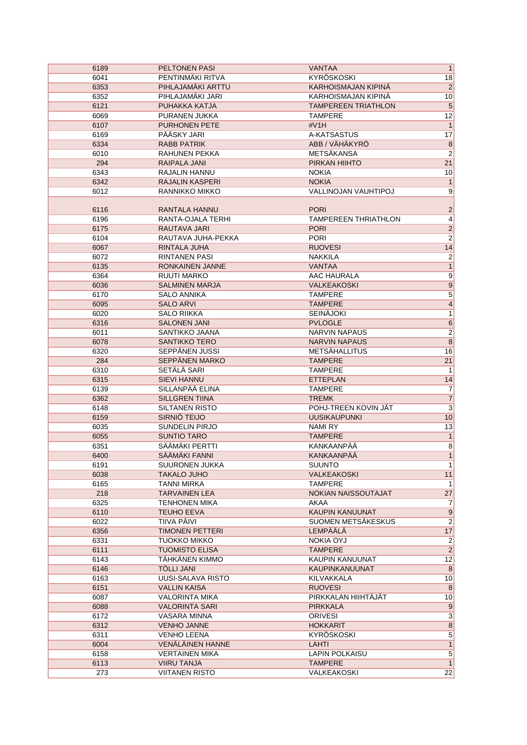| 6189 | <b>PELTONEN PASI</b>   | <b>VANTAA</b>               | $\overline{\mathbf{1}}$ |
|------|------------------------|-----------------------------|-------------------------|
| 6041 | PENTINMÄKI RITVA       | KYRÖSKOSKI                  | 18                      |
| 6353 | PIHLAJAMÄKI ARTTU      | <b>KARHOISMAJAN KIPINÄ</b>  | $\overline{2}$          |
| 6352 | PIHLAJAMÄKI JARI       | KARHOISMAJAN KIPINA         | 10                      |
| 6121 | PUHAKKA KATJA          | <b>TAMPEREEN TRIATHLON</b>  | $\overline{5}$          |
| 6069 | PURANEN JUKKA          | <b>TAMPERE</b>              | $\overline{12}$         |
| 6107 | <b>PURHONEN PETE</b>   | #V1H                        | $\overline{1}$          |
| 6169 | PÄÄSKY JARI            | A-KATSASTUS                 | 17                      |
| 6334 | <b>RABB PATRIK</b>     | ABB / VÄHÄKYRÖ              | $\overline{8}$          |
| 6010 | <b>RAHUNEN PEKKA</b>   | METSÄKANSA                  | $\overline{c}$          |
| 294  | <b>RAIPALA JANI</b>    | PIRKAN HIIHTO               | 21                      |
| 6343 | RAJALIN HANNU          | <b>NOKIA</b>                | 10                      |
| 6342 | <b>RAJALIN KASPERI</b> | <b>NOKIA</b>                | $\mathbf{1}$            |
| 6012 | RANNIKKO MIKKO         | <b>VALLINOJAN VAUHTIPOJ</b> | 9                       |
|      |                        |                             |                         |
| 6116 | RANTALA HANNU          | <b>PORI</b>                 | $\overline{\mathbf{c}}$ |
| 6196 | RANTA-OJALA TERHI      | <b>TAMPEREEN THRIATHLON</b> | $\overline{4}$          |
| 6175 | RAUTAVA JARI           | <b>PORI</b>                 | $\overline{2}$          |
| 6104 | RAUTAVA JUHA-PEKKA     | <b>PORI</b>                 | $\overline{2}$          |
| 6067 | RINTALA JUHA           | <b>RUOVESI</b>              | 14                      |
| 6072 | <b>RINTANEN PASI</b>   | <b>NAKKILA</b>              | $\overline{2}$          |
| 6135 | RONKAINEN JANNE        | <b>VANTAA</b>               | $\overline{1}$          |
|      |                        |                             |                         |
| 6364 | <b>RUUTI MARKO</b>     | AAC HAURALA                 | $\overline{9}$          |
| 6036 | <b>SALMINEN MARJA</b>  | <b>VALKEAKOSKI</b>          | $\overline{9}$          |
| 6170 | <b>SALO ANNIKA</b>     | <b>TAMPERE</b>              | 5                       |
| 6095 | <b>SALO ARVI</b>       | <b>TAMPERE</b>              | $\overline{4}$          |
| 6020 | <b>SALO RIIKKA</b>     | <b>SEINÄJOKI</b>            | $\mathbf{1}$            |
| 6316 | <b>SALONEN JANI</b>    | <b>PVLOGLE</b>              | $\overline{6}$          |
| 6011 | SANTIKKO JAANA         | <b>NARVIN NAPAUS</b>        | $\overline{2}$          |
| 6078 | <b>SANTIKKO TERO</b>   | <b>NARVIN NAPAUS</b>        | $\overline{8}$          |
| 6320 | SEPPÄNEN JUSSI         | <b>METSÄHALLITUS</b>        | 16                      |
| 284  | SEPPÄNEN MARKO         | <b>TAMPERE</b>              | 21                      |
| 6310 | <b>SETÄLÄ SARI</b>     | <b>TAMPERE</b>              | 1                       |
| 6315 | <b>SIEVI HANNU</b>     | <b>ETTEPLAN</b>             | 14                      |
| 6139 | SILLANPÄÄ ELINA        | <b>TAMPERE</b>              | $\overline{7}$          |
| 6362 | <b>SILLGREN TIINA</b>  | <b>TREMK</b>                | $\overline{7}$          |
| 6148 | <b>SILTANEN RISTO</b>  | POHJ-TREEN KOVIN JÄT        | $\overline{\mathbf{3}}$ |
| 6159 | SIRNIÖ TEIJO           | <b>UUSIKAUPUNKI</b>         | 10                      |
| 6035 | SUNDELIN PIRJO         | NAMI RY                     | 13                      |
| 6055 | <b>SUNTIO TARO</b>     | <b>TAMPERE</b>              | $\mathbf{1}$            |
| 6351 | SÄÄMÄKI PERTTI         | KANKAANPÄÄ                  | $\overline{8}$          |
| 6400 | SÄÄMÄKI FANNI          | KANKAANPÄÄ                  | $\overline{1}$          |
| 6191 | SUURONEN JUKKA         | <b>SUUNTO</b>               | $\mathbf{1}$            |
| 6038 | TAKALO JUHO            | <b>VALKEAKOSKI</b>          | 11                      |
| 6165 | TANNI MIRKA            | <b>TAMPERE</b>              | $\mathbf{1}$            |
| 218  | <b>TARVAINEN LEA</b>   | NOKIAN NAISSOUTAJAT         | 27                      |
| 6325 | <b>TENHONEN MIKA</b>   | AKAA                        | $\overline{7}$          |
| 6110 | <b>TEUHO EEVA</b>      | KAUPIN KANUUNAT             | 9                       |
| 6022 | TIIVA PÄIVI            | SUOMEN METSÄKESKUS          | $\overline{2}$          |
| 6356 | <b>TIMONEN PETTERI</b> | LEMPÄÄLÄ                    | 17                      |
| 6331 | <b>TUOKKO MIKKO</b>    | NOKIA OYJ                   | $\overline{2}$          |
| 6111 | <b>TUOMISTO ELISA</b>  | <b>TAMPERE</b>              | $\overline{2}$          |
| 6143 | TÄHKÄNEN KIMMO         | KAUPIN KANUUNAT             | 12                      |
| 6146 | <b>TÖLLI JANI</b>      | <b>KAUPINKANUUNAT</b>       | $\,8\,$                 |
| 6163 | UUSI-SALAVA RISTO      | KILVAKKALA                  | 10                      |
| 6151 | <b>VALLIN KAISA</b>    | <b>RUOVESI</b>              | 8                       |
| 6087 | <b>VALORINTA MIKA</b>  | PIRKKALAN HIIHTÄJÄT         | 10                      |
| 6088 | <b>VALORINTA SARI</b>  | <b>PIRKKALA</b>             | $\overline{9}$          |
| 6172 | VASARA MINNA           | <b>ORIVESI</b>              | $\mathbf{3}$            |
| 6312 | <b>VENHO JANNE</b>     | <b>HOKKARIT</b>             | $\overline{8}$          |
| 6311 | <b>VENHO LEENA</b>     | KYRÖSKOSKI                  | $\overline{5}$          |
| 6004 | VENÄLÄINEN HANNE       | LAHTI                       | $\overline{1}$          |
| 6158 | <b>VERTAINEN MIKA</b>  | LAPIN POLKAISU              | $\overline{5}$          |
| 6113 | <b>VIIRU TANJA</b>     | <b>TAMPERE</b>              | $\overline{1}$          |
|      | <b>VIITANEN RISTO</b>  | VALKEAKOSKI                 | 22                      |